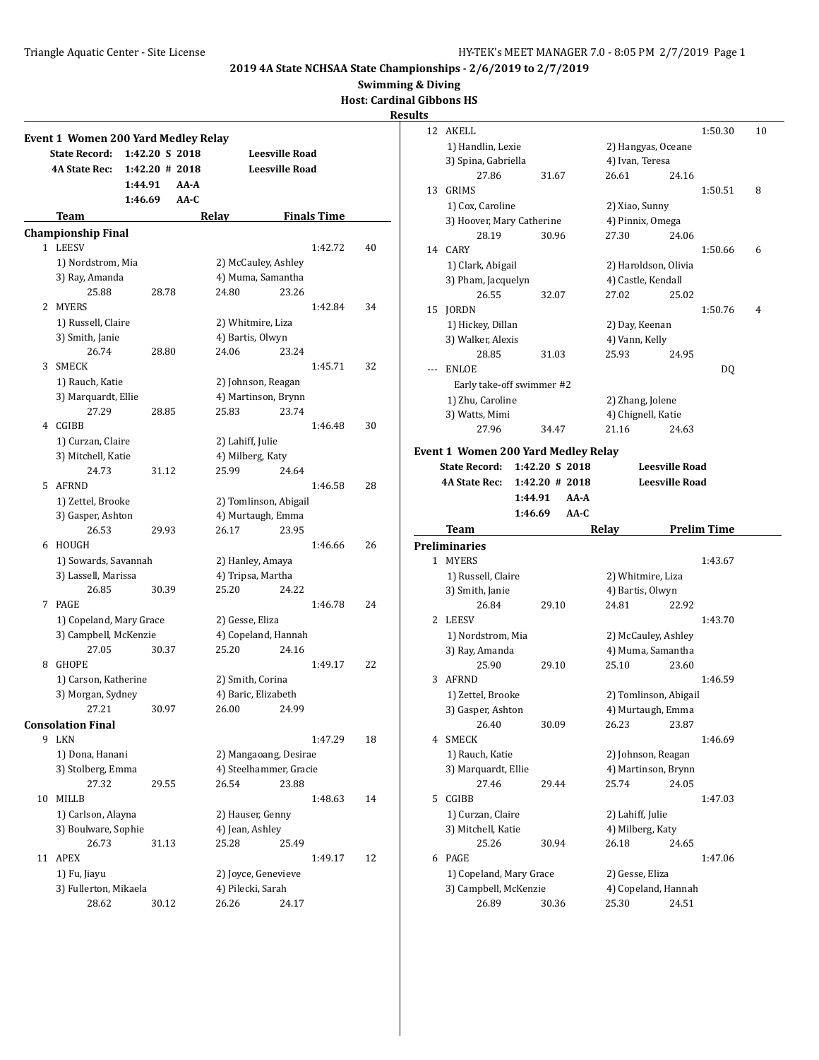**Swimming & Diving**

**Host: Cardinal Gibbons HS**

|    | <b>Event 1 Women 200 Yard Medley Relay</b> |                   |       |                                         |                       |                    |    |
|----|--------------------------------------------|-------------------|-------|-----------------------------------------|-----------------------|--------------------|----|
|    | <b>State Record:</b>                       | 1:42.20 S 2018    |       |                                         | <b>Leesville Road</b> |                    |    |
|    | <b>4A State Rec:</b>                       | $1:42.20 \# 2018$ |       |                                         | <b>Leesville Road</b> |                    |    |
|    |                                            | 1:44.91           | AA-A  |                                         |                       |                    |    |
|    |                                            | 1:46.69           | AA-C  |                                         |                       |                    |    |
|    | Team                                       |                   | Relay |                                         |                       | <b>Finals Time</b> |    |
|    | <b>Championship Final</b>                  |                   |       |                                         |                       |                    |    |
|    | 1 LEESV                                    |                   |       |                                         |                       | 1:42.72            | 40 |
|    | 1) Nordstrom, Mia                          |                   |       | 2) McCauley, Ashley                     |                       |                    |    |
|    | 3) Ray, Amanda                             |                   |       | 4) Muma, Samantha                       |                       |                    |    |
|    | 25.88                                      | 28.78             |       | 24.80                                   | 23.26                 |                    |    |
| 2  | <b>MYERS</b>                               |                   |       |                                         |                       | 1:42.84            | 34 |
|    | 1) Russell, Claire                         |                   |       | 2) Whitmire, Liza                       |                       |                    |    |
|    | 3) Smith, Janie                            |                   |       | 4) Bartis, Olwyn                        |                       |                    |    |
|    | 26.74                                      | 28.80             |       | 24.06                                   | 23.24                 |                    |    |
| 3  | SMECK                                      |                   |       |                                         |                       | 1:45.71            | 32 |
|    | 1) Rauch, Katie                            |                   |       | 2) Johnson, Reagan                      |                       |                    |    |
|    | 3) Marquardt, Ellie                        |                   |       | 4) Martinson, Brynn                     |                       |                    |    |
|    | 27.29                                      | 28.85             |       | 25.83                                   | 23.74                 |                    |    |
|    | 4 CGIBB                                    |                   |       |                                         |                       | 1:46.48            | 30 |
|    | 1) Curzan, Claire                          |                   |       | 2) Lahiff, Julie                        |                       |                    |    |
|    | 3) Mitchell, Katie                         |                   |       | 4) Milberg, Katy                        |                       |                    |    |
|    | 24.73                                      | 31.12             |       | 25.99                                   | 24.64                 |                    |    |
| 5  | <b>AFRND</b>                               |                   |       |                                         |                       | 1:46.58            | 28 |
|    | 1) Zettel, Brooke                          |                   |       | 2) Tomlinson, Abigail                   |                       |                    |    |
|    | 3) Gasper, Ashton                          |                   |       | 4) Murtaugh, Emma                       |                       |                    |    |
|    | 26.53                                      | 29.93             |       | 26.17                                   | 23.95                 |                    |    |
| 6  | HOUGH                                      |                   |       |                                         |                       | 1:46.66            | 26 |
|    | 1) Sowards, Savannah                       |                   |       | 2) Hanley, Amaya                        |                       |                    |    |
|    | 3) Lassell, Marissa                        |                   |       | 4) Tripsa, Martha                       |                       |                    |    |
|    | 26.85                                      | 30.39             |       | 25.20                                   | 24.22                 |                    |    |
| 7  | PAGE                                       |                   |       |                                         |                       | 1:46.78            | 24 |
|    | 1) Copeland, Mary Grace                    |                   |       | 2) Gesse, Eliza                         |                       |                    |    |
|    | 3) Campbell, McKenzie                      |                   |       | 4) Copeland, Hannah                     |                       |                    |    |
|    | 27.05                                      | 30.37             |       | 25.20                                   | 24.16                 |                    |    |
| 8  | <b>GHOPE</b>                               |                   |       |                                         |                       | 1:49.17            | 22 |
|    | 1) Carson, Katherine<br>3) Morgan, Sydney  |                   |       | 2) Smith, Corina<br>4) Baric, Elizabeth |                       |                    |    |
|    | 27.21                                      | 30.97             |       | 26.00 24.99                             |                       |                    |    |
|    | <b>Consolation Final</b>                   |                   |       |                                         |                       |                    |    |
| 9  | LKN                                        |                   |       |                                         |                       | 1:47.29            | 18 |
|    | 1) Dona, Hanani                            |                   |       | 2) Mangaoang, Desirae                   |                       |                    |    |
|    | 3) Stolberg, Emma                          |                   |       | 4) Steelhammer, Gracie                  |                       |                    |    |
|    | 27.32                                      | 29.55             |       | 26.54                                   | 23.88                 |                    |    |
| 10 | <b>MILLB</b>                               |                   |       |                                         |                       | 1:48.63            | 14 |
|    | 1) Carlson, Alayna                         |                   |       | 2) Hauser, Genny                        |                       |                    |    |
|    | 3) Boulware, Sophie                        |                   |       | 4) Jean, Ashley                         |                       |                    |    |
|    | 26.73                                      | 31.13             |       | 25.28                                   | 25.49                 |                    |    |
| 11 | <b>APEX</b>                                |                   |       |                                         |                       | 1:49.17            | 12 |
|    | 1) Fu, Jiayu                               |                   |       | 2) Joyce, Genevieve                     |                       |                    |    |
|    | 3) Fullerton, Mikaela                      |                   |       | 4) Pilecki, Sarah                       |                       |                    |    |
|    | 28.62                                      | 30.12             |       | 26.26                                   | 24.17                 |                    |    |
|    |                                            |                   |       |                                         |                       |                    |    |

| ults |                                     |                   |                           |                       |                    |    |
|------|-------------------------------------|-------------------|---------------------------|-----------------------|--------------------|----|
| 12   | AKELL                               |                   |                           |                       | 1:50.30            | 10 |
|      | 1) Handlin, Lexie                   |                   | 2) Hangyas, Oceane        |                       |                    |    |
|      | 3) Spina, Gabriella                 |                   | 4) Ivan, Teresa           |                       |                    |    |
|      | 27.86                               | 31.67             | 26.61                     | 24.16                 |                    |    |
| 13   | GRIMS                               |                   |                           |                       | 1:50.51            | 8  |
|      | 1) Cox, Caroline                    |                   | 2) Xiao, Sunny            |                       |                    |    |
|      | 3) Hoover, Mary Catherine           |                   | 4) Pinnix, Omega          |                       |                    |    |
|      | 28.19                               | 30.96             | 27.30                     | 24.06                 |                    |    |
|      | 14 CARY                             |                   |                           |                       | 1:50.66            | 6  |
|      | 1) Clark, Abigail                   |                   | 2) Haroldson, Olivia      |                       |                    |    |
|      | 3) Pham, Jacquelyn                  |                   | 4) Castle, Kendall        |                       |                    |    |
|      | 26.55                               | 32.07             | 27.02                     | 25.02                 |                    |    |
| 15   | JORDN                               |                   |                           |                       | 1:50.76            | 4  |
|      | 1) Hickey, Dillan                   |                   | 2) Day, Keenan            |                       |                    |    |
|      | 3) Walker, Alexis                   |                   | 4) Vann, Kelly            |                       |                    |    |
|      | 28.85                               | 31.03             | 25.93                     | 24.95                 |                    |    |
| ---  | <b>ENLOE</b>                        |                   |                           |                       | DQ                 |    |
|      | Early take-off swimmer #2           |                   |                           |                       |                    |    |
|      | 1) Zhu, Caroline                    |                   | 2) Zhang, Jolene          |                       |                    |    |
|      | 3) Watts, Mimi                      |                   | 4) Chignell, Katie        |                       |                    |    |
|      | 27.96                               | 34.47             | 21.16                     | 24.63                 |                    |    |
|      | Event 1 Women 200 Yard Medley Relay |                   |                           |                       |                    |    |
|      | <b>State Record:</b>                | 1:42.20 S 2018    |                           | <b>Leesville Road</b> |                    |    |
|      | <b>4A State Rec:</b>                | $1:42.20 \# 2018$ |                           | <b>Leesville Road</b> |                    |    |
|      |                                     |                   |                           |                       |                    |    |
|      | 1:44.91                             | $AA - A$          |                           |                       |                    |    |
|      | 1:46.69                             | AA-C              |                           |                       |                    |    |
|      | Team                                |                   | Relay                     |                       | <b>Prelim Time</b> |    |
|      | <b>Preliminaries</b>                |                   |                           |                       |                    |    |
|      | 1 MYERS                             |                   |                           |                       | 1:43.67            |    |
|      |                                     |                   |                           |                       |                    |    |
|      | 1) Russell, Claire                  |                   | 2) Whitmire, Liza         |                       |                    |    |
|      | 3) Smith, Janie<br>26.84            | 29.10             | 4) Bartis, Olwyn<br>24.81 | 22.92                 |                    |    |
| 2    | LEESV                               |                   |                           |                       | 1:43.70            |    |
|      | 1) Nordstrom, Mia                   |                   | 2) McCauley, Ashley       |                       |                    |    |
|      | 3) Ray, Amanda                      |                   | 4) Muma, Samantha         |                       |                    |    |
|      | 25.90                               | 29.10             | 25.10                     | 23.60                 |                    |    |
| 3    | <b>AFRND</b>                        |                   |                           |                       | 1:46.59            |    |
|      | 1) Zettel, Brooke                   |                   | 2) Tomlinson, Abigail     |                       |                    |    |
|      | 3) Gasper, Ashton                   |                   | 4) Murtaugh, Emma         |                       |                    |    |
|      | 26.40                               | 30.09             | 26.23                     | 23.87                 |                    |    |
| 4    | SMECK                               |                   |                           |                       | 1:46.69            |    |
|      | 1) Rauch, Katie                     |                   | 2) Johnson, Reagan        |                       |                    |    |
|      | 3) Marquardt, Ellie                 |                   | 4) Martinson, Brynn       |                       |                    |    |
|      | 27.46                               | 29.44             | 25.74                     | 24.05                 |                    |    |
| 5    | CGIBB                               |                   |                           |                       | 1:47.03            |    |
|      | 1) Curzan, Claire                   |                   | 2) Lahiff, Julie          |                       |                    |    |
|      | 3) Mitchell, Katie                  |                   | 4) Milberg, Katy          |                       |                    |    |
|      | 25.26                               | 30.94             | 26.18                     | 24.65                 |                    |    |
| 6    | PAGE                                |                   |                           |                       | 1:47.06            |    |
|      | 1) Copeland, Mary Grace             |                   | 2) Gesse, Eliza           |                       |                    |    |
|      | 3) Campbell, McKenzie               |                   | 4) Copeland, Hannah       |                       |                    |    |
|      | 26.89                               | 30.36             | 25.30                     | 24.51                 |                    |    |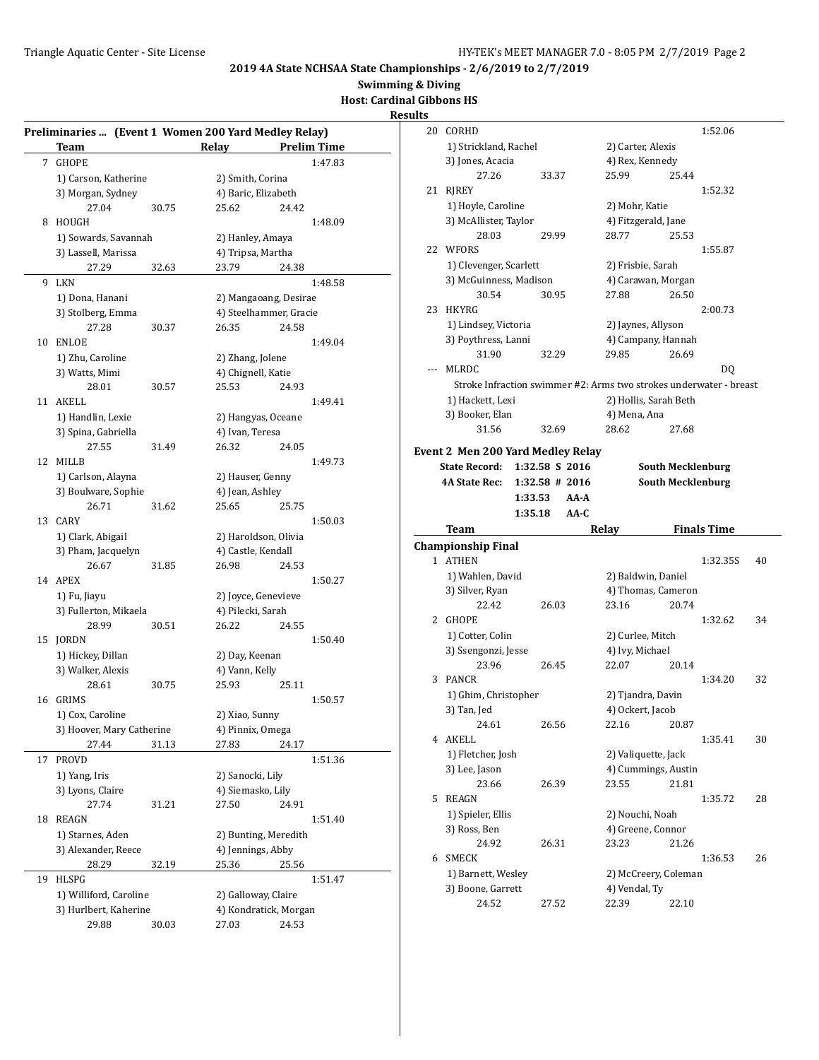**Swimming & Diving**

**Host: Cardinal Gibbons HS**

#### **Results**

|    | Preliminaries  (Event 1 Women 200 Yard Medley Relay) |       |                                            |       |                    |
|----|------------------------------------------------------|-------|--------------------------------------------|-------|--------------------|
|    | <b>Team</b>                                          |       | <b>Relay</b>                               |       | <b>Prelim Time</b> |
| 7  | <b>GHOPE</b>                                         |       |                                            |       | 1:47.83            |
|    | 1) Carson, Katherine                                 |       | 2) Smith, Corina                           |       |                    |
|    | 3) Morgan, Sydney                                    |       | 4) Baric, Elizabeth                        |       |                    |
|    | 27.04                                                | 30.75 | 25.62                                      | 24.42 |                    |
| 8  | HOUGH                                                |       |                                            |       | 1:48.09            |
|    | 1) Sowards, Savannah                                 |       | 2) Hanley, Amaya                           |       |                    |
|    | 3) Lassell, Marissa                                  |       | 4) Tripsa, Martha                          |       |                    |
|    | 27.29                                                | 32.63 | 23.79                                      | 24.38 |                    |
| 9  | LKN                                                  |       |                                            |       | 1:48.58            |
|    | 1) Dona, Hanani                                      |       | 2) Mangaoang, Desirae                      |       |                    |
|    | 3) Stolberg, Emma                                    |       | 4) Steelhammer, Gracie                     |       |                    |
|    | 27.28                                                | 30.37 | 26.35                                      | 24.58 |                    |
| 10 | ENLOE                                                |       |                                            |       | 1:49.04            |
|    | 1) Zhu, Caroline                                     |       | 2) Zhang, Jolene                           |       |                    |
|    | 3) Watts, Mimi                                       |       | 4) Chignell, Katie                         |       |                    |
|    | 28.01                                                | 30.57 | 25.53                                      | 24.93 |                    |
| 11 | AKELL                                                |       |                                            |       | 1:49.41            |
|    | 1) Handlin, Lexie                                    |       | 2) Hangyas, Oceane                         |       |                    |
|    | 3) Spina, Gabriella                                  |       | 4) Ivan, Teresa                            |       |                    |
|    | 27.55                                                | 31.49 | 26.32                                      | 24.05 |                    |
| 12 | <b>MILLB</b>                                         |       |                                            |       | 1:49.73            |
|    | 1) Carlson, Alayna                                   |       | 2) Hauser, Genny                           |       |                    |
|    | 3) Boulware, Sophie                                  |       | 4) Jean, Ashley                            |       |                    |
|    | 26.71                                                | 31.62 | 25.65                                      | 25.75 |                    |
| 13 | CARY                                                 |       |                                            |       | 1:50.03            |
|    | 1) Clark, Abigail                                    |       |                                            |       |                    |
|    | 3) Pham, Jacquelyn                                   |       | 2) Haroldson, Olivia<br>4) Castle, Kendall |       |                    |
|    | 26.67                                                | 31.85 | 26.98                                      | 24.53 |                    |
|    | 14 APEX                                              |       |                                            |       | 1:50.27            |
|    |                                                      |       |                                            |       |                    |
|    | 1) Fu, Jiayu<br>3) Fullerton, Mikaela                |       | 2) Joyce, Genevieve<br>4) Pilecki, Sarah   |       |                    |
|    | 28.99                                                | 30.51 | 26.22                                      | 24.55 |                    |
| 15 |                                                      |       |                                            |       | 1:50.40            |
|    | <b>JORDN</b><br>1) Hickey, Dillan                    |       |                                            |       |                    |
|    | 3) Walker, Alexis                                    |       | 2) Day, Keenan<br>4) Vann, Kelly           |       |                    |
|    |                                                      |       |                                            |       |                    |
| 16 | 28.61<br><b>GRIMS</b>                                | 30.75 | 25.93                                      | 25.11 | 1:50.57            |
|    |                                                      |       |                                            |       |                    |
|    | 1) Cox, Caroline<br>3) Hoover, Mary Catherine        |       | 2) Xiao, Sunny<br>4) Pinnix, Omega         |       |                    |
|    |                                                      |       |                                            |       |                    |
|    | 27.44                                                | 31.13 | 27.83                                      | 24.17 |                    |
| 17 | PROVD                                                |       |                                            |       | 1:51.36            |
|    | 1) Yang, Iris                                        |       | 2) Sanocki, Lily                           |       |                    |
|    | 3) Lyons, Claire                                     |       | 4) Siemasko, Lily                          |       |                    |
|    | 27.74                                                | 31.21 | 27.50                                      | 24.91 |                    |
| 18 | <b>REAGN</b>                                         |       |                                            |       | 1:51.40            |
|    | 1) Starnes, Aden                                     |       | 2) Bunting, Meredith                       |       |                    |
|    | 3) Alexander, Reece                                  |       | 4) Jennings, Abby                          |       |                    |
|    | 28.29                                                | 32.19 | 25.36                                      | 25.56 |                    |
| 19 | <b>HLSPG</b>                                         |       |                                            |       | 1:51.47            |
|    | 1) Williford, Caroline                               |       | 2) Galloway, Claire                        |       |                    |
|    | 3) Hurlbert, Kaherine                                |       | 4) Kondratick, Morgan                      |       |                    |
|    | 29.88                                                | 30.03 | 27.03                                      | 24.53 |                    |

| 20    | CORHD                                                              |                  |                        |       | 1:52.06                  |    |
|-------|--------------------------------------------------------------------|------------------|------------------------|-------|--------------------------|----|
|       | 1) Strickland, Rachel                                              |                  | 2) Carter, Alexis      |       |                          |    |
|       | 3) Jones, Acacia                                                   |                  | 4) Rex, Kennedy        |       |                          |    |
|       | 27.26                                                              | 33.37            | 25.99                  | 25.44 |                          |    |
| 21    | RJREY                                                              |                  |                        |       | 1:52.32                  |    |
|       | 1) Hoyle, Caroline                                                 |                  | 2) Mohr, Katie         |       |                          |    |
|       | 3) McAllister, Taylor                                              |                  | 4) Fitzgerald, Jane    |       |                          |    |
|       | 28.03                                                              | 29.99            | 28.77                  | 25.53 |                          |    |
|       | 22 WFORS                                                           |                  |                        |       |                          |    |
|       |                                                                    |                  |                        |       | 1:55.87                  |    |
|       | 1) Clevenger, Scarlett                                             |                  | 2) Frisbie, Sarah      |       |                          |    |
|       | 3) McGuinness, Madison                                             |                  | 4) Carawan, Morgan     |       |                          |    |
|       | 30.54                                                              | 30.95            | 27.88                  | 26.50 |                          |    |
| 23    | HKYRG                                                              |                  |                        |       | 2:00.73                  |    |
|       | 1) Lindsey, Victoria                                               |                  | 2) Jaynes, Allyson     |       |                          |    |
|       | 3) Poythress, Lanni                                                |                  | 4) Campany, Hannah     |       |                          |    |
|       | 31.90                                                              | 32.29            | 29.85                  | 26.69 |                          |    |
| $---$ | MLRDC                                                              |                  |                        |       | DO.                      |    |
|       | Stroke Infraction swimmer #2: Arms two strokes underwater - breast |                  |                        |       |                          |    |
|       | 1) Hackett, Lexi                                                   |                  | 2) Hollis, Sarah Beth  |       |                          |    |
|       | 3) Booker, Elan                                                    |                  | 4) Mena, Ana           |       |                          |    |
|       | 31.56                                                              | 32.69            | 28.62                  | 27.68 |                          |    |
|       | <b>Event 2 Men 200 Yard Medley Relay</b>                           |                  |                        |       |                          |    |
|       | State Record: 1:32.58 S 2016                                       |                  |                        |       | <b>South Mecklenburg</b> |    |
|       | <b>4A State Rec:</b>                                               | $1:32.58$ # 2016 |                        |       | <b>South Mecklenburg</b> |    |
|       | 1:33.53                                                            | $AA-A$           |                        |       |                          |    |
|       |                                                                    |                  |                        |       |                          |    |
|       |                                                                    |                  |                        |       |                          |    |
|       | 1:35.18                                                            | $AA-C$           |                        |       |                          |    |
|       | Team                                                               |                  | Relay                  |       | <b>Finals Time</b>       |    |
|       | <b>Championship Final</b>                                          |                  |                        |       |                          |    |
|       | 1 ATHEN                                                            |                  |                        |       | 1:32.35S                 | 40 |
|       | 1) Wahlen, David                                                   |                  | 2) Baldwin, Daniel     |       |                          |    |
|       | 3) Silver, Ryan                                                    |                  | 4) Thomas, Cameron     |       |                          |    |
|       | 22.42                                                              | 26.03            | 23.16                  | 20.74 |                          |    |
|       | 2 GHOPE                                                            |                  |                        |       | 1:32.62                  | 34 |
|       | 1) Cotter, Colin                                                   |                  | 2) Curlee, Mitch       |       |                          |    |
|       | 3) Ssengonzi, Jesse                                                |                  | 4) Ivy, Michael        |       |                          |    |
|       | 23.96                                                              | 26.45            | 22.07                  | 20.14 |                          |    |
| 3     | PANCR                                                              |                  |                        |       | 1:34.20                  | 32 |
|       | 1) Ghim, Christopher                                               |                  | 2) Tjandra, Davin      |       |                          |    |
|       | 3) Tan, Jed                                                        |                  | 4) Ockert, Jacob       |       |                          |    |
|       | 24.61                                                              | 26.56            | 22.16                  | 20.87 |                          |    |
|       | 4 AKELL                                                            |                  |                        |       | 1:35.41                  | 30 |
|       | 1) Fletcher, Josh                                                  |                  | 2) Valiquette, Jack    |       |                          |    |
|       | 3) Lee, Jason                                                      |                  | 4) Cummings, Austin    |       |                          |    |
|       | 23.66                                                              | 26.39            | 23.55                  | 21.81 |                          |    |
| 5     | REAGN                                                              |                  |                        |       | 1:35.72                  | 28 |
|       | 1) Spieler, Ellis                                                  |                  | 2) Nouchi, Noah        |       |                          |    |
|       | 3) Ross, Ben                                                       |                  | 4) Greene, Connor      |       |                          |    |
|       | 24.92                                                              | 26.31            | 23.23                  | 21.26 |                          |    |
| 6     | SMECK                                                              |                  |                        |       | 1:36.53                  | 26 |
|       | 1) Barnett, Wesley                                                 |                  | 2) McCreery, Coleman   |       |                          |    |
|       | 3) Boone, Garrett<br>24.52                                         |                  | 4) Vendal, Ty<br>22.39 | 22.10 |                          |    |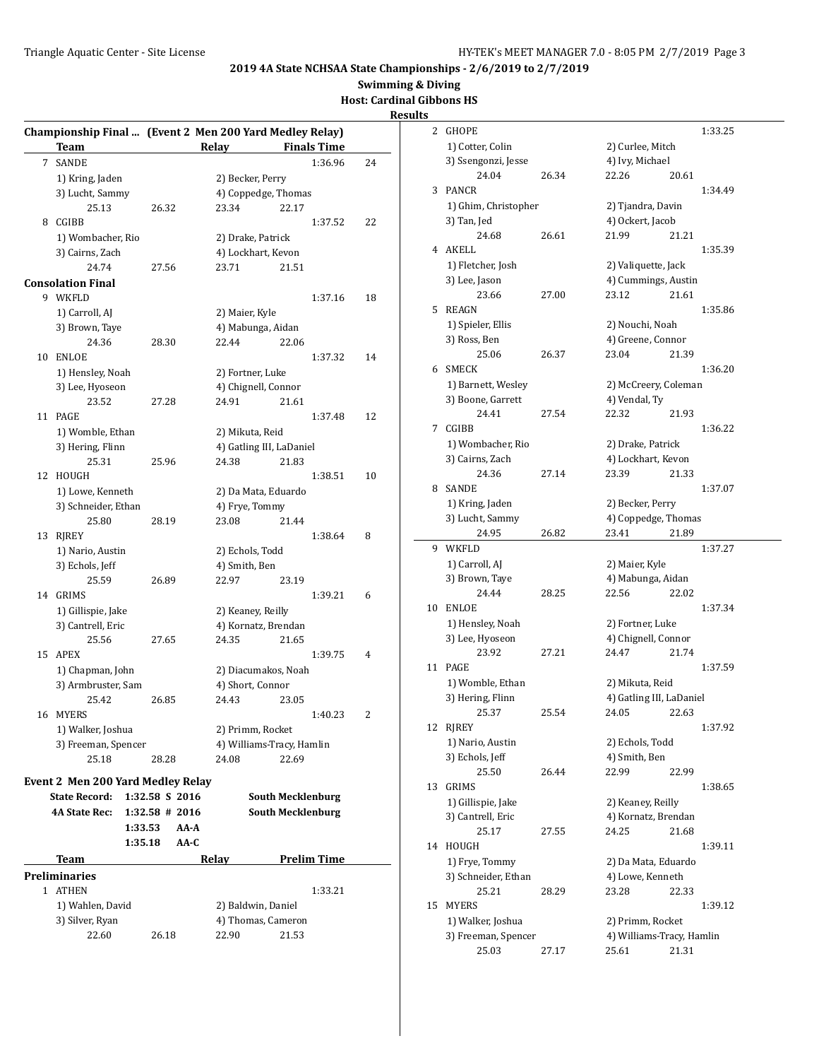**Swimming & Diving**

# **Host: Cardinal Gibbons HS**

|    | Team                              |                   |               | Championship Final  (Event 2 Men 200 Yard Medley Relay)<br>Relay Finals Time |    |
|----|-----------------------------------|-------------------|---------------|------------------------------------------------------------------------------|----|
| 7  | <b>SANDE</b>                      |                   |               | 1:36.96                                                                      | 24 |
|    | 1) Kring, Jaden                   |                   |               | 2) Becker, Perry                                                             |    |
|    | 3) Lucht, Sammy                   |                   |               | 4) Coppedge, Thomas                                                          |    |
|    | 25.13                             | 26.32             | 23.34         | 22.17                                                                        |    |
| 8  | CGIBB                             |                   |               | 1:37.52                                                                      | 22 |
|    | 1) Wombacher, Rio                 |                   |               | 2) Drake, Patrick                                                            |    |
|    | 3) Cairns, Zach                   |                   |               | 4) Lockhart, Kevon                                                           |    |
|    | 24.74                             | 27.56             | 23.71         | 21.51                                                                        |    |
|    |                                   |                   |               |                                                                              |    |
|    | Consolation Final                 |                   |               |                                                                              |    |
|    | 9 WKFLD                           |                   |               | 1:37.16                                                                      | 18 |
|    | 1) Carroll, AJ                    |                   |               | 2) Maier, Kyle                                                               |    |
|    | 3) Brown, Taye                    |                   |               | 4) Mabunga, Aidan                                                            |    |
|    | 24.36                             | 28.30             | 22.44         | 22.06                                                                        |    |
| 10 | <b>ENLOE</b>                      |                   |               | 1:37.32                                                                      | 14 |
|    | 1) Hensley, Noah                  |                   |               | 2) Fortner, Luke                                                             |    |
|    | 3) Lee, Hyoseon                   |                   |               | 4) Chignell, Connor                                                          |    |
|    | 23.52                             | 27.28             | 24.91         | 21.61                                                                        |    |
| 11 | PAGE                              |                   |               | 1:37.48                                                                      | 12 |
|    | 1) Womble, Ethan                  |                   |               | 2) Mikuta, Reid                                                              |    |
|    | 3) Hering, Flinn                  |                   |               | 4) Gatling III, LaDaniel                                                     |    |
|    | 25.31                             | 25.96             | 24.38         | 21.83                                                                        |    |
| 12 | <b>HOUGH</b>                      |                   |               | 1:38.51                                                                      | 10 |
|    | 1) Lowe, Kenneth                  |                   |               | 2) Da Mata, Eduardo                                                          |    |
|    | 3) Schneider, Ethan               |                   |               | 4) Frye, Tommy                                                               |    |
|    | 25.80                             | 28.19             | 23.08         | 21.44                                                                        |    |
| 13 | RJREY                             |                   |               | 1:38.64                                                                      | 8  |
|    | 1) Nario, Austin                  |                   |               | 2) Echols, Todd                                                              |    |
|    | 3) Echols, Jeff                   |                   | 4) Smith, Ben |                                                                              |    |
|    | 25.59                             | 26.89             | 22.97         | 23.19                                                                        |    |
| 14 | GRIMS                             |                   |               | 1:39.21                                                                      | 6  |
|    | 1) Gillispie, Jake                |                   |               | 2) Keaney, Reilly                                                            |    |
|    | 3) Cantrell, Eric                 |                   |               | 4) Kornatz, Brendan                                                          |    |
|    | 25.56                             | 27.65             | 24.35         | 21.65                                                                        |    |
|    | 15 APEX                           |                   |               |                                                                              |    |
|    |                                   |                   |               | 1:39.75                                                                      | 4  |
|    | 1) Chapman, John                  |                   |               | 2) Diacumakos, Noah                                                          |    |
|    | 3) Armbruster, Sam                |                   |               | 4) Short, Connor                                                             |    |
|    | 25.42                             | 26.85             | 24.43         | 23.05                                                                        |    |
| 16 | <b>MYERS</b>                      |                   |               | 1:40.23                                                                      | 2  |
|    | 1) Walker, Joshua                 |                   |               | 2) Primm, Rocket                                                             |    |
|    | 3) Freeman, Spencer               |                   |               | 4) Williams-Tracy, Hamlin                                                    |    |
|    | 25.18                             | 28.28             | 24.08         | 22.69                                                                        |    |
|    | Event 2 Men 200 Yard Medley Relay |                   |               |                                                                              |    |
|    | <b>State Record:</b>              | 1:32.58 S 2016    |               | <b>South Mecklenburg</b>                                                     |    |
|    | <b>4A State Rec:</b>              | $1:32.58 \# 2016$ |               | <b>South Mecklenburg</b>                                                     |    |
|    |                                   |                   |               |                                                                              |    |
|    |                                   | 1:33.53           | AA-A          |                                                                              |    |
|    |                                   | 1:35.18           | AA-C          |                                                                              |    |
|    | <b>Team</b>                       |                   | Relay         | <b>Prelim Time</b>                                                           |    |
|    | Preliminaries                     |                   |               |                                                                              |    |
|    | 1 ATHEN                           |                   |               | 1:33.21                                                                      |    |
|    | 1) Wahlen, David                  |                   |               | 2) Baldwin, Daniel                                                           |    |
|    | 3) Silver, Ryan                   |                   |               | 4) Thomas, Cameron                                                           |    |
|    | 22.60                             | 26.18             | 22.90         | 21.53                                                                        |    |
|    |                                   |                   |               |                                                                              |    |

| 2  | <b>GHOPE</b>                 |       |                           |       | 1:33.25 |
|----|------------------------------|-------|---------------------------|-------|---------|
|    | 1) Cotter, Colin             |       | 2) Curlee, Mitch          |       |         |
|    | 3) Ssengonzi, Jesse          |       | 4) Ivy, Michael           |       |         |
|    | 24.04                        | 26.34 | 22.26                     | 20.61 |         |
| 3  | PANCR                        |       |                           |       | 1:34.49 |
|    | 1) Ghim, Christopher         |       | 2) Tjandra, Davin         |       |         |
|    | 3) Tan, Jed                  |       | 4) Ockert, Jacob          |       |         |
|    | 24.68                        | 26.61 | 21.99                     | 21.21 |         |
| 4  | AKELL                        |       |                           |       | 1:35.39 |
|    | 1) Fletcher, Josh            |       | 2) Valiquette, Jack       |       |         |
|    | 3) Lee, Jason                |       | 4) Cummings, Austin       |       |         |
|    | 23.66                        | 27.00 | 23.12                     | 21.61 |         |
| 5  | <b>REAGN</b>                 |       |                           |       | 1:35.86 |
|    | 1) Spieler, Ellis            |       | 2) Nouchi, Noah           |       |         |
|    | 3) Ross, Ben                 |       | 4) Greene, Connor         |       |         |
|    | 25.06                        | 26.37 | 23.04                     | 21.39 |         |
| 6  | <b>SMECK</b>                 |       |                           |       | 1:36.20 |
|    | 1) Barnett, Wesley           |       | 2) McCreery, Coleman      |       |         |
|    | 3) Boone, Garrett            |       | 4) Vendal, Ty             |       |         |
|    | 24.41                        | 27.54 | 22.32                     | 21.93 |         |
| 7  | CGIBB                        |       |                           |       | 1:36.22 |
|    | 1) Wombacher, Rio            |       | 2) Drake, Patrick         |       |         |
|    | 3) Cairns, Zach              |       | 4) Lockhart, Kevon        |       |         |
|    | 24.36                        | 27.14 | 23.39                     | 21.33 |         |
| 8  | <b>SANDE</b>                 |       |                           |       | 1:37.07 |
|    | 1) Kring, Jaden              |       | 2) Becker, Perry          |       |         |
|    | 3) Lucht, Sammy              |       | 4) Coppedge, Thomas       |       |         |
|    | 24.95                        | 26.82 | 23.41                     | 21.89 |         |
| 9  | WKFLD                        |       |                           |       | 1:37.27 |
|    | 1) Carroll, AJ               |       | 2) Maier, Kyle            |       |         |
|    |                              |       |                           |       |         |
|    | 3) Brown, Taye               |       | 4) Mabunga, Aidan         |       |         |
|    | 24.44                        | 28.25 | 22.56                     | 22.02 |         |
| 10 | <b>ENLOE</b>                 |       |                           |       | 1:37.34 |
|    | 1) Hensley, Noah             |       | 2) Fortner, Luke          |       |         |
|    | 3) Lee, Hyoseon              |       | 4) Chignell, Connor       |       |         |
|    | 23.92                        | 27.21 | 24.47                     | 21.74 |         |
| 11 | PAGE                         |       |                           |       | 1:37.59 |
|    | 1) Womble, Ethan             |       | 2) Mikuta, Reid           |       |         |
|    | 3) Hering, Flinn             |       | 4) Gatling III, LaDaniel  |       |         |
|    | 25.37                        | 25.54 | 24.05 22.63               |       |         |
| 12 | RJREY                        |       |                           |       | 1:37.92 |
|    | 1) Nario, Austin             |       | 2) Echols, Todd           |       |         |
|    | 3) Echols, Jeff              |       | 4) Smith, Ben             |       |         |
|    | 25.50                        | 26.44 | 22.99                     | 22.99 |         |
| 13 | GRIMS                        |       |                           |       | 1:38.65 |
|    | 1) Gillispie, Jake           |       | 2) Keaney, Reilly         |       |         |
|    | 3) Cantrell, Eric            |       | 4) Kornatz, Brendan       |       |         |
| 14 | 25.17<br>HOUGH               | 27.55 | 24.25                     | 21.68 | 1:39.11 |
|    |                              |       |                           |       |         |
|    | 1) Frye, Tommy               |       | 2) Da Mata, Eduardo       |       |         |
|    | 3) Schneider, Ethan<br>25.21 | 28.29 | 4) Lowe, Kenneth<br>23.28 | 22.33 |         |
| 15 | <b>MYERS</b>                 |       |                           |       | 1:39.12 |
|    | 1) Walker, Joshua            |       | 2) Primm, Rocket          |       |         |
|    | 3) Freeman, Spencer          |       | 4) Williams-Tracy, Hamlin |       |         |
|    | 25.03                        | 27.17 | 25.61                     | 21.31 |         |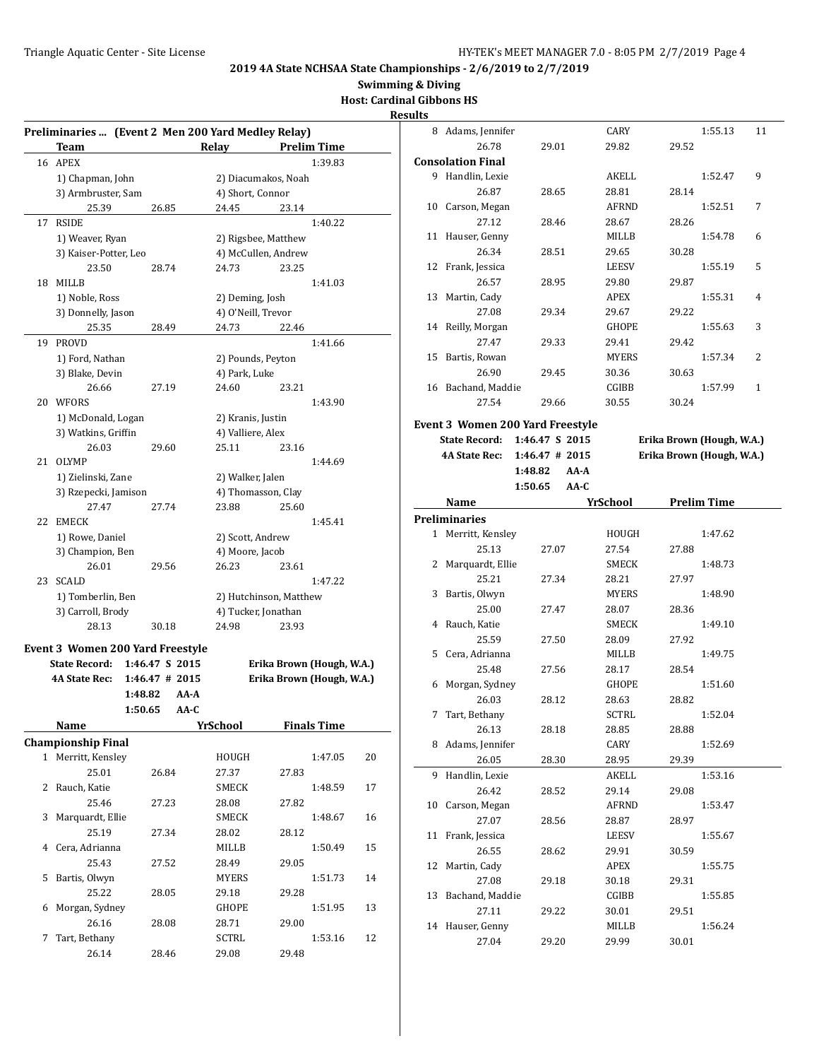8 Adams, Jennifer CARY 1:55.13 11

# **2019 4A State NCHSAA State Championships - 2/6/2019 to 2/7/2019**

# **Swimming & Diving**

**Host: Cardinal Gibbons HS**

#### **Results**

|    | Preliminaries  (Event 2 Men 200 Yard Medley Relay)<br>Team |                  | Relay              | <b>Prelim Time</b>        |    |
|----|------------------------------------------------------------|------------------|--------------------|---------------------------|----|
|    | 16 APEX                                                    |                  |                    | 1:39.83                   |    |
|    |                                                            |                  |                    |                           |    |
|    | 1) Chapman, John                                           |                  |                    | 2) Diacumakos, Noah       |    |
|    | 3) Armbruster, Sam                                         |                  | 4) Short, Connor   |                           |    |
|    | 25.39                                                      | 26.85            | 24.45              | 23.14                     |    |
| 17 | <b>RSIDE</b>                                               |                  |                    | 1:40.22                   |    |
|    | 1) Weaver, Ryan                                            |                  |                    | 2) Rigsbee, Matthew       |    |
|    | 3) Kaiser-Potter, Leo                                      |                  |                    | 4) McCullen, Andrew       |    |
|    | 23.50                                                      | 28.74            | 24.73              | 23.25                     |    |
| 18 | <b>MILLB</b>                                               |                  |                    | 1:41.03                   |    |
|    | 1) Noble, Ross                                             |                  | 2) Deming, Josh    |                           |    |
|    | 3) Donnelly, Jason                                         |                  | 4) O'Neill, Trevor |                           |    |
|    | 25.35                                                      | 28.49            | 24.73              | 22.46                     |    |
| 19 | <b>PROVD</b>                                               |                  |                    | 1:41.66                   |    |
|    | 1) Ford, Nathan                                            |                  | 2) Pounds, Peyton  |                           |    |
|    | 3) Blake, Devin                                            |                  | 4) Park, Luke      |                           |    |
|    | 26.66                                                      | 27.19            | 24.60              | 23.21                     |    |
| 20 | WFORS                                                      |                  |                    | 1:43.90                   |    |
|    | 1) McDonald, Logan                                         |                  | 2) Kranis, Justin  |                           |    |
|    | 3) Watkins, Griffin                                        |                  | 4) Valliere, Alex  |                           |    |
|    | 26.03                                                      | 29.60            | 25.11              | 23.16                     |    |
| 21 | <b>OLYMP</b>                                               |                  |                    | 1:44.69                   |    |
|    | 1) Zielinski, Zane                                         |                  | 2) Walker, Jalen   |                           |    |
|    | 3) Rzepecki, Jamison                                       |                  |                    | 4) Thomasson, Clay        |    |
|    | 27.47                                                      | 27.74            | 23.88              | 25.60                     |    |
| 22 | EMECK                                                      |                  |                    | 1:45.41                   |    |
|    | 1) Rowe, Daniel                                            |                  | 2) Scott, Andrew   |                           |    |
|    | 3) Champion, Ben                                           |                  | 4) Moore, Jacob    |                           |    |
|    | 26.01                                                      | 29.56            | 26.23              | 23.61                     |    |
| 23 | <b>SCALD</b>                                               |                  |                    | 1:47.22                   |    |
|    |                                                            |                  |                    |                           |    |
|    | 1) Tomberlin, Ben                                          |                  |                    | 2) Hutchinson, Matthew    |    |
|    | 3) Carroll, Brody                                          |                  |                    | 4) Tucker, Jonathan       |    |
|    | 28.13                                                      | 30.18            | 24.98              | 23.93                     |    |
|    | <b>Event 3 Women 200 Yard Freestyle</b>                    |                  |                    |                           |    |
|    | <b>State Record:</b>                                       | 1:46.47 S 2015   |                    | Erika Brown (Hough, W.A.) |    |
|    | 4A State Rec:                                              | $1:46.47$ # 2015 |                    | Erika Brown (Hough, W.A.) |    |
|    |                                                            | 1:48.82          | AA-A               |                           |    |
|    |                                                            | 1:50.65          | AA-C               |                           |    |
|    | Name                                                       |                  | <u>YrSchool</u>    | <b>Finals Time</b>        |    |
|    | <b>Championship Final</b>                                  |                  |                    |                           |    |
|    | 1 Merritt, Kensley                                         |                  | HOUGH              | 1:47.05                   | 20 |
|    | 25.01                                                      | 26.84            | 27.37              | 27.83                     |    |
| 2  | Rauch, Katie                                               |                  | SMECK              | 1:48.59                   | 17 |
|    | 25.46                                                      | 27.23            | 28.08              | 27.82                     |    |
| 3  | Marquardt, Ellie                                           |                  | SMECK              | 1:48.67                   | 16 |
|    | 25.19                                                      | 27.34            | 28.02              | 28.12                     |    |
| 4  | Cera, Adrianna                                             |                  | MILLB              | 1:50.49                   | 15 |
|    | 25.43                                                      | 27.52            | 28.49              | 29.05                     |    |
| 5  | Bartis, Olwyn                                              |                  | <b>MYERS</b>       | 1:51.73                   | 14 |
|    | 25.22                                                      | 28.05            | 29.18              | 29.28                     |    |
| 6  | Morgan, Sydney                                             |                  | GHOPE              | 1:51.95                   | 13 |
|    | 26.16                                                      |                  |                    |                           |    |
|    |                                                            | 28.08            | 28.71              | 29.00                     |    |
| 7  | Tart, Bethany                                              |                  | SCTRL              | 1:53.16                   | 12 |
|    | 26.14                                                      | 28.46            | 29.08              | 29.48                     |    |

|    | 26.78                    | 29.01                                   | 29.82           | 29.52              |                           |  |
|----|--------------------------|-----------------------------------------|-----------------|--------------------|---------------------------|--|
|    | <b>Consolation Final</b> |                                         |                 |                    |                           |  |
|    | 9 Handlin, Lexie         |                                         | <b>AKELL</b>    |                    | 1:52.47<br>9              |  |
|    | 26.87                    | 28.65                                   | 28.81           | 28.14              |                           |  |
|    | 10 Carson, Megan         |                                         | <b>AFRND</b>    |                    | 1:52.51<br>7              |  |
|    | 27.12                    | 28.46                                   | 28.67           | 28.26              |                           |  |
|    | 11 Hauser, Genny         |                                         | MILLB           |                    | 1:54.78<br>6              |  |
|    | 26.34                    | 28.51                                   | 29.65           | 30.28              |                           |  |
|    | 12 Frank, Jessica        |                                         | <b>LEESV</b>    |                    | 5<br>1:55.19              |  |
|    | 26.57                    | 28.95                                   | 29.80           | 29.87              |                           |  |
| 13 | Martin, Cady             |                                         | <b>APEX</b>     |                    | 1:55.31<br>4              |  |
|    | 27.08                    | 29.34                                   | 29.67           | 29.22              |                           |  |
|    | 14 Reilly, Morgan        |                                         | <b>GHOPE</b>    |                    | 3<br>1:55.63              |  |
|    | 27.47                    | 29.33                                   | 29.41           | 29.42              |                           |  |
|    | 15 Bartis, Rowan         |                                         | MYERS           |                    | 2<br>1:57.34              |  |
|    | 26.90                    | 29.45                                   | 30.36           | 30.63              |                           |  |
|    | 16 Bachand, Maddie       |                                         | CGIBB           |                    | 1<br>1:57.99              |  |
|    | 27.54                    | 29.66                                   | 30.55           | 30.24              |                           |  |
|    |                          | <b>Event 3 Women 200 Yard Freestyle</b> |                 |                    |                           |  |
|    | <b>State Record:</b>     | 1:46.47 S 2015                          |                 |                    | Erika Brown (Hough, W.A.) |  |
|    | <b>4A State Rec:</b>     | $1:46.47$ # 2015                        |                 |                    | Erika Brown (Hough, W.A.) |  |
|    |                          | 1:48.82<br>AA-A                         |                 |                    |                           |  |
|    |                          | 1:50.65<br>$AA-C$                       |                 |                    |                           |  |
|    | Name                     |                                         | <b>YrSchool</b> | <b>Prelim Time</b> |                           |  |
|    |                          |                                         |                 |                    |                           |  |
|    | <b>Preliminaries</b>     |                                         |                 |                    |                           |  |
|    | 1 Merritt, Kensley       |                                         | HOUGH           |                    | 1:47.62                   |  |
|    | 25.13                    | 27.07                                   | 27.54           | 27.88              |                           |  |
|    | 2 Marquardt, Ellie       |                                         | SMECK           |                    | 1:48.73                   |  |
|    | 25.21                    | 27.34                                   | 28.21           | 27.97              |                           |  |
| 3  | Bartis, Olwyn            |                                         | <b>MYERS</b>    |                    | 1:48.90                   |  |
|    | 25.00                    | 27.47                                   | 28.07           | 28.36              |                           |  |
|    | 4 Rauch, Katie           |                                         |                 |                    |                           |  |
|    |                          |                                         | SMECK           |                    | 1:49.10                   |  |
|    | 25.59                    | 27.50                                   | 28.09           | 27.92              |                           |  |
|    | 5 Cera, Adrianna         |                                         | MILLB           |                    | 1:49.75                   |  |
|    | 25.48                    | 27.56                                   | 28.17           | 28.54              |                           |  |
| 6  | Morgan, Sydney           |                                         | GHOPE           |                    | 1:51.60                   |  |
|    | 26.03                    | 28.12                                   | 28.63           | 28.82              |                           |  |
| 7  | Tart, Bethany            |                                         | SCTRL           |                    | 1:52.04                   |  |
|    | 26.13                    | 28.18                                   | 28.85           | 28.88              |                           |  |
| 8  | Adams, Jennifer          |                                         | CARY            |                    | 1:52.69                   |  |
|    | 26.05                    | 28.30                                   | 28.95           | 29.39              |                           |  |
| 9  | Handlin, Lexie           |                                         | AKELL           |                    | 1:53.16                   |  |
|    | 26.42                    | 28.52                                   | 29.14           | 29.08              |                           |  |
| 10 | Carson, Megan            |                                         | AFRND           |                    | 1:53.47                   |  |
|    | 27.07                    | 28.56                                   | 28.87           | 28.97              |                           |  |
| 11 | Frank, Jessica           |                                         | LEESV           |                    | 1:55.67                   |  |
|    | 26.55                    | 28.62                                   | 29.91           | 30.59              |                           |  |
| 12 | Martin, Cady             |                                         | APEX            |                    | 1:55.75                   |  |
|    | 27.08                    | 29.18                                   | 30.18           | 29.31              |                           |  |
| 13 | Bachand, Maddie          |                                         | CGIBB           |                    | 1:55.85                   |  |
| 14 | 27.11<br>Hauser, Genny   | 29.22                                   | 30.01<br>MILLB  | 29.51              | 1:56.24                   |  |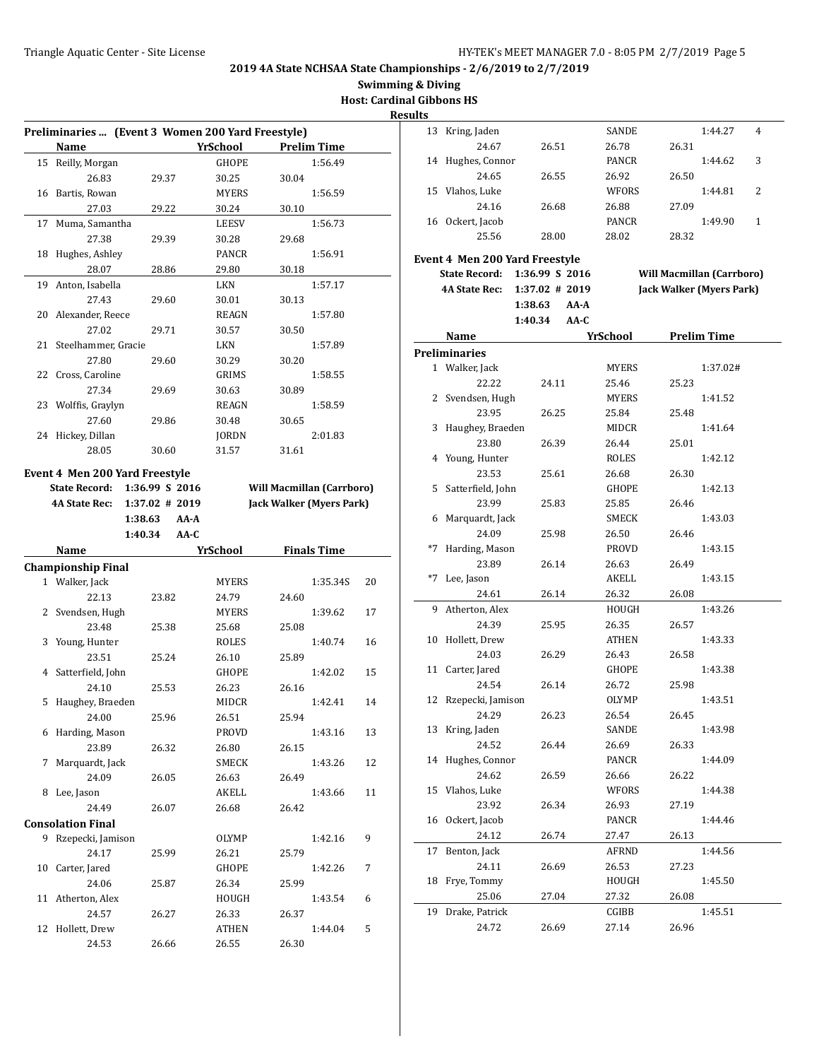**Swimming & Diving**

**Host: Cardinal Gibbons HS Results**

|    | Preliminaries  (Event 3 Women 200 Yard Freestyle) |                   |                 |       |                                  |    |
|----|---------------------------------------------------|-------------------|-----------------|-------|----------------------------------|----|
|    | Name                                              |                   | <b>YrSchool</b> |       | <b>Prelim Time</b>               |    |
| 15 | Reilly, Morgan                                    |                   | GHOPE           |       | 1:56.49                          |    |
|    | 26.83                                             | 29.37             | 30.25           | 30.04 |                                  |    |
| 16 | Bartis, Rowan                                     |                   | <b>MYERS</b>    |       | 1:56.59                          |    |
|    | 27.03                                             | 29.22             | 30.24           | 30.10 |                                  |    |
| 17 | Muma, Samantha                                    |                   | <b>LEESV</b>    |       | 1:56.73                          |    |
|    | 27.38                                             | 29.39             | 30.28           | 29.68 |                                  |    |
| 18 | Hughes, Ashley                                    |                   | PANCR           |       | 1:56.91                          |    |
|    | 28.07                                             | 28.86             | 29.80           | 30.18 |                                  |    |
| 19 | Anton, Isabella                                   |                   | <b>LKN</b>      |       | 1:57.17                          |    |
|    | 27.43                                             | 29.60             | 30.01           | 30.13 |                                  |    |
|    | 20 Alexander, Reece                               |                   | REAGN           |       | 1:57.80                          |    |
|    | 27.02                                             | 29.71             | 30.57           | 30.50 |                                  |    |
| 21 | Steelhammer, Gracie                               |                   | LKN             |       | 1:57.89                          |    |
|    | 27.80                                             | 29.60             | 30.29           | 30.20 |                                  |    |
| 22 | Cross. Caroline                                   |                   | <b>GRIMS</b>    |       | 1:58.55                          |    |
|    | 27.34                                             | 29.69             | 30.63           | 30.89 |                                  |    |
| 23 | Wolffis, Graylyn                                  |                   | REAGN           |       | 1:58.59                          |    |
|    | 27.60                                             | 29.86             | 30.48           | 30.65 |                                  |    |
| 24 | Hickey, Dillan                                    |                   | <b>JORDN</b>    |       | 2:01.83                          |    |
|    | 28.05                                             | 30.60             | 31.57           | 31.61 |                                  |    |
|    |                                                   |                   |                 |       |                                  |    |
|    | Event 4 Men 200 Yard Freestyle                    |                   |                 |       |                                  |    |
|    | <b>State Record:</b>                              | 1:36.99 S 2016    |                 |       | <b>Will Macmillan (Carrboro)</b> |    |
|    | <b>4A State Rec:</b>                              | $1:37.02$ # 2019  |                 |       | <b>Jack Walker (Myers Park)</b>  |    |
|    |                                                   | 1:38.63<br>$AA-A$ |                 |       |                                  |    |
|    |                                                   | 1:40.34<br>AA-C   |                 |       |                                  |    |
|    |                                                   |                   |                 |       |                                  |    |
|    | Name                                              |                   | <b>YrSchool</b> |       | <b>Finals Time</b>               |    |
|    | <b>Championship Final</b>                         |                   |                 |       |                                  |    |
|    | 1 Walker, Jack                                    |                   | MYERS           |       | 1:35.34S                         | 20 |
|    | 22.13                                             | 23.82             | 24.79           | 24.60 |                                  |    |
| 2  | Svendsen, Hugh                                    |                   | <b>MYERS</b>    |       | 1:39.62                          | 17 |
|    | 23.48                                             | 25.38             | 25.68           | 25.08 |                                  |    |
| 3  | Young, Hunter                                     |                   | ROLES           |       | 1:40.74                          | 16 |
|    | 23.51                                             | 25.24             | 26.10           | 25.89 |                                  |    |
| 4  | Satterfield, John                                 |                   | GHOPE           |       | 1:42.02                          | 15 |
|    | 24.10                                             | 25.53             | 26.23           | 26.16 |                                  |    |
| 5  |                                                   |                   | MIDCR           |       | 1:42.41                          | 14 |
|    | Haughey, Braeden                                  |                   |                 |       |                                  |    |
|    | 24.00                                             | 25.96             | 26.51           | 25.94 |                                  |    |
| 6  | Harding, Mason                                    |                   | PROVD           |       | 1:43.16                          | 13 |
|    | 23.89                                             | 26.32             | 26.80           | 26.15 |                                  |    |
| 7  | Marquardt, Jack                                   |                   | <b>SMECK</b>    |       | 1:43.26                          | 12 |
|    | 24.09                                             | 26.05             | 26.63           | 26.49 |                                  |    |
| 8  | Lee, Jason                                        |                   | AKELL           |       | 1:43.66                          | 11 |
|    | 24.49                                             | 26.07             | 26.68           | 26.42 |                                  |    |
|    | <b>Consolation Final</b>                          |                   |                 |       |                                  |    |
|    | 9 Rzepecki, Jamison                               |                   | OLYMP           |       | 1:42.16                          | 9  |
|    | 24.17                                             | 25.99             | 26.21           | 25.79 |                                  |    |
| 10 | Carter, Jared                                     |                   | GHOPE           |       | 1:42.26                          | 7  |
|    | 24.06                                             | 25.87             | 26.34           | 25.99 |                                  |    |
| 11 | Atherton, Alex                                    |                   | HOUGH           |       | 1:43.54                          | 6  |
|    | 24.57                                             | 26.27             | 26.33           | 26.37 |                                  |    |
| 12 | Hollett, Drew<br>24.53                            | 26.66             | ATHEN<br>26.55  | 26.30 | 1:44.04                          | 5  |

| 13   | Kring, Jaden                   |                   | SANDE        | 1:44.27<br>4                     |
|------|--------------------------------|-------------------|--------------|----------------------------------|
|      | 24.67                          | 26.51             | 26.78        | 26.31                            |
| 14   | Hughes, Connor                 |                   | PANCR        | 3<br>1:44.62                     |
|      | 24.65                          | 26.55             | 26.92        | 26.50                            |
|      | 15 Vlahos, Luke                |                   | WFORS        | 2<br>1:44.81                     |
|      | 24.16                          | 26.68             | 26.88        | 27.09                            |
|      | 16 Ockert, Jacob               |                   | PANCR        | 1:49.90<br>1                     |
|      | 25.56                          | 28.00             | 28.02        | 28.32                            |
|      |                                |                   |              |                                  |
|      | Event 4 Men 200 Yard Freestyle |                   |              |                                  |
|      | <b>State Record:</b>           | 1:36.99 S 2016    |              | <b>Will Macmillan (Carrboro)</b> |
|      | <b>4A State Rec:</b>           | $1:37.02 \# 2019$ |              | Jack Walker (Myers Park)         |
|      |                                | 1:38.63<br>AA-A   |              |                                  |
|      |                                |                   |              |                                  |
|      |                                | 1:40.34<br>AA-C   |              |                                  |
|      | Name                           |                   | YrSchool     | <b>Prelim Time</b>               |
|      | <b>Preliminaries</b>           |                   |              |                                  |
|      | 1 Walker, Jack                 |                   | <b>MYERS</b> | 1:37.02#                         |
|      | 22.22                          | 24.11             | 25.46        | 25.23                            |
|      | 2 Svendsen, Hugh               |                   | MYERS        | 1:41.52                          |
|      | 23.95                          | 26.25             | 25.84        | 25.48                            |
| 3    | Haughey, Braeden               |                   | MIDCR        | 1:41.64                          |
|      | 23.80                          | 26.39             | 26.44        | 25.01                            |
|      | 4 Young, Hunter                |                   | ROLES        | 1:42.12                          |
|      | 23.53                          | 25.61             | 26.68        | 26.30                            |
|      |                                |                   |              |                                  |
| 5    | Satterfield, John              |                   | GHOPE        | 1:42.13                          |
|      | 23.99                          | 25.83             | 25.85        | 26.46                            |
| 6    | Marquardt, Jack                |                   | SMECK        | 1:43.03                          |
|      | 24.09                          | 25.98             | 26.50        | 26.46                            |
| $*7$ | Harding, Mason                 |                   | PROVD        | 1:43.15                          |
|      | 23.89                          | 26.14             | 26.63        | 26.49                            |
| $*7$ | Lee, Jason                     |                   | AKELL        | 1:43.15                          |
|      | 24.61                          | 26.14             | 26.32        | 26.08                            |
| 9    | Atherton, Alex                 |                   | HOUGH        | 1:43.26                          |
|      | 24.39                          | 25.95             | 26.35        | 26.57                            |
| 10   | Hollett, Drew                  |                   | ATHEN        | 1:43.33                          |
|      | 24.03                          | 26.29             | 26.43        | 26.58                            |
|      | 11 Carter, Jared               |                   | GHOPE        | 1:43.38                          |
|      | 24.54                          | 26.14             | 26.72        | 25.98                            |
| 12   | Rzepecki, Jamison              |                   | <b>OLYMP</b> | 1:43.51                          |
|      |                                |                   |              |                                  |
|      | 24.29                          | 26.23             | 26.54        | 26.45                            |
| 13   | Kring, Jaden                   |                   | SANDE        | 1:43.98                          |
|      | 24.52                          | 26.44             | 26.69        | 26.33                            |
| 14   | Hughes, Connor                 |                   | PANCR        | 1:44.09                          |
|      | 24.62                          | 26.59             | 26.66        | 26.22                            |
| 15   | Vlahos, Luke                   |                   | WFORS        | 1:44.38                          |
|      | 23.92                          | 26.34             | 26.93        | 27.19                            |
| 16   | Ockert, Jacob                  |                   | PANCR        | 1:44.46                          |
|      | 24.12                          | 26.74             | 27.47        | 26.13                            |
| 17   | Benton, Jack                   |                   | AFRND        | 1:44.56                          |
|      | 24.11                          | 26.69             | 26.53        | 27.23                            |
| 18   | Frye, Tommy                    |                   | HOUGH        | 1:45.50                          |
|      | 25.06                          | 27.04             | 27.32        | 26.08                            |
|      |                                |                   |              |                                  |
| 19   | Drake, Patrick                 |                   | CGIBB        | 1:45.51                          |
|      | 24.72                          | 26.69             | 27.14        | 26.96                            |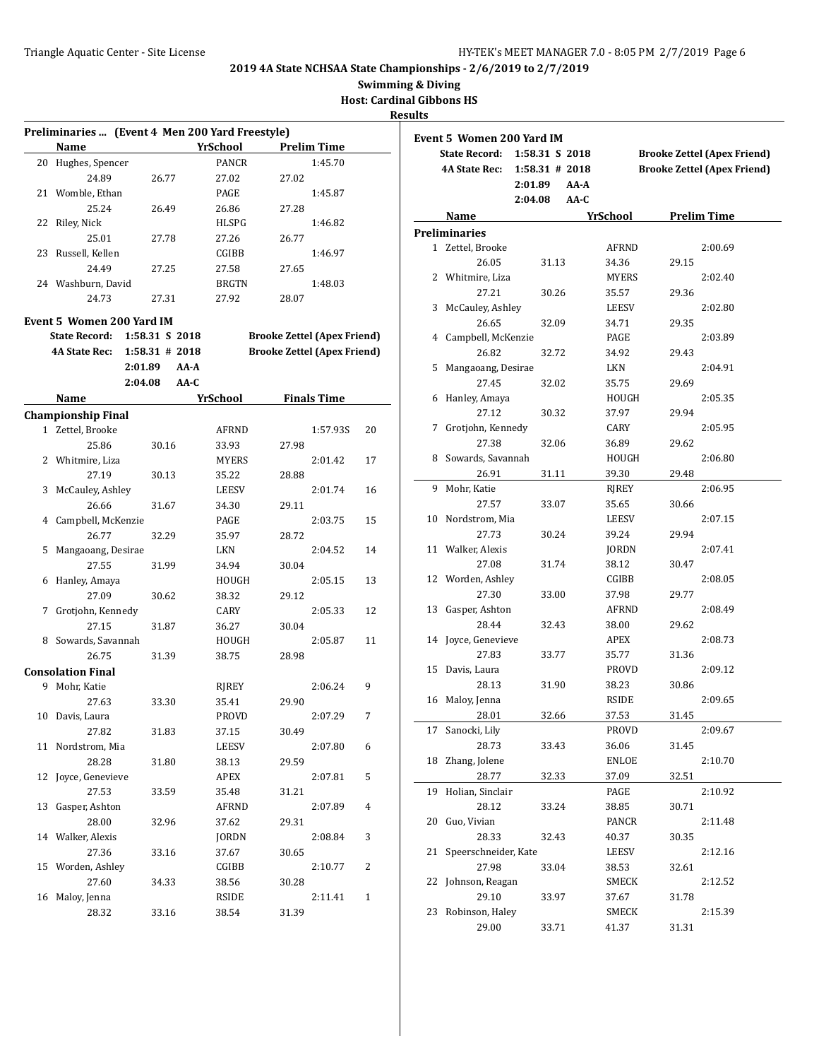**Swimming & Diving**

**Host: Cardinal Gibbons HS**

| Preliminaries  (Event 4 Men 200 Yard Freestyle) |                  |      |                 |                                    |                    |              | <b>Event 5 Women 200 Yard IM</b> |           |
|-------------------------------------------------|------------------|------|-----------------|------------------------------------|--------------------|--------------|----------------------------------|-----------|
| Name                                            |                  |      | <b>YrSchool</b> |                                    | <b>Prelim Time</b> |              | <b>State Record:</b>             | 1:58.31 S |
| 20 Hughes, Spencer                              |                  |      | PANCR           |                                    | 1:45.70            |              | <b>4A State Rec:</b>             | 1:58.31#  |
| 24.89                                           | 26.77            |      | 27.02           | 27.02                              |                    |              |                                  | 2:01.89   |
| 21 Womble, Ethan                                |                  |      | PAGE            |                                    | 1:45.87            |              |                                  | 2:04.08   |
| 25.24                                           | 26.49            |      | 26.86           | 27.28                              |                    |              | Name                             |           |
| 22 Riley, Nick                                  |                  |      | HLSPG           |                                    | 1:46.82            |              | <b>Preliminaries</b>             |           |
| 25.01                                           | 27.78            |      | 27.26           | 26.77                              |                    |              | 1 Zettel, Brooke                 |           |
| 23 Russell, Kellen                              |                  |      | CGIBB           |                                    | 1:46.97            |              | 26.05                            |           |
| 24.49                                           | 27.25            |      | 27.58           | 27.65                              |                    |              |                                  | 31.13     |
| 24 Washburn, David                              |                  |      | <b>BRGTN</b>    |                                    | 1:48.03            |              | 2 Whitmire, Liza                 |           |
| 24.73                                           | 27.31            |      | 27.92           | 28.07                              |                    |              | 27.21                            | 30.26     |
| Event 5 Women 200 Yard IM                       |                  |      |                 |                                    |                    |              | 3 McCauley, Ashley               |           |
| <b>State Record:</b>                            | 1:58.31 S 2018   |      |                 | <b>Brooke Zettel (Apex Friend)</b> |                    |              | 26.65                            | 32.09     |
| <b>4A State Rec:</b>                            | $1:58.31$ # 2018 |      |                 | <b>Brooke Zettel (Apex Friend)</b> |                    |              | 4 Campbell, McKenzie             |           |
|                                                 | 2:01.89          | AA-A |                 |                                    |                    |              | 26.82<br>5 Mangaoang, Desirae    | 32.72     |
|                                                 | 2:04.08          | AA-C |                 |                                    |                    |              |                                  |           |
|                                                 |                  |      |                 |                                    |                    |              | 27.45                            | 32.02     |
| Name                                            |                  |      | <b>YrSchool</b> |                                    | <b>Finals Time</b> |              | 6 Hanley, Amaya                  |           |
| <b>Championship Final</b>                       |                  |      |                 |                                    |                    |              | 27.12<br>7 Grotjohn, Kennedy     | 30.32     |
| 1 Zettel, Brooke                                |                  |      | <b>AFRND</b>    |                                    | 1:57.93S           | 20           |                                  |           |
| 25.86                                           | 30.16            |      | 33.93           | 27.98                              |                    |              | 27.38                            | 32.06     |
| 2 Whitmire, Liza                                |                  |      | <b>MYERS</b>    |                                    | 2:01.42            | 17           | 8 Sowards, Savannah<br>26.91     |           |
| 27.19                                           | 30.13            |      | 35.22           | 28.88                              |                    |              | 9 Mohr, Katie                    | 31.11     |
| 3 McCauley, Ashley                              |                  |      | <b>LEESV</b>    |                                    | 2:01.74            | 16           |                                  |           |
| 26.66                                           | 31.67            |      | 34.30           | 29.11                              |                    |              | 27.57                            | 33.07     |
| 4 Campbell, McKenzie                            |                  |      | PAGE            |                                    | 2:03.75            | 15           | 10 Nordstrom, Mia                |           |
| 26.77                                           | 32.29            |      | 35.97           | 28.72                              |                    |              | 27.73                            | 30.24     |
| 5 Mangaoang, Desirae                            |                  |      | LKN             |                                    | 2:04.52            | 14           | 11 Walker, Alexis                |           |
| 27.55                                           | 31.99            |      | 34.94           | 30.04                              |                    |              | 27.08                            | 31.74     |
| 6 Hanley, Amaya                                 |                  |      | HOUGH           |                                    | 2:05.15            | 13           | 12 Worden, Ashley                |           |
| 27.09                                           | 30.62            |      | 38.32           | 29.12                              |                    |              | 27.30                            | 33.00     |
| 7 Grotjohn, Kennedy                             |                  |      | CARY            |                                    | 2:05.33            | 12           | 13 Gasper, Ashton                |           |
| 27.15                                           | 31.87            |      | 36.27           | 30.04                              |                    |              | 28.44                            | 32.43     |
| 8 Sowards, Savannah                             |                  |      | HOUGH           |                                    | 2:05.87            | 11           | 14 Joyce, Genevieve              |           |
| 26.75                                           | 31.39            |      | 38.75           | 28.98                              |                    |              | 27.83                            | 33.77     |
| <b>Consolation Final</b>                        |                  |      |                 |                                    |                    |              | 15 Davis, Laura                  |           |
| 9 Mohr, Katie                                   |                  |      | RJREY           |                                    | 2:06.24            | 9            | 28.13                            | 31.90     |
| 27.63                                           | 33.30            |      | 35.41           | 29.90                              |                    |              | 16 Maloy, Jenna                  |           |
| 10 Davis, Laura                                 |                  |      | <b>PROVD</b>    |                                    | 2:07.29            | 7            | 28.01                            | 32.66     |
| 27.82                                           | 31.83            |      | 37.15           | 30.49                              |                    |              | 17 Sanocki, Lily                 |           |
| 11 Nordstrom, Mia                               |                  |      | LEESV           |                                    | 2:07.80            | 6            | 28.73                            | 33.43     |
| 28.28                                           | 31.80            |      | 38.13           | 29.59                              |                    |              | 18 Zhang, Jolene                 |           |
| 12 Joyce, Genevieve                             |                  |      | APEX            |                                    | 2:07.81            | 5            | 28.77                            | 32.33     |
| 27.53                                           | 33.59            |      | 35.48           | 31.21                              |                    |              | 19 Holian, Sinclair              |           |
| 13 Gasper, Ashton                               |                  |      | AFRND           |                                    | 2:07.89            | 4            | 28.12                            | 33.24     |
| 28.00                                           | 32.96            |      | 37.62           | 29.31                              |                    |              | 20 Guo, Vivian                   |           |
| 14 Walker, Alexis                               |                  |      | <b>JORDN</b>    |                                    | 2:08.84            | 3            | 28.33                            | 32.43     |
| 27.36                                           | 33.16            |      | 37.67           | 30.65                              |                    |              | 21 Speerschneider, Kate          |           |
| 15 Worden, Ashley                               |                  |      | CGIBB           |                                    | 2:10.77            | 2            | 27.98                            | 33.04     |
| 27.60                                           | 34.33            |      | 38.56           | 30.28                              |                    |              | 22 Johnson, Reagan               |           |
| 16 Maloy, Jenna                                 |                  |      | RSIDE           |                                    | 2:11.41            | $\mathbf{1}$ | 29.10                            | 33.97     |
| 28.32                                           | 33.16            |      | 38.54           | 31.39                              |                    |              | 23 Robinson, Haley               |           |

|    | <b>State Record:</b> | 1:58.31 S 2018    |              |                    | <b>Brooke Zettel (Apex Friend)</b> |
|----|----------------------|-------------------|--------------|--------------------|------------------------------------|
|    | <b>4A State Rec:</b> | $1:58.31$ # 2018  |              |                    | <b>Brooke Zettel (Apex Friend)</b> |
|    |                      | 2:01.89<br>AA-A   |              |                    |                                    |
|    |                      | 2:04.08<br>$AA-C$ |              |                    |                                    |
|    | Name                 |                   | YrSchool     | <b>Prelim Time</b> |                                    |
|    | Preliminaries        |                   |              |                    |                                    |
|    | 1 Zettel, Brooke     |                   | AFRND        |                    | 2:00.69                            |
|    | 26.05                | 31.13             | 34.36        | 29.15              |                                    |
|    | 2 Whitmire, Liza     |                   | <b>MYERS</b> |                    | 2:02.40                            |
|    | 27.21                | 30.26             | 35.57        | 29.36              |                                    |
| 3  | McCauley, Ashley     |                   | <b>LEESV</b> |                    | 2:02.80                            |
|    | 26.65                | 32.09             | 34.71        | 29.35              |                                    |
| 4  | Campbell, McKenzie   |                   | PAGE         |                    | 2:03.89                            |
|    | 26.82                | 32.72             | 34.92        | 29.43              |                                    |
| 5  | Mangaoang, Desirae   |                   | LKN          |                    | 2:04.91                            |
|    | 27.45                | 32.02             | 35.75        | 29.69              |                                    |
| 6  | Hanley, Amaya        |                   | HOUGH        |                    | 2:05.35                            |
|    | 27.12                | 30.32             | 37.97        | 29.94              |                                    |
| 7  | Grotjohn, Kennedy    |                   | CARY         |                    | 2:05.95                            |
|    | 27.38                | 32.06             | 36.89        | 29.62              |                                    |
| 8  | Sowards, Savannah    |                   | HOUGH        |                    | 2:06.80                            |
|    | 26.91                | 31.11             | 39.30        | 29.48              |                                    |
| 9  | Mohr, Katie          |                   | RJREY        |                    | 2:06.95                            |
|    | 27.57                | 33.07             | 35.65        | 30.66              |                                    |
| 10 | Nordstrom, Mia       |                   | LEESV        |                    | 2:07.15                            |
|    | 27.73                | 30.24             | 39.24        | 29.94              |                                    |
| 11 | Walker, Alexis       |                   | JORDN        |                    | 2:07.41                            |
|    | 27.08                | 31.74             | 38.12        | 30.47              |                                    |
|    | 12 Worden, Ashley    |                   | CGIBB        |                    | 2:08.05                            |
|    | 27.30                | 33.00             | 37.98        | 29.77              |                                    |
| 13 | Gasper, Ashton       |                   | AFRND        |                    | 2:08.49                            |
|    | 28.44                | 32.43             | 38.00        | 29.62              |                                    |
| 14 | Joyce, Genevieve     |                   | APEX         |                    | 2:08.73                            |
|    | 27.83                | 33.77             | 35.77        | 31.36              |                                    |
| 15 | Davis, Laura         |                   | PROVD        |                    | 2:09.12                            |
|    | 28.13                | 31.90             | 38.23        | 30.86              |                                    |
| 16 | Maloy, Jenna         |                   | RSIDE        |                    | 2:09.65                            |
|    | 28.01                | 32.66             | 37.53        | 31.45              |                                    |
| 17 | Sanocki, Lily        |                   | <b>PROVD</b> |                    | 2:09.67                            |
|    | 28.73                | 33.43             | 36.06        | 31.45              |                                    |
| 18 | Zhang, Jolene        |                   | <b>ENLOE</b> |                    | 2:10.70                            |
|    | 28.77                | 32.33             | 37.09        | 32.51              |                                    |
| 19 | Holian, Sinclair     |                   | PAGE         |                    | 2:10.92                            |
|    | 28.12                | 33.24             | 38.85        | 30.71              |                                    |
| 20 | Guo, Vivian          |                   | PANCR        |                    | 2:11.48                            |
|    | 28.33                | 32.43             | 40.37        | 30.35              |                                    |
| 21 | Speerschneider, Kate |                   | LEESV        |                    | 2:12.16                            |
|    | 27.98                | 33.04             | 38.53        | 32.61              |                                    |
| 22 | Johnson, Reagan      |                   | SMECK        |                    | 2:12.52                            |
|    | 29.10                | 33.97             | 37.67        | 31.78              |                                    |
| 23 | Robinson, Haley      |                   | SMECK        |                    | 2:15.39                            |
|    | 29.00                | 33.71             | 41.37        | 31.31              |                                    |
|    |                      |                   |              |                    |                                    |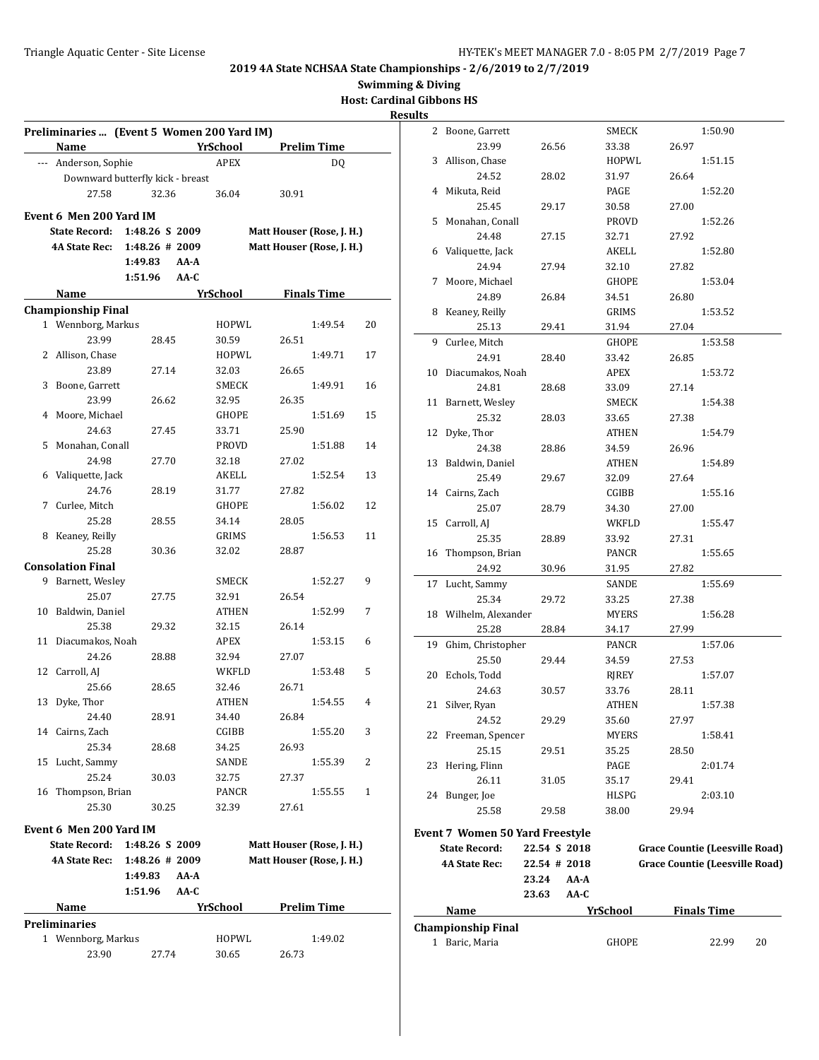**Swimming & Diving**

**Host: Cardinal Gibbons HS**

# **Results**

|    | Preliminaries  (Event 5 Women 200 Yard IM)<br>Name |                                  | YrSchool     | <b>Prelim Time</b>        |    |
|----|----------------------------------------------------|----------------------------------|--------------|---------------------------|----|
|    | --- Anderson, Sophie                               |                                  | <b>APEX</b>  | DO.                       |    |
|    |                                                    | Downward butterfly kick - breast |              |                           |    |
|    | 27.58                                              | 32.36                            | 36.04        | 30.91                     |    |
|    |                                                    |                                  |              |                           |    |
|    | Event 6 Men 200 Yard IM                            |                                  |              |                           |    |
|    | <b>State Record:</b>                               | 1:48.26 S 2009                   |              | Matt Houser (Rose, J. H.) |    |
|    | <b>4A State Rec:</b>                               | $1:48.26 \# 2009$<br>1:49.83     | AA-A         | Matt Houser (Rose, J. H.) |    |
|    |                                                    | 1:51.96                          | $AA-C$       |                           |    |
|    |                                                    |                                  | YrSchool     | <b>Finals Time</b>        |    |
|    | Name                                               |                                  |              |                           |    |
|    | <b>Championship Final</b><br>1 Wennborg, Markus    |                                  | HOPWL        | 1:49.54                   | 20 |
|    | 23.99                                              | 28.45                            | 30.59        | 26.51                     |    |
|    | 2 Allison, Chase                                   |                                  | HOPWL        | 1:49.71                   | 17 |
|    | 23.89                                              | 27.14                            | 32.03        | 26.65                     |    |
| 3  | Boone, Garrett                                     |                                  | <b>SMECK</b> | 1:49.91                   | 16 |
|    | 23.99                                              | 26.62                            | 32.95        | 26.35                     |    |
| 4  | Moore, Michael                                     |                                  | GHOPE        | 1:51.69                   | 15 |
|    | 24.63                                              | 27.45                            | 33.71        | 25.90                     |    |
| 5  | Monahan, Conall                                    |                                  | PROVD        | 1:51.88                   | 14 |
|    | 24.98                                              | 27.70                            | 32.18        | 27.02                     |    |
| 6  | Valiquette, Jack                                   |                                  | AKELL        | 1:52.54                   | 13 |
|    | 24.76                                              | 28.19                            | 31.77        | 27.82                     |    |
| 7  | Curlee, Mitch                                      |                                  | GHOPE        | 1:56.02                   | 12 |
|    | 25.28                                              | 28.55                            | 34.14        | 28.05                     |    |
|    | 8 Keaney, Reilly                                   |                                  | GRIMS        | 1:56.53                   | 11 |
|    | 25.28                                              | 30.36                            | 32.02        | 28.87                     |    |
|    | <b>Consolation Final</b>                           |                                  |              |                           |    |
| 9  | Barnett, Wesley                                    |                                  | SMECK        | 1:52.27                   | 9  |
|    | 25.07                                              | 27.75                            | 32.91        | 26.54                     |    |
| 10 | Baldwin, Daniel                                    |                                  | ATHEN        | 1:52.99                   | 7  |
|    | 25.38                                              | 29.32                            | 32.15        | 26.14                     |    |
| 11 | Diacumakos, Noah                                   |                                  | APEX         | 1:53.15                   | 6  |
|    | 24.26                                              | 28.88                            | 32.94        | 27.07                     |    |
| 12 | Carroll, AJ                                        |                                  | WKFLD        | 1:53.48                   | 5  |
|    | 25.66                                              | 28.65                            | 32.46        | 26.71                     |    |
| 13 | Dyke, Thor                                         |                                  | ATHEN        | 1:54.55                   | 4  |
|    | 24.40                                              | 28.91                            | 34.40        | 26.84                     |    |
|    | 14 Cairns, Zach                                    |                                  | CGIBB        | 1:55.20                   | 3  |
|    | 25.34                                              | 28.68                            | 34.25        | 26.93                     |    |
| 15 | Lucht, Sammy                                       |                                  | SANDE        | 1:55.39                   | 2  |
|    | 25.24                                              | 30.03                            | 32.75        | 27.37                     |    |
|    | 16 Thompson, Brian                                 |                                  | PANCR        | 1:55.55                   | 1  |
|    | 25.30                                              | 30.25                            | 32.39        | 27.61                     |    |
|    |                                                    |                                  |              |                           |    |
|    | Event 6 Men 200 Yard IM                            |                                  |              |                           |    |
|    | <b>State Record:</b>                               | 1:48.26 S 2009                   |              | Matt Houser (Rose, J. H.) |    |
|    | <b>4A State Rec:</b>                               | $1:48.26 \# 2009$                |              | Matt Houser (Rose, J. H.) |    |
|    |                                                    | 1:49.83                          | AA-A         |                           |    |
|    |                                                    | 1:51.96                          | AA-C         |                           |    |
|    | Name                                               |                                  | YrSchool     | <b>Prelim Time</b>        |    |
|    | <b>Preliminaries</b>                               |                                  |              |                           |    |
|    | 1 Wennborg, Markus                                 |                                  | HOPWL        | 1:49.02                   |    |
|    | 23.90                                              | 27.74                            | 30.65        | 26.73                     |    |

|    | 1 Baric, Maria                  |              | GHOPE           |                                       | 22.99              | 20 |
|----|---------------------------------|--------------|-----------------|---------------------------------------|--------------------|----|
|    | <b>Championship Final</b>       |              |                 |                                       |                    |    |
|    | <b>Name</b>                     |              | <b>YrSchool</b> |                                       | <b>Finals Time</b> |    |
|    |                                 | 23.63        | AA-C            |                                       |                    |    |
|    |                                 | 23.24        | AA-A            |                                       |                    |    |
|    | <b>4A State Rec:</b>            | 22.54 # 2018 |                 | <b>Grace Countie (Leesville Road)</b> |                    |    |
|    | <b>State Record:</b>            | 22.54 S 2018 |                 | <b>Grace Countie (Leesville Road)</b> |                    |    |
|    | Event 7 Women 50 Yard Freestyle |              |                 |                                       |                    |    |
|    | 25.58                           | 29.58        | 38.00           | 29.94                                 |                    |    |
|    | 24 Bunger, Joe                  |              | HLSPG           |                                       | 2:03.10            |    |
|    | 26.11                           | 31.05        | 35.17           | 29.41                                 |                    |    |
| 23 | Hering, Flinn                   |              | PAGE            |                                       | 2:01.74            |    |
|    | 25.15                           | 29.51        | 35.25           | 28.50                                 |                    |    |
|    | 22 Freeman, Spencer             |              | MYERS           |                                       | 1:58.41            |    |
|    | 24.52                           | 29.29        | 35.60           | 27.97                                 |                    |    |
|    |                                 |              |                 |                                       |                    |    |
| 21 | Silver, Ryan                    |              | <b>ATHEN</b>    |                                       | 1:57.38            |    |
|    | 24.63                           | 30.57        | 33.76           | 28.11                                 |                    |    |
| 20 | Echols, Todd                    |              | RJREY           |                                       | 1:57.07            |    |
|    | 25.50                           | 29.44        | 34.59           | 27.53                                 |                    |    |
| 19 | Ghim, Christopher               |              | PANCR           |                                       | 1:57.06            |    |
|    | 25.28                           | 28.84        | 34.17           | 27.99                                 |                    |    |
|    | 18 Wilhelm, Alexander           |              | MYERS           |                                       | 1:56.28            |    |
|    | 25.34                           | 29.72        | 33.25           | 27.38                                 |                    |    |
| 17 | Lucht, Sammy                    |              | SANDE           |                                       | 1:55.69            |    |
|    | 24.92                           | 30.96        | 31.95           | 27.82                                 |                    |    |
| 16 | Thompson, Brian                 |              | PANCR           |                                       | 1:55.65            |    |
|    | 25.35                           | 28.89        | 33.92           | 27.31                                 |                    |    |
|    | 15 Carroll, AJ                  |              | WKFLD           |                                       | 1:55.47            |    |
|    | 25.07                           | 28.79        | 34.30           | 27.00                                 |                    |    |
|    | 14 Cairns, Zach                 |              | CGIBB           |                                       | 1:55.16            |    |
|    | 25.49                           | 29.67        | 32.09           | 27.64                                 |                    |    |
|    | 13 Baldwin, Daniel              |              | ATHEN           |                                       | 1:54.89            |    |
|    | 24.38                           | 28.86        | 34.59           | 26.96                                 |                    |    |
|    | 12 Dyke, Thor                   |              | <b>ATHEN</b>    |                                       | 1:54.79            |    |
|    | 25.32                           | 28.03        | 33.65           | 27.38                                 |                    |    |
| 11 | Barnett, Wesley                 |              | SMECK           |                                       | 1:54.38            |    |
|    | 24.81                           | 28.68        | 33.09           | 27.14                                 |                    |    |
| 10 | Diacumakos, Noah                |              | APEX            |                                       | 1:53.72            |    |
|    | 24.91                           | 28.40        | 33.42           | 26.85                                 |                    |    |
| 9  | Curlee, Mitch                   |              | GHOPE           |                                       | 1:53.58            |    |
|    | 25.13                           | 29.41        | 31.94           | 27.04                                 |                    |    |
| 8  | Keaney, Reilly                  |              | GRIMS           |                                       | 1:53.52            |    |
|    | 24.89                           | 26.84        | 34.51           | 26.80                                 |                    |    |
| 7  | Moore, Michael                  |              | <b>GHOPE</b>    |                                       | 1:53.04            |    |
|    | 24.94                           | 27.94        | 32.10           | 27.82                                 |                    |    |
| 6  | Valiquette, Jack                |              | AKELL           |                                       | 1:52.80            |    |
|    | 24.48                           | 27.15        | 32.71           | 27.92                                 |                    |    |
| 5  | Monahan, Conall                 |              | PROVD           |                                       | 1:52.26            |    |
|    | 25.45                           | 29.17        | 30.58           | 27.00                                 |                    |    |
| 4  | Mikuta, Reid                    |              | PAGE            |                                       | 1:52.20            |    |
|    | 24.52                           | 28.02        | 31.97           | 26.64                                 |                    |    |
| 3  | Allison, Chase                  |              | <b>HOPWL</b>    |                                       | 1:51.15            |    |
|    | 23.99                           | 26.56        | 33.38           | 26.97                                 |                    |    |
|    | 2 Boone, Garrett                |              | SMECK           |                                       | 1:50.90            |    |
|    |                                 |              |                 |                                       |                    |    |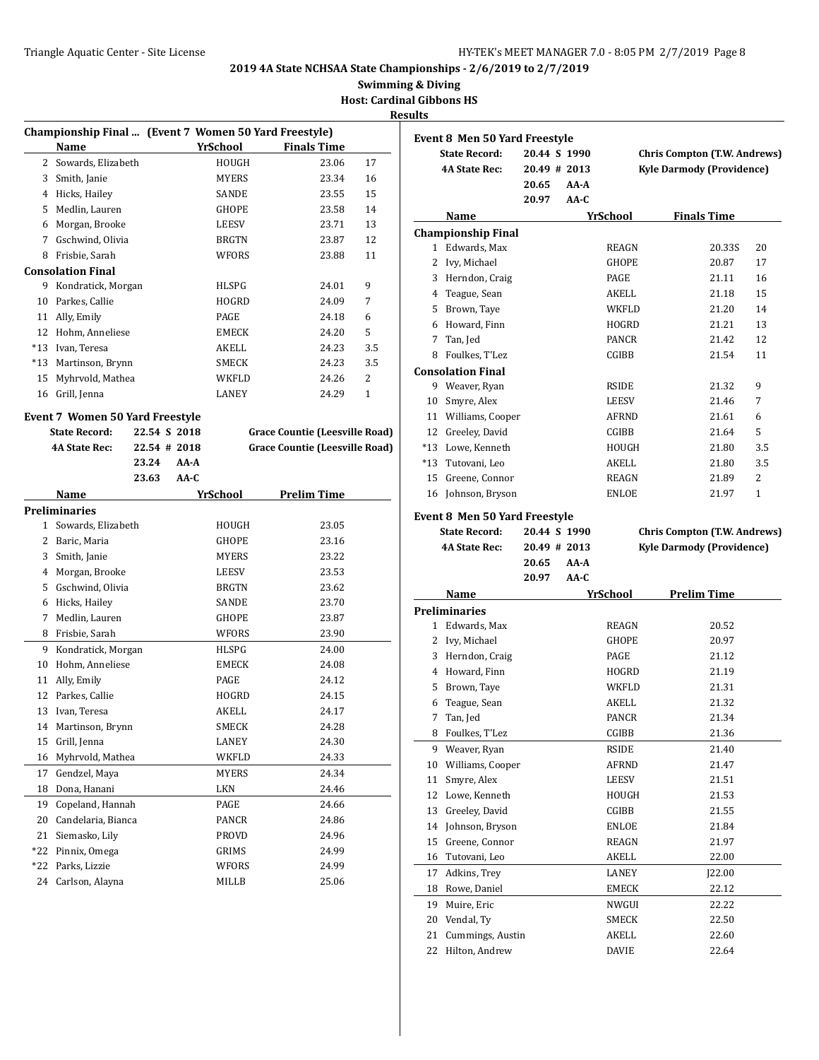**Swimming & Diving**

**Host: Cardinal Gibbons HS**

|                | Championship Final  (Event 7 Women 50 Yard Freestyle) |              |        |                 |                                       |     |
|----------------|-------------------------------------------------------|--------------|--------|-----------------|---------------------------------------|-----|
|                | <b>Name</b>                                           |              |        | <u>YrSchool</u> | <b>Finals Time</b>                    |     |
| $\overline{2}$ | Sowards, Elizabeth                                    |              |        | HOUGH           | 23.06                                 | 17  |
|                | 3 Smith, Janie                                        |              |        | MYERS           | 23.34                                 | 16  |
|                | 4 Hicks, Hailey                                       |              |        | <b>SANDE</b>    | 23.55                                 | 15  |
|                | 5 Medlin, Lauren                                      |              |        | <b>GHOPE</b>    | 23.58                                 | 14  |
|                | 6 Morgan, Brooke                                      |              |        | LEESV           | 23.71                                 | 13  |
|                | 7 Gschwind, Olivia                                    |              |        | <b>BRGTN</b>    | 23.87                                 | 12  |
|                | 8 Frisbie, Sarah                                      |              |        | <b>WFORS</b>    | 23.88                                 | 11  |
|                | <b>Consolation Final</b>                              |              |        |                 |                                       |     |
|                | 9 Kondratick, Morgan                                  |              |        | HLSPG           | 24.01                                 | 9   |
|                | 10 Parkes, Callie                                     |              |        | HOGRD           | 24.09                                 | 7   |
|                | 11 Ally, Emily                                        |              |        | PAGE            | 24.18                                 | 6   |
|                | 12 Hohm, Anneliese                                    |              |        | EMECK           | 24.20                                 | 5   |
|                | *13 Ivan, Teresa                                      |              |        | AKELL           | 24.23                                 | 3.5 |
|                | *13 Martinson, Brynn                                  |              |        | SMECK           | 24.23                                 | 3.5 |
|                | 15 Myhrvold, Mathea                                   |              |        | WKFLD           | 24.26                                 | 2   |
|                | 16 Grill, Jenna                                       |              |        | LANEY           | 24.29                                 | 1   |
|                | <b>Event 7 Women 50 Yard Freestyle</b>                |              |        |                 |                                       |     |
|                | <b>State Record:</b>                                  | 22.54 S 2018 |        |                 | <b>Grace Countie (Leesville Road)</b> |     |
|                | <b>4A State Rec:</b>                                  | 22.54 # 2018 |        |                 | <b>Grace Countie (Leesville Road)</b> |     |
|                |                                                       | 23.24        | AA-A   |                 |                                       |     |
|                |                                                       | 23.63        | $AA-C$ |                 |                                       |     |
|                | Name                                                  |              |        | YrSchool        | <b>Prelim Time</b>                    |     |
|                | Preliminaries                                         |              |        |                 |                                       |     |
| 1              | Sowards, Elizabeth                                    |              |        | HOUGH           | 23.05                                 |     |
|                | 2 Baric, Maria                                        |              |        | GHOPE           | 23.16                                 |     |
| 3              | Smith, Janie                                          |              |        | <b>MYERS</b>    | 23.22                                 |     |
|                | 4 Morgan, Brooke                                      |              |        | LEESV           | 23.53                                 |     |
|                | 5 Gschwind, Olivia                                    |              |        | <b>BRGTN</b>    | 23.62                                 |     |
| 6              | Hicks, Hailey                                         |              |        | SANDE           | 23.70                                 |     |
| 7              | Medlin, Lauren                                        |              |        | GHOPE           | 23.87                                 |     |
| 8              | Frisbie, Sarah                                        |              |        | WFORS           | 23.90                                 |     |
| 9              | Kondratick, Morgan                                    |              |        | HLSPG           | 24.00                                 |     |
| 10             | Hohm. Anneliese                                       |              |        | EMECK           | 24.08                                 |     |
|                | 11 Ally, Emily                                        |              |        | PAGE            | 24.12                                 |     |
| 12             | Parkes, Callie                                        |              |        | <b>HOGRD</b>    | 24.15                                 |     |
| 13             | Ivan, Teresa                                          |              |        | AKELL           | 24.17                                 |     |
| 14             | Martinson, Brynn                                      |              |        | SMECK           | 24.28                                 |     |
| 15             | Grill, Jenna                                          |              |        | LANEY           | 24.30                                 |     |
| 16             | Myhrvold, Mathea                                      |              |        | WKFLD           | 24.33                                 |     |
| 17             | Gendzel, Maya                                         |              |        | MYERS           | 24.34                                 |     |
| 18             | Dona, Hanani                                          |              |        | LKN             | 24.46                                 |     |
| 19             | Copeland, Hannah                                      |              |        | PAGE            | 24.66                                 |     |
| 20             | Candelaria, Bianca                                    |              |        | PANCR           | 24.86                                 |     |
| 21             | Siemasko, Lily                                        |              |        | PROVD           | 24.96                                 |     |
| *22            | Pinnix, Omega                                         |              |        | GRIMS           | 24.99                                 |     |
| *22            | Parks, Lizzie                                         |              |        | WFORS           | 24.99                                 |     |
| 24             | Carlson, Alayna                                       |              |        | MILLB           | 25.06                                 |     |
|                |                                                       |              |        |                 |                                       |     |

|              | <b>Event 8 Men 50 Yard Freestyle</b>                         |              |              |                                     |                                  |  |
|--------------|--------------------------------------------------------------|--------------|--------------|-------------------------------------|----------------------------------|--|
|              | <b>State Record:</b>                                         | 20.44 S 1990 |              | <b>Chris Compton (T.W. Andrews)</b> |                                  |  |
|              | <b>4A State Rec:</b>                                         | 20.49 # 2013 |              | <b>Kyle Darmody (Providence)</b>    |                                  |  |
|              |                                                              | 20.65        | AA-A         |                                     |                                  |  |
|              |                                                              | 20.97        | AA-C         |                                     |                                  |  |
|              | Name                                                         |              | YrSchool     | <b>Finals Time</b>                  |                                  |  |
|              | <b>Championship Final</b>                                    |              |              |                                     |                                  |  |
| $\mathbf{1}$ | Edwards, Max                                                 |              | REAGN        |                                     | 20<br>20.33S                     |  |
| 2            | Ivy, Michael                                                 |              | <b>GHOPE</b> |                                     | 20.87<br>17                      |  |
|              | 3 Herndon, Craig                                             |              | <b>PAGE</b>  |                                     | 21.11<br>16                      |  |
|              | 4 Teague, Sean                                               |              | AKELL        |                                     | 21.18<br>15                      |  |
|              | 5 Brown, Taye                                                |              | WKFLD        |                                     | 21.20<br>14                      |  |
|              | 6 Howard, Finn                                               |              | HOGRD        |                                     | 13<br>21.21                      |  |
| 7            | Tan, Jed                                                     |              | <b>PANCR</b> |                                     | 21.42<br>12                      |  |
|              | 8 Foulkes, T'Lez                                             |              | CGIBB        |                                     | 21.54<br>11                      |  |
|              | <b>Consolation Final</b>                                     |              |              |                                     |                                  |  |
|              | 9 Weaver, Ryan                                               |              | <b>RSIDE</b> |                                     | 9<br>21.32                       |  |
|              | 10 Smyre, Alex                                               |              | <b>LEESV</b> |                                     | 21.46<br>7                       |  |
|              | 11 Williams, Cooper                                          |              | AFRND        |                                     | 21.61<br>6                       |  |
|              | 12 Greeley, David                                            |              | CGIBB        |                                     | 21.64<br>5                       |  |
|              | *13 Lowe, Kenneth                                            |              | HOUGH        |                                     | 3.5<br>21.80                     |  |
|              | *13 Tutovani, Leo                                            |              | AKELL        |                                     | 3.5<br>21.80                     |  |
|              | 15 Greene, Connor                                            |              | <b>REAGN</b> |                                     | 2<br>21.89                       |  |
|              | 16 Johnson, Bryson                                           |              | <b>ENLOE</b> |                                     | $\mathbf{1}$<br>21.97            |  |
|              |                                                              |              |              |                                     |                                  |  |
|              | <b>Event 8 Men 50 Yard Freestyle</b><br><b>State Record:</b> | 20.44 S 1990 |              | <b>Chris Compton (T.W. Andrews)</b> |                                  |  |
|              | <b>4A State Rec:</b>                                         | 20.49 # 2013 |              |                                     |                                  |  |
|              |                                                              |              |              |                                     |                                  |  |
|              |                                                              |              |              |                                     | <b>Kyle Darmody (Providence)</b> |  |
|              |                                                              | 20.65        | AA-A         |                                     |                                  |  |
|              | Name                                                         | 20.97        | $AA-C$       |                                     |                                  |  |
|              |                                                              |              | YrSchool     | <b>Prelim Time</b>                  |                                  |  |
| 1            | <b>Preliminaries</b><br>Edwards, Max                         |              | REAGN        |                                     | 20.52                            |  |
|              |                                                              |              | <b>GHOPE</b> |                                     | 20.97                            |  |
|              | 2 Ivy, Michael<br>3 Herndon, Craig                           |              | PAGE         |                                     | 21.12                            |  |
|              | 4 Howard, Finn                                               |              | HOGRD        |                                     | 21.19                            |  |
| 5            |                                                              |              | <b>WKFLD</b> |                                     | 21.31                            |  |
| 6            | Brown, Taye<br>Teague, Sean                                  |              | AKELL        |                                     | 21.32                            |  |
| 7            | Tan, Jed                                                     |              | <b>PANCR</b> |                                     | 21.34                            |  |
| 8            | Foulkes, T'Lez                                               |              | CGIBB        |                                     | 21.36                            |  |
| 9            | Weaver, Ryan                                                 |              | RSIDE        |                                     | 21.40                            |  |
| 10           | Williams, Cooper                                             |              | AFRND        |                                     | 21.47                            |  |
| 11           | Smyre, Alex                                                  |              | LEESV        |                                     | 21.51                            |  |
| 12           | Lowe, Kenneth                                                |              | HOUGH        |                                     | 21.53                            |  |
| 13           | Greeley, David                                               |              | CGIBB        |                                     | 21.55                            |  |
| 14           | Johnson, Bryson                                              |              | ENLOE        |                                     | 21.84                            |  |
| 15           | Greene, Connor                                               |              | REAGN        |                                     | 21.97                            |  |
| 16           | Tutovani, Leo                                                |              | AKELL        |                                     | 22.00                            |  |
| 17           | Adkins, Trey                                                 |              | LANEY        |                                     | ]22.00                           |  |
| 18           | Rowe, Daniel                                                 |              | EMECK        |                                     | 22.12                            |  |
| 19           | Muire, Eric                                                  |              | NWGUI        |                                     | 22.22                            |  |
| 20           | Vendal, Ty                                                   |              | SMECK        |                                     | 22.50                            |  |
| 21           | Cummings, Austin                                             |              | AKELL        |                                     | 22.60                            |  |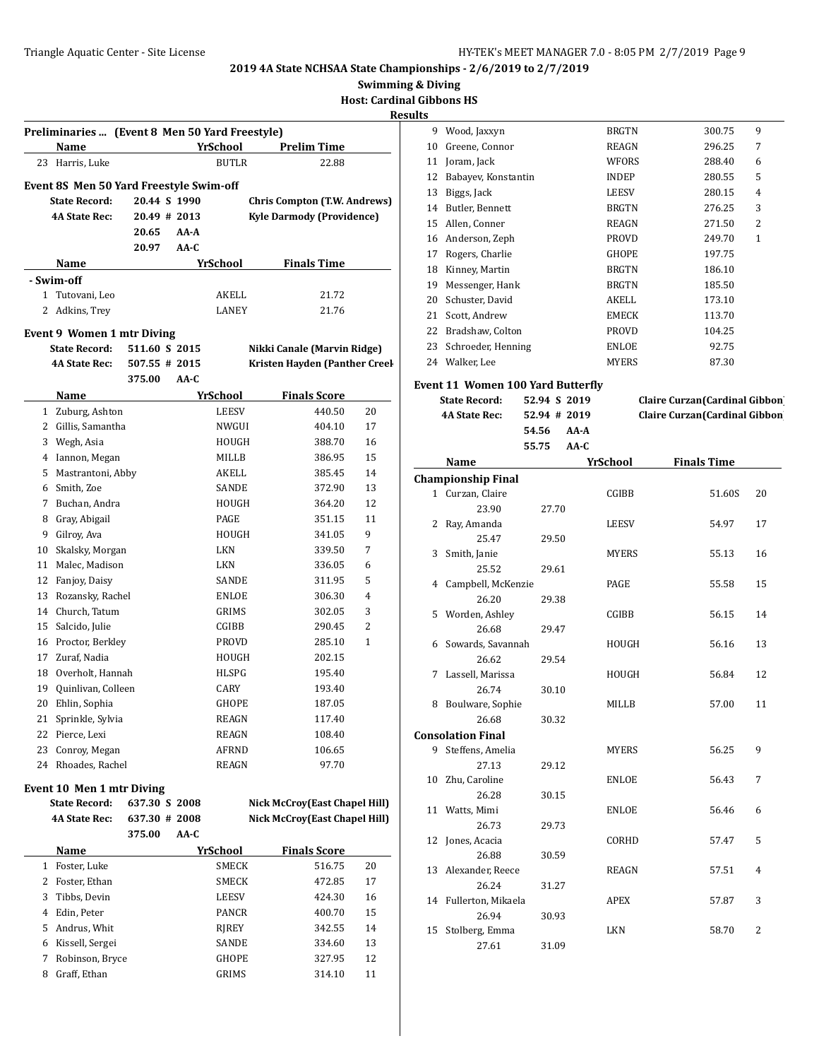| <b>Swimming &amp; Diving</b> |
|------------------------------|
|------------------------------|

**Host: Cardinal Gibbons HS**

#### **Results**

| Preliminaries  (Event 8 Men 50 Yard Freestyle) |                                         |               |        |                 |                                     |              |
|------------------------------------------------|-----------------------------------------|---------------|--------|-----------------|-------------------------------------|--------------|
|                                                | Name                                    |               |        | <b>YrSchool</b> | <b>Prelim Time</b>                  |              |
| 23                                             | Harris, Luke                            |               |        | <b>BUTLR</b>    | 22.88                               |              |
|                                                | Event 8S Men 50 Yard Freestyle Swim-off |               |        |                 |                                     |              |
|                                                | <b>State Record:</b>                    | 20.44 S 1990  |        |                 | <b>Chris Compton (T.W. Andrews)</b> |              |
|                                                | <b>4A State Rec:</b>                    | 20.49 # 2013  |        |                 | <b>Kyle Darmody (Providence)</b>    |              |
|                                                |                                         | 20.65         | AA-A   |                 |                                     |              |
|                                                |                                         | 20.97         | $AA-C$ |                 |                                     |              |
|                                                | Name                                    |               |        | YrSchool        | <b>Finals Time</b>                  |              |
|                                                | - Swim-off                              |               |        |                 |                                     |              |
|                                                | 1 Tutovani, Leo                         |               |        | AKELL           | 21.72                               |              |
| 2                                              | Adkins, Trey                            |               |        | LANEY           | 21.76                               |              |
|                                                | <b>Event 9 Women 1 mtr Diving</b>       |               |        |                 |                                     |              |
|                                                | <b>State Record:</b>                    | 511.60 S 2015 |        |                 | Nikki Canale (Marvin Ridge)         |              |
|                                                | <b>4A State Rec:</b>                    | 507.55 # 2015 |        |                 | Kristen Hayden (Panther Creel       |              |
|                                                |                                         | 375.00        | AA-C   |                 |                                     |              |
|                                                | Name                                    |               |        | <b>YrSchool</b> | <b>Finals Score</b>                 |              |
| 1                                              | Zuburg, Ashton                          |               |        | LEESV           | 440.50                              | 20           |
|                                                | 2 Gillis, Samantha                      |               |        | NWGUI           | 404.10                              | 17           |
|                                                | 3 Wegh, Asia                            |               |        | HOUGH           | 388.70                              | 16           |
|                                                | 4 Iannon, Megan                         |               |        | MILLB           | 386.95                              | 15           |
|                                                | 5 Mastrantoni, Abby                     |               |        | AKELL           | 385.45                              | 14           |
|                                                | 6 Smith, Zoe                            |               |        | SANDE           | 372.90                              | 13           |
|                                                | 7 Buchan, Andra                         |               |        | HOUGH           | 364.20                              | 12           |
|                                                | 8 Gray, Abigail                         |               |        | PAGE            | 351.15                              | 11           |
| 9                                              | Gilroy, Ava                             |               |        | HOUGH           | 341.05                              | 9            |
| 10                                             | Skalsky, Morgan                         |               |        | LKN             | 339.50                              | 7            |
| 11                                             | Malec, Madison                          |               |        | LKN             | 336.05                              | 6            |
| 12                                             | Fanjoy, Daisy                           |               |        | SANDE           | 311.95                              | 5            |
| 13                                             | Rozansky, Rachel                        |               |        | ENLOE           | 306.30                              | 4            |
|                                                | 14 Church, Tatum                        |               |        | GRIMS           | 302.05                              | 3            |
|                                                | 15 Salcido, Julie                       |               |        | CGIBB           | 290.45                              | 2            |
|                                                | 16 Proctor, Berkley                     |               |        | PROVD           | 285.10                              | $\mathbf{1}$ |
|                                                | 17 Zuraf, Nadia                         |               |        | HOUGH           | 202.15                              |              |
|                                                | 18 Overholt, Hannah                     |               |        | HLSPG           | 195.40                              |              |
|                                                | 19 Quinlivan, Colleen                   |               |        | CARY            | 193.40                              |              |
| 20                                             | Ehlin, Sophia                           |               |        | GHOPE           | 187.05                              |              |
| 21                                             | Sprinkle, Sylvia                        |               |        | REAGN           | 117.40                              |              |
| 22                                             | Pierce, Lexi                            |               |        | REAGN           | 108.40                              |              |
| 23                                             | Conroy, Megan                           |               |        | AFRND           | 106.65                              |              |
| 24                                             | Rhoades, Rachel                         |               |        | REAGN           | 97.70                               |              |
|                                                | Event 10 Men 1 mtr Diving               |               |        |                 |                                     |              |
|                                                | <b>State Record:</b>                    | 637.30 S 2008 |        |                 | Nick McCroy(East Chapel Hill)       |              |
|                                                | 4A State Rec:                           | 637.30 # 2008 |        |                 | Nick McCroy(East Chapel Hill)       |              |
|                                                |                                         | 375.00        | AA-C   |                 |                                     |              |
|                                                | Name                                    |               |        | YrSchool        | <b>Finals Score</b>                 |              |
| $\mathbf{1}$                                   | Foster, Luke                            |               |        | SMECK           | 516.75                              | 20           |
| 2                                              | Foster, Ethan                           |               |        | SMECK           | 472.85                              | 17           |
| 3                                              | Tibbs, Devin                            |               |        | LEESV           | 424.30                              | 16           |
| 4                                              | Edin, Peter                             |               |        | PANCR           | 400.70                              | 15           |
| 5                                              | Andrus, Whit                            |               |        | RJREY           | 342.55                              | 14           |
| 6<br>7                                         | Kissell, Sergei<br>Robinson, Bryce      |               |        | SANDE<br>GHOPE  | 334.60<br>327.95                    | 13<br>12     |
| 8                                              | Graff, Ethan                            |               |        | GRIMS           | 314.10                              | 11           |
|                                                |                                         |               |        |                 |                                     |              |

| ວ  |                     |              |        |                |
|----|---------------------|--------------|--------|----------------|
| 9  | Wood, Jaxxyn        | <b>BRGTN</b> | 300.75 | 9              |
| 10 | Greene, Connor      | <b>REAGN</b> | 296.25 | 7              |
| 11 | Joram, Jack         | WFORS        | 288.40 | 6              |
| 12 | Babayev, Konstantin | <b>INDEP</b> | 280.55 | 5              |
| 13 | Biggs, Jack         | <b>LEESV</b> | 280.15 | 4              |
| 14 | Butler, Bennett     | <b>BRGTN</b> | 276.25 | 3              |
| 15 | Allen, Conner       | <b>REAGN</b> | 271.50 | $\overline{2}$ |
| 16 | Anderson, Zeph      | <b>PROVD</b> | 249.70 | 1              |
| 17 | Rogers, Charlie     | <b>GHOPE</b> | 197.75 |                |
| 18 | Kinney, Martin      | <b>BRGTN</b> | 186.10 |                |
| 19 | Messenger, Hank     | <b>BRGTN</b> | 185.50 |                |
| 20 | Schuster, David     | AKELL        | 173.10 |                |
| 21 | Scott, Andrew       | <b>EMECK</b> | 113.70 |                |
| 22 | Bradshaw, Colton    | <b>PROVD</b> | 104.25 |                |
| 23 | Schroeder, Henning  | <b>ENLOE</b> | 92.75  |                |
| 24 | Walker, Lee         | <b>MYERS</b> | 87.30  |                |
|    |                     |              |        |                |

# **Event 11 Women 100 Yard Butterfly**

| <b>State Record:</b> | 52.94 S 2019     | Claire Curzan (Cardinal Gibbon)        |
|----------------------|------------------|----------------------------------------|
| <b>4A State Rec:</b> | $52.94 \pm 2019$ | <b>Claire Curzan (Cardinal Gibbon)</b> |
|                      | 54.56 AA-A       |                                        |
|                      | 55.75 AA-C       |                                        |

| Claire Curzan(Cardinal Gibbon)        |  |
|---------------------------------------|--|
| <b>Claire Curzan</b> (Cardinal Gibbon |  |

|    | <b>Name</b>               |       | YrSchool     | <b>Finals Time</b> |                |
|----|---------------------------|-------|--------------|--------------------|----------------|
|    | <b>Championship Final</b> |       |              |                    |                |
|    | 1 Curzan, Claire          |       | CGIBB        | 51.60S             | 20             |
|    | 23.90                     | 27.70 |              |                    |                |
| 2  | Ray, Amanda               |       | <b>LEESV</b> | 54.97              | 17             |
|    | 25.47                     | 29.50 |              |                    |                |
| 3  | Smith, Janie              |       | <b>MYERS</b> | 55.13              | 16             |
|    | 25.52                     | 29.61 |              |                    |                |
|    | 4 Campbell, McKenzie      |       | PAGE         | 55.58              | 15             |
|    | 26.20                     | 29.38 |              |                    |                |
|    | 5 Worden, Ashley          |       | CGIBB        | 56.15              | 14             |
|    | 26.68                     | 29.47 |              |                    |                |
|    | 6 Sowards, Savannah       |       | HOUGH        | 56.16              | 13             |
|    | 26.62                     | 29.54 |              |                    |                |
| 7  | Lassell, Marissa          |       | HOUGH        | 56.84              | 12             |
|    | 26.74                     | 30.10 |              |                    |                |
|    | 8 Boulware, Sophie        |       | MILLB        | 57.00              | 11             |
|    | 26.68                     | 30.32 |              |                    |                |
|    | <b>Consolation Final</b>  |       |              |                    |                |
|    | 9 Steffens, Amelia        |       | <b>MYERS</b> | 56.25              | 9              |
|    | 27.13                     | 29.12 |              |                    |                |
| 10 | Zhu, Caroline             |       | <b>ENLOE</b> | 56.43              | 7              |
|    | 26.28                     | 30.15 |              |                    |                |
|    | 11 Watts, Mimi            |       | <b>ENLOE</b> | 56.46              | 6              |
|    | 26.73                     | 29.73 |              |                    |                |
| 12 | Jones, Acacia             |       | CORHD        | 57.47              | 5              |
|    | 26.88                     | 30.59 |              |                    |                |
|    | 13 Alexander, Reece       |       | <b>REAGN</b> | 57.51              | 4              |
|    | 26.24                     | 31.27 |              |                    |                |
|    | 14 Fullerton, Mikaela     |       | APEX         | 57.87              | 3              |
|    | 26.94                     | 30.93 |              |                    |                |
|    | 15 Stolberg, Emma         |       | <b>LKN</b>   | 58.70              | $\overline{2}$ |
|    | 27.61                     | 31.09 |              |                    |                |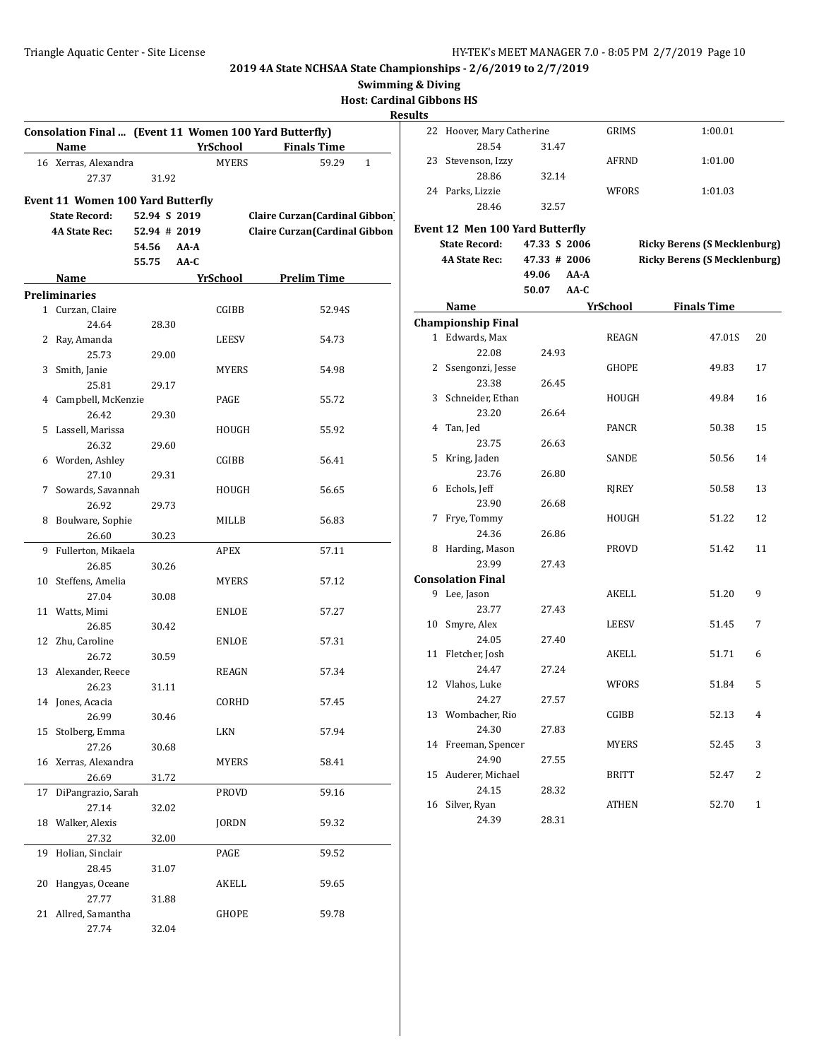**Swimming & Diving**

# **Host: Cardinal Gibbons HS**

|    | Consolation Final  (Event 11 Women 100 Yard Butterfly)<br>Name |              |        | YrSchool     | <b>Finals Time</b>              |
|----|----------------------------------------------------------------|--------------|--------|--------------|---------------------------------|
|    | 16 Xerras, Alexandra                                           |              |        | <b>MYERS</b> | 59.29<br>1                      |
|    | 27.37                                                          | 31.92        |        |              |                                 |
|    |                                                                |              |        |              |                                 |
|    | <b>Event 11 Women 100 Yard Butterfly</b>                       |              |        |              |                                 |
|    | <b>State Record:</b>                                           | 52.94 S 2019 |        |              | Claire Curzan (Cardinal Gibbon) |
|    | <b>4A State Rec:</b>                                           | 52.94 # 2019 |        |              | Claire Curzan (Cardinal Gibbon  |
|    |                                                                | 54.56        | AA-A   |              |                                 |
|    |                                                                | 55.75        | $AA-C$ |              |                                 |
|    | Name                                                           |              |        | YrSchool     | <b>Prelim Time</b>              |
|    | <b>Preliminaries</b>                                           |              |        |              |                                 |
|    | 1 Curzan, Claire                                               |              |        | CGIBB        | 52.94S                          |
|    | 24.64                                                          | 28.30        |        |              |                                 |
|    | 2 Ray, Amanda                                                  |              |        | LEESV        | 54.73                           |
|    | 25.73                                                          | 29.00        |        |              |                                 |
|    | 3 Smith, Janie                                                 |              |        | MYERS        | 54.98                           |
|    | 25.81                                                          | 29.17        |        |              |                                 |
|    | 4 Campbell, McKenzie                                           |              |        | PAGE         | 55.72                           |
|    | 26.42                                                          | 29.30        |        |              |                                 |
| 5  | Lassell, Marissa                                               |              |        | HOUGH        | 55.92                           |
|    | 26.32                                                          | 29.60        |        |              |                                 |
|    | 6 Worden, Ashley                                               |              |        | CGIBB        | 56.41                           |
|    | 27.10                                                          | 29.31        |        |              |                                 |
|    | 7 Sowards, Savannah                                            |              |        | HOUGH        | 56.65                           |
|    | 26.92                                                          | 29.73        |        |              |                                 |
|    | 8 Boulware, Sophie                                             |              |        | MILLB        | 56.83                           |
|    | 26.60                                                          | 30.23        |        |              |                                 |
| 9  | Fullerton, Mikaela                                             |              |        | APEX         | 57.11                           |
|    | 26.85                                                          | 30.26        |        |              |                                 |
|    | 10 Steffens, Amelia                                            |              |        | MYERS        | 57.12                           |
|    | 27.04                                                          | 30.08        |        |              |                                 |
|    | 11 Watts, Mimi                                                 |              |        | ENLOE        | 57.27                           |
|    | 26.85                                                          | 30.42        |        |              |                                 |
|    | 12 Zhu, Caroline                                               |              |        | ENLOE        | 57.31                           |
|    | 26.72                                                          | 30.59        |        |              |                                 |
|    | 13 Alexander, Reece                                            |              |        | <b>REAGN</b> | 57.34                           |
|    | 26.23                                                          | 31.11        |        |              |                                 |
|    | 14 Jones, Acacia                                               |              |        | CORHD        | 57.45                           |
|    | 26.99<br>15 Stolberg, Emma                                     | 30.46        |        |              |                                 |
|    |                                                                |              |        | LKN          | 57.94                           |
|    | 27.26                                                          | 30.68        |        |              |                                 |
| 16 | Xerras, Alexandra<br>26.69                                     |              |        | MYERS        | 58.41                           |
|    |                                                                | 31.72        |        |              |                                 |
| 17 | DiPangrazio, Sarah                                             |              |        | PROVD        | 59.16                           |
|    | 27.14                                                          | 32.02        |        |              |                                 |
| 18 | Walker, Alexis                                                 |              |        | JORDN        | 59.32                           |
|    | 27.32                                                          | 32.00        |        |              |                                 |
| 19 | Holian, Sinclair                                               |              |        | PAGE         | 59.52                           |
|    | 28.45                                                          | 31.07        |        |              |                                 |
| 20 | Hangyas, Oceane                                                |              |        | AKELL        | 59.65                           |
|    | 27.77                                                          | 31.88        |        |              |                                 |
| 21 | Allred, Samantha                                               |              |        | GHOPE        | 59.78                           |
|    | 27.74                                                          | 32.04        |        |              |                                 |

| 22 | Hoover, Mary Catherine          |               | GRIMS        | 1:00.01                             |              |
|----|---------------------------------|---------------|--------------|-------------------------------------|--------------|
|    | 28.54                           | 31.47         |              |                                     |              |
| 23 | Stevenson, Izzy                 |               | AFRND        | 1:01.00                             |              |
|    | 28.86                           | 32.14         |              |                                     |              |
|    | 24 Parks, Lizzie                |               | WFORS        | 1:01.03                             |              |
|    | 28.46                           | 32.57         |              |                                     |              |
|    | Event 12 Men 100 Yard Butterfly |               |              |                                     |              |
|    | <b>State Record:</b>            | 47.33 S 2006  |              | <b>Ricky Berens (S Mecklenburg)</b> |              |
|    | <b>4A State Rec:</b>            | 47.33 # 2006  |              | <b>Ricky Berens (S Mecklenburg)</b> |              |
|    |                                 | 49.06<br>AA-A |              |                                     |              |
|    |                                 | 50.07<br>AA-C |              |                                     |              |
|    | Name                            |               | YrSchool     | <b>Finals Time</b>                  |              |
|    | <b>Championship Final</b>       |               |              |                                     |              |
|    | 1 Edwards, Max                  |               | REAGN        | 47.01S                              | 20           |
|    | 22.08                           | 24.93         |              |                                     |              |
|    | 2 Ssengonzi, Jesse              |               | <b>GHOPE</b> | 49.83                               | 17           |
|    | 23.38                           | 26.45         |              |                                     |              |
| 3  | Schneider, Ethan                |               | HOUGH        | 49.84                               | 16           |
|    | 23.20                           | 26.64         |              |                                     |              |
| 4  | Tan, Jed                        |               | PANCR        | 50.38                               | 15           |
|    | 23.75                           | 26.63         |              |                                     |              |
| 5  | Kring, Jaden                    |               | SANDE        | 50.56                               | 14           |
|    | 23.76                           | 26.80         |              |                                     |              |
| 6  | Echols, Jeff                    |               | RJREY        | 50.58                               | 13           |
|    | 23.90                           | 26.68         |              |                                     |              |
| 7  | Frye, Tommy                     |               | HOUGH        | 51.22                               | 12           |
|    | 24.36                           | 26.86         |              |                                     |              |
| 8  | Harding, Mason                  |               | <b>PROVD</b> | 51.42                               | 11           |
|    | 23.99                           | 27.43         |              |                                     |              |
|    | <b>Consolation Final</b>        |               |              |                                     |              |
|    | 9 Lee, Jason                    |               | AKELL        | 51.20                               | 9            |
|    | 23.77                           | 27.43         |              |                                     |              |
| 10 | Smyre, Alex                     |               | <b>LEESV</b> | 51.45                               | 7            |
|    | 24.05                           | 27.40         |              |                                     |              |
| 11 | Fletcher, Josh                  |               | AKELL        | 51.71                               | 6            |
|    | 24.47<br>Vlahos, Luke           | 27.24         |              |                                     |              |
| 12 | 24.27                           | 27.57         | WFORS        | 51.84                               | 5            |
|    | 13 Wombacher, Rio               |               | CGIBB        | 52.13                               | 4            |
|    | 24.30                           | 27.83         |              |                                     |              |
|    | 14 Freeman, Spencer             |               | MYERS        | 52.45                               | 3            |
|    | 24.90                           | 27.55         |              |                                     |              |
| 15 | Auderer, Michael                |               | BRITT        | 52.47                               | 2            |
|    | 24.15                           | 28.32         |              |                                     |              |
|    | 16 Silver, Ryan                 |               | ATHEN        | 52.70                               | $\mathbf{1}$ |
|    | 24.39                           | 28.31         |              |                                     |              |
|    |                                 |               |              |                                     |              |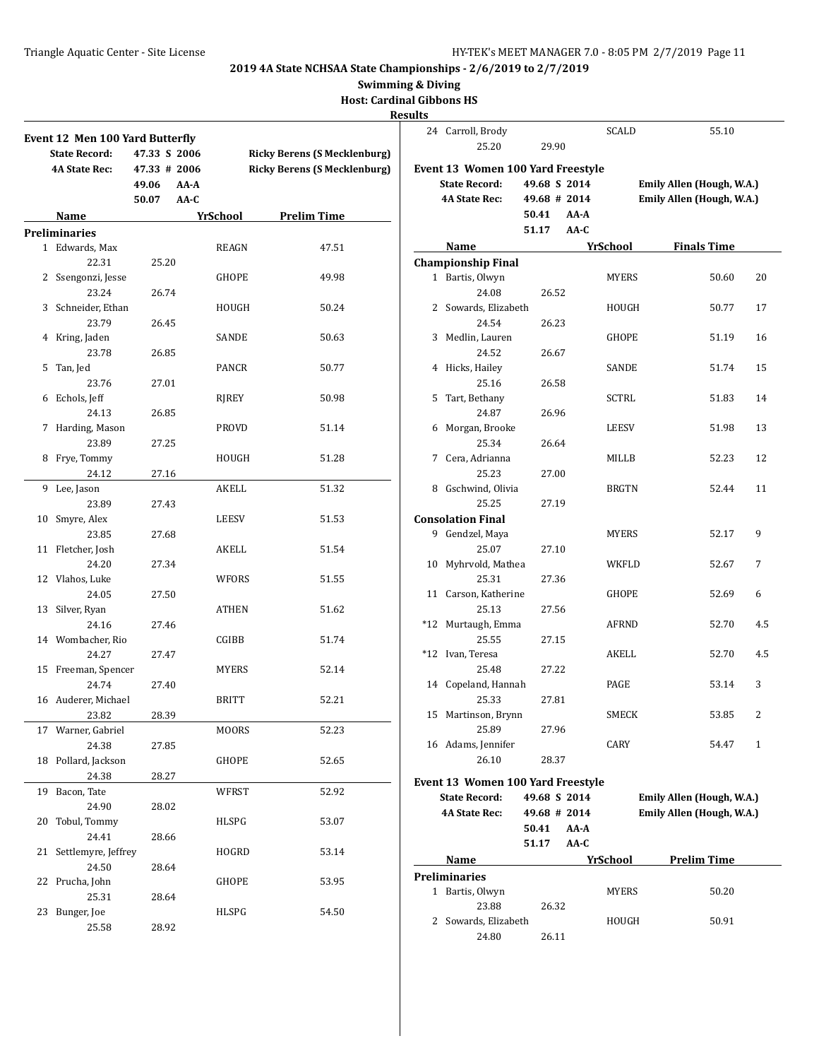**Swimming & Diving**

**Host: Cardinal Gibbons HS**

|    | Event 12 Men 100 Yard Butterfly<br><b>State Record:</b><br><b>4A State Rec:</b> | 47.33 S 2006<br>47.33 # 2006<br>49.06<br>AA-A<br>50.07<br>AA-C |              | <b>Ricky Berens (S Mecklenburg)</b><br><b>Ricky Berens (S Mecklenburg)</b> |
|----|---------------------------------------------------------------------------------|----------------------------------------------------------------|--------------|----------------------------------------------------------------------------|
|    | Name                                                                            |                                                                | YrSchool     | <b>Prelim Time</b>                                                         |
|    | <b>Preliminaries</b>                                                            |                                                                |              |                                                                            |
|    | 1 Edwards, Max                                                                  |                                                                | REAGN        | 47.51                                                                      |
|    | 22.31                                                                           | 25.20                                                          |              |                                                                            |
|    | 2 Ssengonzi, Jesse                                                              |                                                                | GHOPE        | 49.98                                                                      |
|    | 23.24                                                                           | 26.74                                                          |              |                                                                            |
|    | 3 Schneider, Ethan                                                              |                                                                | HOUGH        | 50.24                                                                      |
|    | 23.79                                                                           | 26.45                                                          |              |                                                                            |
|    | 4 Kring, Jaden                                                                  |                                                                | SANDE        | 50.63                                                                      |
|    | 23.78                                                                           | 26.85                                                          |              |                                                                            |
| 5  | Tan, Jed                                                                        |                                                                | PANCR        | 50.77                                                                      |
|    | 23.76                                                                           | 27.01                                                          |              |                                                                            |
|    | 6 Echols, Jeff                                                                  |                                                                | RJREY        | 50.98                                                                      |
|    | 24.13                                                                           | 26.85                                                          |              |                                                                            |
|    | 7 Harding, Mason                                                                |                                                                | PROVD        | 51.14                                                                      |
|    | 23.89                                                                           | 27.25                                                          |              |                                                                            |
|    | 8 Frye, Tommy                                                                   |                                                                | HOUGH        | 51.28                                                                      |
|    | 24.12                                                                           | 27.16                                                          |              |                                                                            |
|    | 9 Lee, Jason                                                                    |                                                                | AKELL        | 51.32                                                                      |
|    | 23.89                                                                           | 27.43                                                          |              |                                                                            |
| 10 | Smyre, Alex                                                                     |                                                                | LEESV        | 51.53                                                                      |
|    | 23.85                                                                           | 27.68                                                          |              |                                                                            |
|    | 11 Fletcher, Josh                                                               |                                                                | AKELL        | 51.54                                                                      |
|    | 24.20                                                                           | 27.34                                                          |              |                                                                            |
|    | 12 Vlahos, Luke                                                                 |                                                                | WFORS        | 51.55                                                                      |
|    | 24.05                                                                           | 27.50                                                          |              |                                                                            |
| 13 | Silver, Ryan                                                                    |                                                                | ATHEN        | 51.62                                                                      |
|    | 24.16                                                                           | 27.46                                                          |              |                                                                            |
|    | 14 Wombacher, Rio                                                               |                                                                | CGIBB        | 51.74                                                                      |
|    | 24.27                                                                           | 27.47                                                          |              |                                                                            |
|    | 15 Freeman, Spencer                                                             |                                                                | <b>MYERS</b> | 52.14                                                                      |
|    | 24.74                                                                           | 27.40                                                          |              |                                                                            |
|    | 16 Auderer, Michael                                                             |                                                                | BRITT        | 52.21                                                                      |
|    | 23.82                                                                           | 28.39                                                          |              |                                                                            |
|    | 17 Warner, Gabriel                                                              |                                                                | MOORS        | 52.23                                                                      |
|    | 24.38                                                                           | 27.85                                                          |              |                                                                            |
| 18 | Pollard, Jackson                                                                |                                                                | GHOPE        | 52.65                                                                      |
|    | 24.38                                                                           | 28.27                                                          |              |                                                                            |
| 19 | Bacon, Tate                                                                     |                                                                | <b>WFRST</b> | 52.92                                                                      |
|    | 24.90                                                                           | 28.02                                                          |              |                                                                            |
| 20 | Tobul, Tommy                                                                    |                                                                | HLSPG        | 53.07                                                                      |
|    | 24.41                                                                           | 28.66                                                          |              |                                                                            |
| 21 | Settlemyre, Jeffrey                                                             |                                                                | HOGRD        | 53.14                                                                      |
|    | 24.50                                                                           | 28.64                                                          |              |                                                                            |
| 22 | Prucha, John                                                                    |                                                                | GHOPE        | 53.95                                                                      |
|    | 25.31                                                                           | 28.64                                                          |              |                                                                            |
| 23 | Bunger, Joe                                                                     |                                                                | HLSPG        | 54.50                                                                      |
|    | 25.58                                                                           | 28.92                                                          |              |                                                                            |

| lts |                                   |              |      |                 |                           |                |
|-----|-----------------------------------|--------------|------|-----------------|---------------------------|----------------|
| 24  | Carroll, Brody<br>25.20           | 29.90        |      | SCALD           | 55.10                     |                |
|     | Event 13 Women 100 Yard Freestyle |              |      |                 |                           |                |
|     | <b>State Record:</b>              | 49.68 S 2014 |      |                 | Emily Allen (Hough, W.A.) |                |
|     | <b>4A State Rec:</b>              | 49.68 # 2014 |      |                 | Emily Allen (Hough, W.A.) |                |
|     |                                   | 50.41        | AA-A |                 |                           |                |
|     |                                   | 51.17        | AA-C |                 |                           |                |
|     | Name                              |              |      | <b>YrSchool</b> | <b>Finals Time</b>        |                |
|     | <b>Championship Final</b>         |              |      |                 |                           |                |
|     | 1 Bartis, Olwyn                   |              |      | <b>MYERS</b>    | 50.60                     | 20             |
|     | 24.08                             | 26.52        |      |                 |                           |                |
| 2   | Sowards, Elizabeth                |              |      | HOUGH           | 50.77                     | 17             |
|     | 24.54                             | 26.23        |      |                 |                           |                |
| 3   | Medlin, Lauren                    |              |      | GHOPE           | 51.19                     | 16             |
|     | 24.52                             | 26.67        |      |                 |                           |                |
| 4   | Hicks, Hailey                     |              |      | SANDE           | 51.74                     | 15             |
|     | 25.16                             | 26.58        |      |                 |                           |                |
| 5   | Tart, Bethany                     |              |      | SCTRL           | 51.83                     | 14             |
|     | 24.87                             | 26.96        |      |                 |                           |                |
| 6   | Morgan, Brooke                    |              |      | LEESV           | 51.98                     | 13             |
|     | 25.34                             | 26.64        |      |                 |                           |                |
| 7   | Cera, Adrianna                    |              |      | MILLB           | 52.23                     | 12             |
|     | 25.23                             | 27.00        |      |                 |                           |                |
| 8   | Gschwind, Olivia                  |              |      | <b>BRGTN</b>    | 52.44                     | 11             |
|     | 25.25                             | 27.19        |      |                 |                           |                |
|     | <b>Consolation Final</b>          |              |      |                 |                           |                |
|     | 9 Gendzel, Maya                   |              |      | MYERS           | 52.17                     | 9              |
|     | 25.07                             | 27.10        |      |                 |                           |                |
| 10  | Myhrvold, Mathea                  |              |      | WKFLD           | 52.67                     | 7              |
|     | 25.31                             | 27.36        |      |                 |                           |                |
| 11  | Carson, Katherine                 |              |      | GHOPE           | 52.69                     | 6              |
|     | 25.13                             | 27.56        |      |                 |                           |                |
|     | *12 Murtaugh, Emma                |              |      | AFRND           | 52.70                     | 4.5            |
|     | 25.55                             | 27.15        |      |                 |                           |                |
|     | *12 Ivan, Teresa                  |              |      | AKELL           | 52.70                     | 4.5            |
|     | 25.48                             | 27.22        |      |                 |                           |                |
|     | 14 Copeland, Hannah               |              |      | PAGE            | 53.14                     | 3              |
|     | 25.33                             | 27.81        |      |                 |                           |                |
|     | 15 Martinson, Brynn               |              |      | SMECK           | 53.85                     | $\overline{c}$ |
|     | 25.89                             | 27.96        |      |                 |                           |                |
|     | 16 Adams, Jennifer                |              |      | CARY            | 54.47                     | 1              |
|     | 26.10                             | 28.37        |      |                 |                           |                |
|     | Event 13 Women 100 Yard Freestyle |              |      |                 |                           |                |
|     | <b>State Record:</b>              | 49.68 S 2014 |      |                 | Emily Allen (Hough, W.A.) |                |
|     | <b>4A State Rec:</b>              | 49.68 # 2014 |      |                 | Emily Allen (Hough, W.A.) |                |
|     |                                   | 50.41        | AA-A |                 |                           |                |
|     |                                   | 51.17        | AA-C |                 |                           |                |
|     | Name                              |              |      | YrSchool        | <b>Prelim Time</b>        |                |
|     | Preliminaries                     |              |      |                 |                           |                |

| 1 Bartis, Olwyn      |       | <b>MYERS</b> | 50.20 |
|----------------------|-------|--------------|-------|
| 23.88                | 26.32 |              |       |
| 2 Sowards, Elizabeth |       | HOUGH        | 50.91 |
| 24.80                | 26.11 |              |       |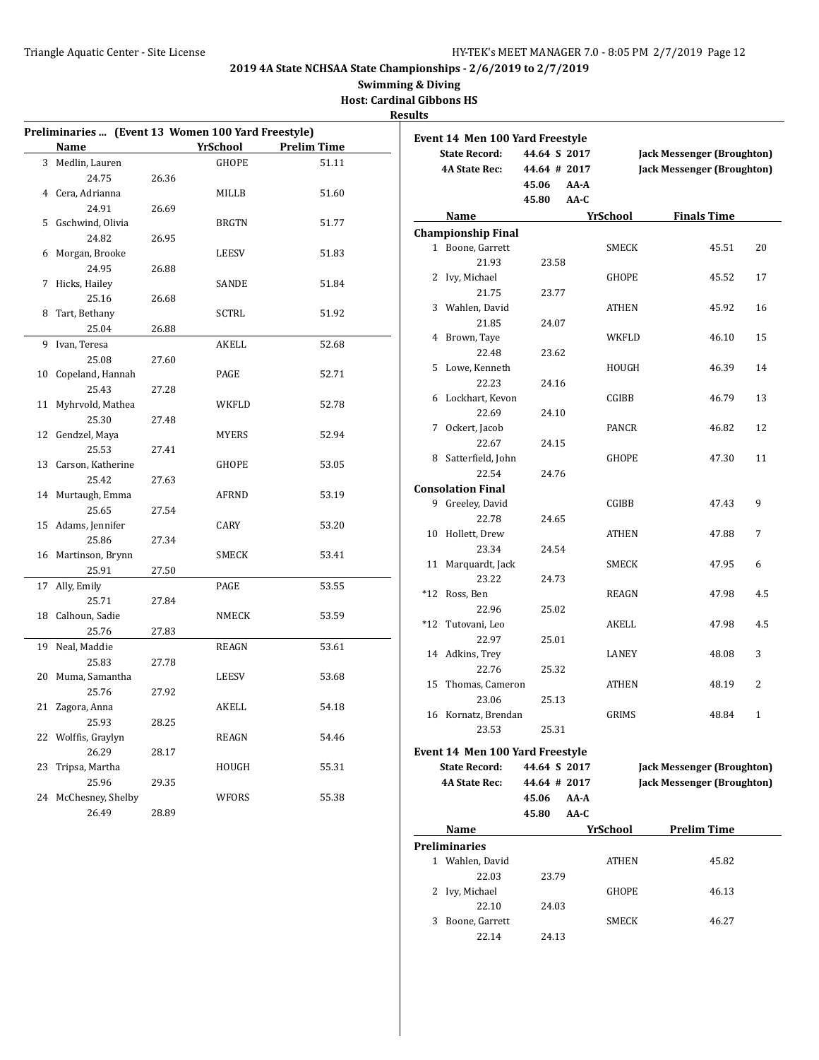**Swimming & Diving**

**Host: Cardinal Gibbons HS Results**

|    | Preliminaries  (Event 13 Women 100 Yard Freestyle) |       |                 |                    |  |  |  |  |  |
|----|----------------------------------------------------|-------|-----------------|--------------------|--|--|--|--|--|
|    | Name                                               |       | <b>YrSchool</b> | <b>Prelim Time</b> |  |  |  |  |  |
|    | 3 Medlin, Lauren                                   |       | GHOPE           | 51.11              |  |  |  |  |  |
|    | 24.75                                              | 26.36 |                 |                    |  |  |  |  |  |
|    | 4 Cera, Adrianna                                   |       | MILLB           | 51.60              |  |  |  |  |  |
|    | 24.91                                              | 26.69 |                 |                    |  |  |  |  |  |
|    | 5 Gschwind, Olivia                                 |       | <b>BRGTN</b>    | 51.77              |  |  |  |  |  |
|    | 24.82                                              | 26.95 |                 |                    |  |  |  |  |  |
| 6  | Morgan, Brooke                                     |       | LEESV           | 51.83              |  |  |  |  |  |
|    | 24.95                                              | 26.88 |                 |                    |  |  |  |  |  |
| 7  | Hicks, Hailey                                      |       | SANDE           | 51.84              |  |  |  |  |  |
|    | 25.16                                              | 26.68 |                 |                    |  |  |  |  |  |
| 8  | Tart, Bethany                                      |       | SCTRL           | 51.92              |  |  |  |  |  |
|    | 25.04                                              | 26.88 |                 |                    |  |  |  |  |  |
| 9  | Ivan, Teresa                                       |       | AKELL           | 52.68              |  |  |  |  |  |
|    | 25.08                                              | 27.60 |                 |                    |  |  |  |  |  |
| 10 | Copeland, Hannah                                   |       | PAGE            | 52.71              |  |  |  |  |  |
|    | 25.43                                              | 27.28 |                 |                    |  |  |  |  |  |
| 11 | Myhrvold, Mathea                                   |       | WKFLD           | 52.78              |  |  |  |  |  |
|    | 25.30                                              | 27.48 |                 |                    |  |  |  |  |  |
|    | 12 Gendzel, Maya                                   |       | MYERS           | 52.94              |  |  |  |  |  |
|    | 25.53                                              | 27.41 |                 |                    |  |  |  |  |  |
|    | 13 Carson, Katherine                               |       | GHOPE           | 53.05              |  |  |  |  |  |
|    | 25.42                                              | 27.63 |                 |                    |  |  |  |  |  |
| 14 | Murtaugh, Emma                                     |       | AFRND           | 53.19              |  |  |  |  |  |
|    | 25.65                                              | 27.54 |                 |                    |  |  |  |  |  |
|    | 15 Adams, Jennifer                                 |       | CARY            | 53.20              |  |  |  |  |  |
|    | 25.86                                              | 27.34 |                 |                    |  |  |  |  |  |
|    | 16 Martinson, Brynn                                |       | SMECK           | 53.41              |  |  |  |  |  |
|    | 25.91                                              | 27.50 |                 |                    |  |  |  |  |  |
|    | 17 Ally, Emily                                     |       | PAGE            | 53.55              |  |  |  |  |  |
|    | 25.71                                              | 27.84 |                 |                    |  |  |  |  |  |
| 18 | Calhoun, Sadie                                     |       | NMECK           | 53.59              |  |  |  |  |  |
|    | 25.76                                              | 27.83 |                 |                    |  |  |  |  |  |
|    | 19 Neal, Maddie                                    |       | REAGN           | 53.61              |  |  |  |  |  |
|    | 25.83                                              | 27.78 |                 |                    |  |  |  |  |  |
| 20 | Muma, Samantha                                     |       | LEESV           | 53.68              |  |  |  |  |  |
|    | 25.76                                              | 27.92 |                 |                    |  |  |  |  |  |
| 21 | Zagora, Anna                                       |       | AKELL           | 54.18              |  |  |  |  |  |
|    | 25.93                                              | 28.25 |                 |                    |  |  |  |  |  |
| 22 | Wolffis, Graylyn                                   |       | REAGN           | 54.46              |  |  |  |  |  |
|    | 26.29                                              | 28.17 |                 |                    |  |  |  |  |  |
| 23 | Tripsa, Martha                                     |       | HOUGH           | 55.31              |  |  |  |  |  |
|    | 25.96                                              | 29.35 |                 |                    |  |  |  |  |  |
| 24 | McChesney, Shelby                                  |       | WFORS           | 55.38              |  |  |  |  |  |
|    | 26.49                                              | 28.89 |                 |                    |  |  |  |  |  |

|       | Event 14  Men 100 Yard Freestyle |              |      |                                   |                                   |     |  |  |
|-------|----------------------------------|--------------|------|-----------------------------------|-----------------------------------|-----|--|--|
|       | <b>State Record:</b>             | 44.64 S 2017 |      | <b>Jack Messenger (Broughton)</b> |                                   |     |  |  |
|       | <b>4A State Rec:</b>             | 44.64 # 2017 |      |                                   | <b>Jack Messenger (Broughton)</b> |     |  |  |
|       |                                  | 45.06        | AA-A |                                   |                                   |     |  |  |
|       |                                  | 45.80        | AA-C |                                   |                                   |     |  |  |
|       | Name                             |              |      | YrSchool                          | <b>Finals Time</b>                |     |  |  |
|       | <b>Championship Final</b>        |              |      |                                   |                                   |     |  |  |
|       | 1 Boone, Garrett                 |              |      | SMECK                             | 45.51                             | 20  |  |  |
|       | 21.93                            | 23.58        |      |                                   |                                   |     |  |  |
| 2     | Ivy, Michael                     |              |      | <b>GHOPE</b>                      | 45.52                             | 17  |  |  |
|       | 21.75                            | 23.77        |      |                                   |                                   |     |  |  |
| 3     | Wahlen, David                    |              |      | ATHEN                             | 45.92                             | 16  |  |  |
|       | 21.85                            | 24.07        |      |                                   |                                   |     |  |  |
| 4     | Brown, Taye                      |              |      | WKFLD                             | 46.10                             | 15  |  |  |
|       | 22.48                            | 23.62        |      |                                   |                                   |     |  |  |
| 5     | Lowe, Kenneth                    |              |      | HOUGH                             | 46.39                             | 14  |  |  |
|       | 22.23                            | 24.16        |      |                                   |                                   |     |  |  |
| 6     | Lockhart, Kevon                  |              |      | CGIBB                             | 46.79                             | 13  |  |  |
|       | 22.69                            | 24.10        |      |                                   |                                   |     |  |  |
| 7     | Ockert, Jacob                    |              |      | PANCR                             | 46.82                             | 12  |  |  |
|       | 22.67                            | 24.15        |      |                                   |                                   |     |  |  |
|       | 8 Satterfield, John              |              |      | GHOPE                             | 47.30                             | 11  |  |  |
|       | 22.54                            | 24.76        |      |                                   |                                   |     |  |  |
|       | <b>Consolation Final</b>         |              |      |                                   |                                   |     |  |  |
|       | 9 Greeley, David                 |              |      | CGIBB                             | 47.43                             | 9   |  |  |
|       | 22.78                            | 24.65        |      |                                   |                                   |     |  |  |
| 10    | Hollett, Drew                    |              |      | ATHEN                             | 47.88                             | 7   |  |  |
|       | 23.34                            | 24.54        |      |                                   |                                   |     |  |  |
| 11    | Marquardt, Jack                  |              |      | SMECK                             | 47.95                             | 6   |  |  |
|       | 23.22                            | 24.73        |      |                                   |                                   |     |  |  |
| $*12$ | Ross, Ben                        |              |      | REAGN                             | 47.98                             | 4.5 |  |  |
|       | 22.96                            | 25.02        |      |                                   |                                   |     |  |  |
| $*12$ | Tutovani, Leo                    |              |      | AKELL                             | 47.98                             | 4.5 |  |  |
|       | 22.97                            | 25.01        |      |                                   |                                   |     |  |  |
| 14    | Adkins, Trey                     |              |      | LANEY                             | 48.08                             | 3   |  |  |
|       | 22.76                            | 25.32        |      |                                   |                                   |     |  |  |
| 15    | Thomas, Cameron                  |              |      | ATHEN                             | 48.19                             | 2   |  |  |
|       | 23.06                            | 25.13        |      |                                   |                                   |     |  |  |
|       | 16 Kornatz, Brendan              |              |      | GRIMS                             | 48.84                             | 1   |  |  |
|       | 23.53                            | 25.31        |      |                                   |                                   |     |  |  |
|       | Event 14 Men 100 Yard Freestyle  |              |      |                                   |                                   |     |  |  |
|       | <b>State Record:</b>             | 44.64 S 2017 |      |                                   | <b>Jack Messenger (Broughton)</b> |     |  |  |
|       | <b>4A State Rec:</b>             | 44.64 # 2017 |      |                                   | <b>Jack Messenger (Broughton)</b> |     |  |  |
|       |                                  | 45.06        | AA-A |                                   |                                   |     |  |  |
|       |                                  | 45.80        | AA-C |                                   |                                   |     |  |  |
|       | Name                             |              |      | YrSchool                          | <b>Prelim Time</b>                |     |  |  |
|       | Preliminaries                    |              |      |                                   |                                   |     |  |  |
|       | 1 Wahlen, David                  |              |      | ATHEN                             | 45.82                             |     |  |  |
|       |                                  |              |      |                                   |                                   |     |  |  |

22.03 23.79 2 Ivy, Michael GHOPE 46.13 22.10 24.03 3 Boone, Garrett SMECK 46.27 22.14 24.13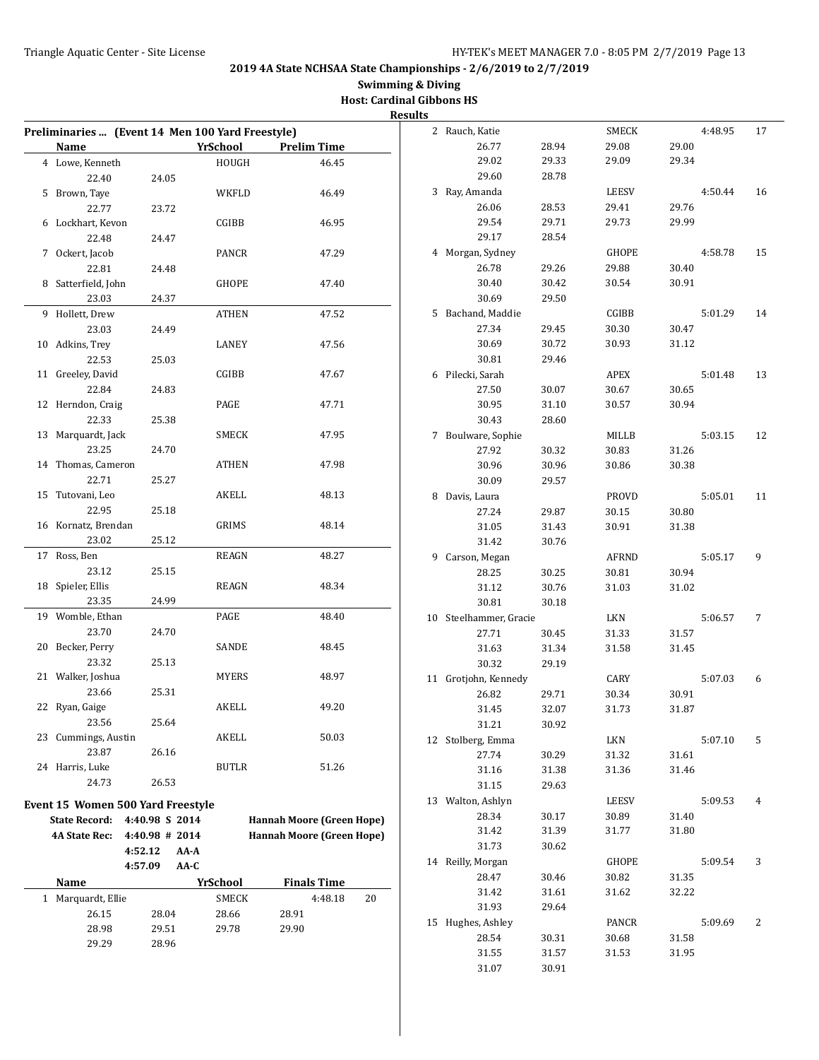# **Swimming & Diving Host: Cardinal Gibbons HS**

|                                                  |                   |                 |                                  | <b>Results</b> |                        |                |              |       |         |    |
|--------------------------------------------------|-------------------|-----------------|----------------------------------|----------------|------------------------|----------------|--------------|-------|---------|----|
| Preliminaries  (Event 14 Men 100 Yard Freestyle) |                   |                 |                                  |                | 2 Rauch, Katie         |                | SMECK        |       | 4:48.95 | 17 |
| Name                                             |                   | <b>YrSchool</b> | <b>Prelim Time</b>               |                | 26.77                  | 28.94          | 29.08        | 29.00 |         |    |
| 4 Lowe, Kenneth                                  |                   | HOUGH           | 46.45                            |                | 29.02                  | 29.33          | 29.09        | 29.34 |         |    |
| 22.40                                            | 24.05             |                 |                                  |                | 29.60                  | 28.78          |              |       |         |    |
| 5 Brown, Taye                                    |                   | WKFLD           | 46.49                            |                | 3 Ray, Amanda          |                | <b>LEESV</b> |       | 4:50.44 | 16 |
| 22.77                                            | 23.72             |                 |                                  |                | 26.06                  | 28.53          | 29.41        | 29.76 |         |    |
| 6 Lockhart, Kevon                                |                   | CGIBB           | 46.95                            |                | 29.54                  | 29.71          | 29.73        | 29.99 |         |    |
| 22.48                                            | 24.47             |                 |                                  |                | 29.17                  | 28.54          |              |       |         |    |
| 7 Ockert, Jacob                                  |                   | PANCR           | 47.29                            |                | 4 Morgan, Sydney       |                | <b>GHOPE</b> |       | 4:58.78 | 15 |
| 22.81                                            | 24.48             |                 |                                  |                | 26.78                  | 29.26          | 29.88        | 30.40 |         |    |
| 8 Satterfield, John                              |                   | GHOPE           | 47.40                            |                | 30.40                  | 30.42          | 30.54        | 30.91 |         |    |
| 23.03                                            | 24.37             |                 |                                  |                | 30.69                  | 29.50          |              |       |         |    |
| 9 Hollett, Drew                                  |                   | ATHEN           | 47.52                            |                | 5 Bachand, Maddie      |                | CGIBB        |       | 5:01.29 | 14 |
| 23.03                                            | 24.49             |                 |                                  |                | 27.34                  | 29.45          | 30.30        | 30.47 |         |    |
| 10 Adkins, Trey                                  |                   | LANEY           | 47.56                            |                | 30.69                  | 30.72          | 30.93        | 31.12 |         |    |
| 22.53                                            | 25.03             |                 |                                  |                | 30.81                  | 29.46          |              |       |         |    |
| 11 Greeley, David                                |                   | CGIBB           | 47.67                            |                | 6 Pilecki, Sarah       |                | APEX         |       | 5:01.48 | 13 |
| 22.84                                            | 24.83             |                 |                                  |                | 27.50                  | 30.07          | 30.67        | 30.65 |         |    |
| 12 Herndon, Craig                                |                   | PAGE            | 47.71                            |                | 30.95                  | 31.10          | 30.57        | 30.94 |         |    |
| 22.33                                            | 25.38             |                 |                                  |                | 30.43                  | 28.60          |              |       |         |    |
| 13 Marquardt, Jack                               |                   | SMECK           | 47.95                            |                | 7 Boulware, Sophie     |                | MILLB        |       | 5:03.15 | 12 |
| 23.25                                            | 24.70             |                 |                                  |                | 27.92                  | 30.32          | 30.83        | 31.26 |         |    |
| 14 Thomas, Cameron                               |                   | ATHEN           | 47.98                            |                | 30.96                  | 30.96          | 30.86        | 30.38 |         |    |
| 22.71                                            | 25.27             |                 |                                  |                | 30.09                  | 29.57          |              |       |         |    |
| 15 Tutovani, Leo                                 |                   | AKELL           | 48.13                            |                | 8 Davis, Laura         |                | PROVD        |       | 5:05.01 | 11 |
| 22.95                                            | 25.18             |                 |                                  |                | 27.24                  | 29.87          | 30.15        | 30.80 |         |    |
| 16 Kornatz, Brendan                              |                   | GRIMS           | 48.14                            |                | 31.05                  | 31.43          | 30.91        | 31.38 |         |    |
| 23.02                                            | 25.12             |                 |                                  |                | 31.42                  | 30.76          |              |       |         |    |
| 17 Ross, Ben                                     |                   | <b>REAGN</b>    | 48.27                            |                | 9 Carson, Megan        |                | <b>AFRND</b> |       | 5:05.17 | 9  |
| 23.12                                            | 25.15             |                 |                                  |                | 28.25                  | 30.25          | 30.81        | 30.94 |         |    |
| 18 Spieler, Ellis                                |                   | REAGN           | 48.34                            |                | 31.12                  | 30.76          | 31.03        | 31.02 |         |    |
| 23.35                                            | 24.99             |                 |                                  |                | 30.81                  | 30.18          |              |       |         |    |
| 19 Womble, Ethan                                 |                   | PAGE            | 48.40                            |                | 10 Steelhammer, Gracie |                | LKN          |       | 5:06.57 | 7  |
| 23.70                                            | 24.70             |                 |                                  |                | 27.71                  | 30.45          | 31.33        | 31.57 |         |    |
| 20 Becker, Perry                                 |                   | SANDE           | 48.45                            |                | 31.63                  | 31.34          | 31.58        | 31.45 |         |    |
| 23.32                                            | 25.13             |                 |                                  |                | 30.32                  | 29.19          |              |       |         |    |
| 21 Walker, Joshua                                |                   | <b>MYERS</b>    | 48.97                            |                | 11 Grotjohn, Kennedy   |                | CARY         |       | 5:07.03 | 6  |
| 23.66                                            | 25.31             |                 |                                  |                |                        | 29.71          | 30.34        | 30.91 |         |    |
| 22 Ryan, Gaige                                   |                   | AKELL           | 49.20                            |                | 26.82                  |                |              |       |         |    |
| 23.56                                            | 25.64             |                 |                                  |                | 31.45<br>31.21         | 32.07<br>30.92 | 31.73        | 31.87 |         |    |
| 23 Cummings, Austin                              |                   | AKELL           | 50.03                            |                | 12 Stolberg, Emma      |                | LKN          |       | 5:07.10 | 5  |
| 23.87                                            | 26.16             |                 |                                  |                | 27.74                  |                |              |       |         |    |
| 24 Harris, Luke                                  |                   | BUTLR           | 51.26                            |                |                        | 30.29          | 31.32        | 31.61 |         |    |
| 24.73                                            | 26.53             |                 |                                  |                | 31.16                  | 31.38          | 31.36        | 31.46 |         |    |
|                                                  |                   |                 |                                  |                | 31.15                  | 29.63          |              |       |         |    |
| Event 15 Women 500 Yard Freestyle                |                   |                 |                                  |                | 13 Walton, Ashlyn      |                | <b>LEESV</b> |       | 5:09.53 | 4  |
| State Record: 4:40.98 S 2014                     |                   |                 | Hannah Moore (Green Hope)        |                | 28.34                  | 30.17          | 30.89        | 31.40 |         |    |
| <b>4A State Rec:</b>                             | $4:40.98 \# 2014$ |                 | <b>Hannah Moore (Green Hope)</b> |                | 31.42                  | 31.39          | 31.77        | 31.80 |         |    |
|                                                  | 4:52.12<br>AA-A   |                 |                                  |                | 31.73                  | 30.62          |              |       |         |    |
|                                                  | 4:57.09<br>AA-C   |                 |                                  |                | 14 Reilly, Morgan      |                | <b>GHOPE</b> |       | 5:09.54 | 3  |
| Name                                             |                   | <b>YrSchool</b> | <b>Finals Time</b>               |                | 28.47                  | 30.46          | 30.82        | 31.35 |         |    |
| 1 Marquardt, Ellie                               |                   | <b>SMECK</b>    | 4:48.18<br>20                    |                | 31.42                  | 31.61          | 31.62        | 32.22 |         |    |
| 26.15                                            | 28.04             | 28.66           | 28.91                            |                | 31.93                  | 29.64          |              |       |         |    |
| 28.98                                            | 29.51             | 29.78           | 29.90                            |                | 15 Hughes, Ashley      |                | PANCR        |       | 5:09.69 | 2  |
| 29.29                                            | 28.96             |                 |                                  |                | 28.54                  | 30.31          | 30.68        | 31.58 |         |    |
|                                                  |                   |                 |                                  |                | 31.55                  | 31.57          | 31.53        | 31.95 |         |    |
|                                                  |                   |                 |                                  |                | 31.07                  | 30.91          |              |       |         |    |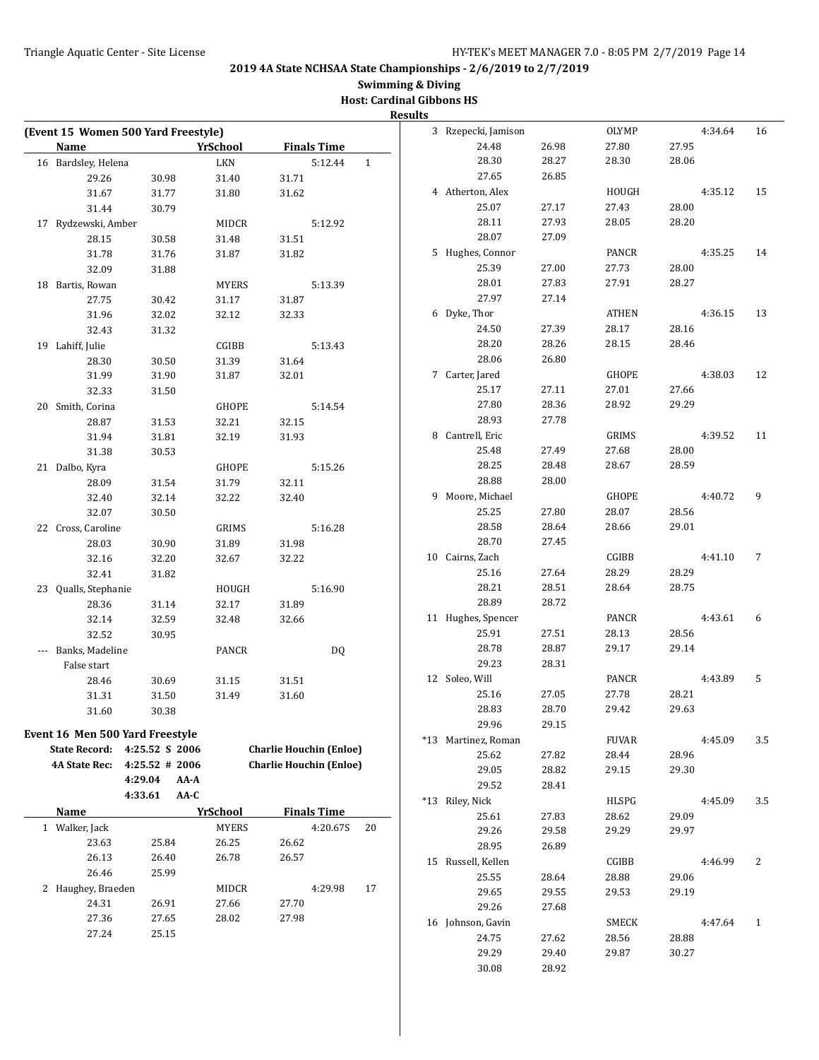# **Swimming & Diving**

| <b>Host: Cardinal Gibbons HS</b> |  |
|----------------------------------|--|
|                                  |  |

|                                     |                   |      |                 |       |                                |              | <b>Results</b> |                     |       |              |       |         |     |
|-------------------------------------|-------------------|------|-----------------|-------|--------------------------------|--------------|----------------|---------------------|-------|--------------|-------|---------|-----|
| (Event 15 Women 500 Yard Freestyle) |                   |      |                 |       |                                |              |                | 3 Rzepecki, Jamison |       | <b>OLYMP</b> |       | 4:34.64 | 16  |
| Name                                |                   |      | YrSchool        |       | <b>Finals Time</b>             |              |                | 24.48               | 26.98 | 27.80        | 27.95 |         |     |
| 16 Bardsley, Helena                 |                   |      | <b>LKN</b>      |       | 5:12.44                        | $\mathbf{1}$ |                | 28.30               | 28.27 | 28.30        | 28.06 |         |     |
| 29.26                               | 30.98             |      | 31.40           | 31.71 |                                |              |                | 27.65               | 26.85 |              |       |         |     |
| 31.67                               | 31.77             |      | 31.80           | 31.62 |                                |              |                | 4 Atherton, Alex    |       | HOUGH        |       | 4:35.12 | 15  |
| 31.44                               | 30.79             |      |                 |       |                                |              |                | 25.07               | 27.17 | 27.43        | 28.00 |         |     |
| 17 Rydzewski, Amber                 |                   |      | <b>MIDCR</b>    |       | 5:12.92                        |              |                | 28.11               | 27.93 | 28.05        | 28.20 |         |     |
| 28.15                               | 30.58             |      | 31.48           | 31.51 |                                |              |                | 28.07               | 27.09 |              |       |         |     |
| 31.78                               | 31.76             |      | 31.87           | 31.82 |                                |              |                | 5 Hughes, Connor    |       | PANCR        |       | 4:35.25 | 14  |
| 32.09                               | 31.88             |      |                 |       |                                |              |                | 25.39               | 27.00 | 27.73        | 28.00 |         |     |
| 18 Bartis, Rowan                    |                   |      | <b>MYERS</b>    |       | 5:13.39                        |              |                | 28.01               | 27.83 | 27.91        | 28.27 |         |     |
| 27.75                               | 30.42             |      | 31.17           | 31.87 |                                |              |                | 27.97               | 27.14 |              |       |         |     |
| 31.96                               | 32.02             |      | 32.12           | 32.33 |                                |              |                | 6 Dyke, Thor        |       | ATHEN        |       | 4:36.15 | 13  |
| 32.43                               | 31.32             |      |                 |       |                                |              |                | 24.50               | 27.39 | 28.17        | 28.16 |         |     |
| 19 Lahiff, Julie                    |                   |      | CGIBB           |       | 5:13.43                        |              |                | 28.20               | 28.26 | 28.15        | 28.46 |         |     |
| 28.30                               | 30.50             |      | 31.39           | 31.64 |                                |              |                | 28.06               | 26.80 |              |       |         |     |
| 31.99                               | 31.90             |      | 31.87           | 32.01 |                                |              |                | 7 Carter, Jared     |       | <b>GHOPE</b> |       | 4:38.03 | 12  |
| 32.33                               | 31.50             |      |                 |       |                                |              |                | 25.17               | 27.11 | 27.01        | 27.66 |         |     |
| 20 Smith, Corina                    |                   |      | <b>GHOPE</b>    |       | 5:14.54                        |              |                | 27.80               | 28.36 | 28.92        | 29.29 |         |     |
| 28.87                               | 31.53             |      | 32.21           | 32.15 |                                |              |                | 28.93               | 27.78 |              |       |         |     |
| 31.94                               | 31.81             |      | 32.19           | 31.93 |                                |              |                | 8 Cantrell, Eric    |       | GRIMS        |       | 4:39.52 | 11  |
| 31.38                               | 30.53             |      |                 |       |                                |              |                | 25.48               | 27.49 | 27.68        | 28.00 |         |     |
| 21 Dalbo, Kyra                      |                   |      | GHOPE           |       | 5:15.26                        |              |                | 28.25               | 28.48 | 28.67        | 28.59 |         |     |
| 28.09                               | 31.54             |      | 31.79           | 32.11 |                                |              |                | 28.88               | 28.00 |              |       |         |     |
| 32.40                               | 32.14             |      | 32.22           | 32.40 |                                |              |                | 9 Moore, Michael    |       | GHOPE        |       | 4:40.72 | 9   |
| 32.07                               | 30.50             |      |                 |       |                                |              |                | 25.25               | 27.80 | 28.07        | 28.56 |         |     |
| 22 Cross, Caroline                  |                   |      | GRIMS           |       | 5:16.28                        |              |                | 28.58               | 28.64 | 28.66        | 29.01 |         |     |
| 28.03                               | 30.90             |      | 31.89           | 31.98 |                                |              |                | 28.70               | 27.45 |              |       |         |     |
| 32.16                               | 32.20             |      | 32.67           | 32.22 |                                |              |                | 10 Cairns, Zach     |       | CGIBB        |       | 4:41.10 | 7   |
| 32.41                               | 31.82             |      |                 |       |                                |              |                | 25.16               | 27.64 | 28.29        | 28.29 |         |     |
| 23 Qualls, Stephanie                |                   |      | HOUGH           |       | 5:16.90                        |              |                | 28.21               | 28.51 | 28.64        | 28.75 |         |     |
| 28.36                               | 31.14             |      | 32.17           | 31.89 |                                |              |                | 28.89               | 28.72 |              |       |         |     |
| 32.14                               | 32.59             |      | 32.48           | 32.66 |                                |              |                | 11 Hughes, Spencer  |       | PANCR        |       | 4:43.61 | 6   |
| 32.52                               | 30.95             |      |                 |       |                                |              |                | 25.91               | 27.51 | 28.13        | 28.56 |         |     |
| --- Banks, Madeline                 |                   |      | PANCR           |       | DQ                             |              |                | 28.78               | 28.87 | 29.17        | 29.14 |         |     |
| False start                         |                   |      |                 |       |                                |              |                | 29.23               | 28.31 |              |       |         |     |
| 28.46                               | 30.69             |      | 31.15           | 31.51 |                                |              |                | 12 Soleo, Will      |       | PANCR        |       | 4:43.89 | 5   |
| 31.31                               | 31.50             |      | 31.49           | 31.60 |                                |              |                | 25.16               | 27.05 | 27.78        | 28.21 |         |     |
| $31.60\,$                           | 30.38             |      |                 |       |                                |              |                | 28.83               | 28.70 | 29.42        | 29.63 |         |     |
| Event 16 Men 500 Yard Freestyle     |                   |      |                 |       |                                |              |                | 29.96               | 29.15 |              |       |         |     |
|                                     |                   |      |                 |       | <b>Charlie Houchin (Enloe)</b> |              |                | *13 Martinez, Roman |       | <b>FUVAR</b> |       | 4:45.09 | 3.5 |
| State Record: 4:25.52 S 2006        |                   |      |                 |       |                                |              |                | 25.62               | 27.82 | 28.44        | 28.96 |         |     |
| <b>4A State Rec:</b>                | $4:25.52 \# 2006$ |      |                 |       | <b>Charlie Houchin (Enloe)</b> |              |                | 29.05               | 28.82 | 29.15        | 29.30 |         |     |
|                                     | 4:29.04           | AA-A |                 |       |                                |              |                | 29.52               | 28.41 |              |       |         |     |
|                                     | 4:33.61           | AA-C |                 |       |                                |              |                | *13 Riley, Nick     |       | HLSPG        |       | 4:45.09 | 3.5 |
| <b>Name</b>                         |                   |      | <b>YrSchool</b> |       | <b>Finals Time</b>             |              |                | 25.61               | 27.83 | 28.62        | 29.09 |         |     |
| 1 Walker, Jack                      |                   |      | <b>MYERS</b>    |       | 4:20.67S                       | 20           |                | 29.26               | 29.58 | 29.29        | 29.97 |         |     |
| 23.63                               | 25.84             |      | 26.25           | 26.62 |                                |              |                | 28.95               | 26.89 |              |       |         |     |
| 26.13                               | 26.40             |      | 26.78           | 26.57 |                                |              |                | 15 Russell, Kellen  |       | CGIBB        |       | 4:46.99 | 2   |
| 26.46                               | 25.99             |      |                 |       |                                |              |                | 25.55               | 28.64 | 28.88        | 29.06 |         |     |
| 2 Haughey, Braeden                  |                   |      | MIDCR           |       | 4:29.98                        | 17           |                | 29.65               | 29.55 | 29.53        | 29.19 |         |     |
| 24.31                               | 26.91             |      | 27.66           | 27.70 |                                |              |                | 29.26               | 27.68 |              |       |         |     |
| 27.36                               | 27.65             |      | 28.02           | 27.98 |                                |              |                | 16 Johnson, Gavin   |       | SMECK        |       | 4:47.64 | 1   |
| 27.24                               | 25.15             |      |                 |       |                                |              |                | 24.75               | 27.62 | 28.56        | 28.88 |         |     |
|                                     |                   |      |                 |       |                                |              |                | 29.29               | 29.40 | 29.87        | 30.27 |         |     |
|                                     |                   |      |                 |       |                                |              |                | 30.08               | 28.92 |              |       |         |     |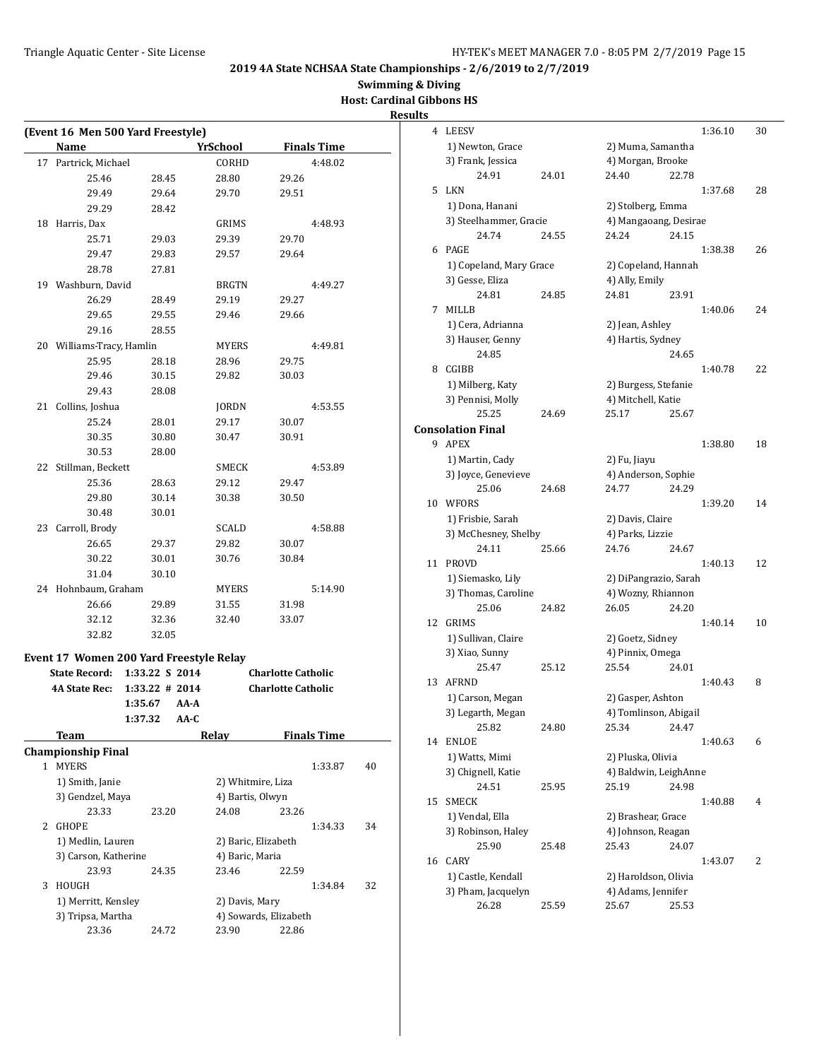**Swimming & Diving**

**Host: Cardinal Gibbons HS Results**

|    | (Event 16 Men 500 Yard Freestyle)<br>Name |                  | <b>YrSchool</b>     | <b>Finals Time</b>        |    |
|----|-------------------------------------------|------------------|---------------------|---------------------------|----|
| 17 | Partrick, Michael                         |                  | CORHD               | 4:48.02                   |    |
|    | 25.46                                     | 28.45            | 28.80               | 29.26                     |    |
|    | 29.49                                     | 29.64            | 29.70               | 29.51                     |    |
|    | 29.29                                     | 28.42            |                     |                           |    |
| 18 | Harris, Dax                               |                  | GRIMS               | 4:48.93                   |    |
|    | 25.71                                     | 29.03            | 29.39               | 29.70                     |    |
|    | 29.47                                     | 29.83            | 29.57               | 29.64                     |    |
|    | 28.78                                     | 27.81            |                     |                           |    |
|    | 19 Washburn, David                        |                  | <b>BRGTN</b>        | 4:49.27                   |    |
|    | 26.29                                     | 28.49            | 29.19               | 29.27                     |    |
|    | 29.65                                     | 29.55            | 29.46               | 29.66                     |    |
|    | 29.16                                     | 28.55            |                     |                           |    |
|    | 20 Williams-Tracy, Hamlin                 |                  | <b>MYERS</b>        | 4:49.81                   |    |
|    | 25.95                                     | 28.18            | 28.96               | 29.75                     |    |
|    | 29.46                                     | 30.15            | 29.82               | 30.03                     |    |
|    | 29.43                                     | 28.08            |                     |                           |    |
| 21 | Collins, Joshua                           |                  | JORDN               | 4:53.55                   |    |
|    | 25.24                                     | 28.01            | 29.17               | 30.07                     |    |
|    | 30.35                                     | 30.80            | 30.47               | 30.91                     |    |
|    | 30.53                                     | 28.00            |                     |                           |    |
| 22 | Stillman, Beckett                         |                  | SMECK               | 4:53.89                   |    |
|    | 25.36                                     | 28.63            | 29.12               | 29.47                     |    |
|    | 29.80                                     | 30.14            | 30.38               | 30.50                     |    |
|    | 30.48                                     | 30.01            |                     |                           |    |
| 23 | Carroll, Brody                            |                  | SCALD               | 4:58.88                   |    |
|    |                                           |                  |                     |                           |    |
|    | 26.65<br>30.22                            | 29.37            | 29.82<br>30.76      | 30.07                     |    |
|    |                                           | 30.01            |                     | 30.84                     |    |
|    | 31.04                                     | 30.10            |                     | 5:14.90                   |    |
|    | 24 Hohnbaum, Graham                       |                  | MYERS               |                           |    |
|    | 26.66<br>32.12                            | 29.89            | 31.55<br>32.40      | 31.98                     |    |
|    |                                           | 32.36            |                     | 33.07                     |    |
|    | 32.82                                     | 32.05            |                     |                           |    |
|    | Event 17 Women 200 Yard Freestyle Relay   |                  |                     |                           |    |
|    | <b>State Record:</b>                      | 1:33.22 S 2014   |                     | <b>Charlotte Catholic</b> |    |
|    | <b>4A State Rec:</b>                      | $1:33.22$ # 2014 |                     | <b>Charlotte Catholic</b> |    |
|    |                                           | 1:35.67<br>AA-A  |                     |                           |    |
|    |                                           | 1:37.32<br>AA-C  |                     |                           |    |
|    | Team                                      |                  | Relay               | <b>Finals Time</b>        |    |
|    | <b>Championship Final</b>                 |                  |                     |                           |    |
|    |                                           |                  |                     | 1:33.87                   | 40 |
|    | 1 MYERS                                   |                  | 2) Whitmire, Liza   |                           |    |
|    | 1) Smith, Janie                           |                  |                     |                           |    |
|    | 3) Gendzel, Maya                          |                  | 4) Bartis, Olwyn    |                           |    |
|    | 23.33                                     | 23.20            | 24.08               | 23.26                     |    |
| 2  | <b>GHOPE</b>                              |                  |                     | 1:34.33                   |    |
|    | 1) Medlin, Lauren                         |                  | 2) Baric, Elizabeth |                           |    |
|    | 3) Carson, Katherine                      |                  | 4) Baric, Maria     |                           | 34 |
|    | 23.93                                     | 24.35            | 23.46               | 22.59                     |    |
| 3  | HOUGH                                     |                  |                     | 1:34.84                   |    |
|    | 1) Merritt, Kensley                       |                  | 2) Davis, Mary      |                           |    |
|    | 3) Tripsa, Martha                         |                  |                     | 4) Sowards, Elizabeth     | 32 |

| ults |                          |       |                       |       |         |    |
|------|--------------------------|-------|-----------------------|-------|---------|----|
| 4    | <b>LEESV</b>             |       |                       |       | 1:36.10 | 30 |
|      | 1) Newton, Grace         |       | 2) Muma, Samantha     |       |         |    |
|      | 3) Frank, Jessica        |       | 4) Morgan, Brooke     |       |         |    |
|      | 24.91                    | 24.01 | 24.40                 | 22.78 |         |    |
| 5    | LKN                      |       |                       |       | 1:37.68 | 28 |
|      | 1) Dona, Hanani          |       | 2) Stolberg, Emma     |       |         |    |
|      | 3) Steelhammer, Gracie   |       | 4) Mangaoang, Desirae |       |         |    |
|      | 24.74                    | 24.55 | 24.24                 | 24.15 |         |    |
|      | 6 PAGE                   |       |                       |       | 1:38.38 | 26 |
|      | 1) Copeland, Mary Grace  |       | 2) Copeland, Hannah   |       |         |    |
|      | 3) Gesse, Eliza          |       | 4) Ally, Emily        |       |         |    |
|      | 24.81                    | 24.85 | 24.81                 | 23.91 |         |    |
| 7    | <b>MILLB</b>             |       |                       |       | 1:40.06 | 24 |
|      | 1) Cera, Adrianna        |       | 2) Jean, Ashley       |       |         |    |
|      | 3) Hauser, Genny         |       | 4) Hartis, Sydney     |       |         |    |
|      | 24.85                    |       |                       | 24.65 |         |    |
| 8    | CGIBB                    |       |                       |       | 1:40.78 | 22 |
|      | 1) Milberg, Katy         |       | 2) Burgess, Stefanie  |       |         |    |
|      | 3) Pennisi, Molly        |       | 4) Mitchell, Katie    |       |         |    |
|      | 25.25                    | 24.69 | 25.17                 | 25.67 |         |    |
|      | <b>Consolation Final</b> |       |                       |       |         |    |
|      | 9 APEX                   |       |                       |       | 1:38.80 | 18 |
|      | 1) Martin, Cady          |       | 2) Fu, Jiayu          |       |         |    |
|      | 3) Joyce, Genevieve      |       | 4) Anderson, Sophie   |       |         |    |
|      | 25.06                    | 24.68 | 24.77                 | 24.29 |         |    |
| 10   | WFORS                    |       |                       |       | 1:39.20 | 14 |
|      | 1) Frisbie, Sarah        |       | 2) Davis, Claire      |       |         |    |
|      | 3) McChesney, Shelby     |       | 4) Parks, Lizzie      |       |         |    |
|      | 24.11                    | 25.66 | 24.76                 | 24.67 |         |    |
| 11   | <b>PROVD</b>             |       |                       |       | 1:40.13 | 12 |
|      | 1) Siemasko, Lily        |       | 2) DiPangrazio, Sarah |       |         |    |
|      | 3) Thomas, Caroline      |       | 4) Wozny, Rhiannon    |       |         |    |
|      | 25.06                    | 24.82 | 26.05                 | 24.20 |         |    |
| 12   | <b>GRIMS</b>             |       |                       |       | 1:40.14 | 10 |
|      | 1) Sullivan, Claire      |       | 2) Goetz, Sidney      |       |         |    |
|      | 3) Xiao, Sunny           |       | 4) Pinnix, Omega      |       |         |    |
|      | 25.47                    | 25.12 | 25.54                 | 24.01 |         |    |
| 13   | <b>AFRND</b>             |       |                       |       | 1:40.43 | 8  |
|      | 1) Carson, Megan         |       | 2) Gasper, Ashton     |       |         |    |
|      | 3) Legarth, Megan        |       | 4) Tomlinson, Abigail |       |         |    |
|      | 25.82                    | 24.80 | 25.34                 | 24.47 |         |    |
| 14   | <b>ENLOE</b>             |       |                       |       | 1:40.63 | 6  |
|      | 1) Watts, Mimi           |       | 2) Pluska, Olivia     |       |         |    |
|      | 3) Chignell, Katie       |       | 4) Baldwin, LeighAnne |       |         |    |
|      | 24.51                    | 25.95 | 25.19                 | 24.98 |         |    |
| 15   | <b>SMECK</b>             |       |                       |       | 1:40.88 | 4  |
|      | 1) Vendal, Ella          |       | 2) Brashear, Grace    |       |         |    |
|      | 3) Robinson, Haley       |       | 4) Johnson, Reagan    |       |         |    |
|      | 25.90                    | 25.48 | 25.43                 | 24.07 |         |    |
| 16   | CARY                     |       |                       |       | 1:43.07 | 2  |
|      | 1) Castle, Kendall       |       | 2) Haroldson, Olivia  |       |         |    |
|      | 3) Pham, Jacquelyn       |       | 4) Adams, Jennifer    |       |         |    |
|      | 26.28                    | 25.59 | 25.67                 | 25.53 |         |    |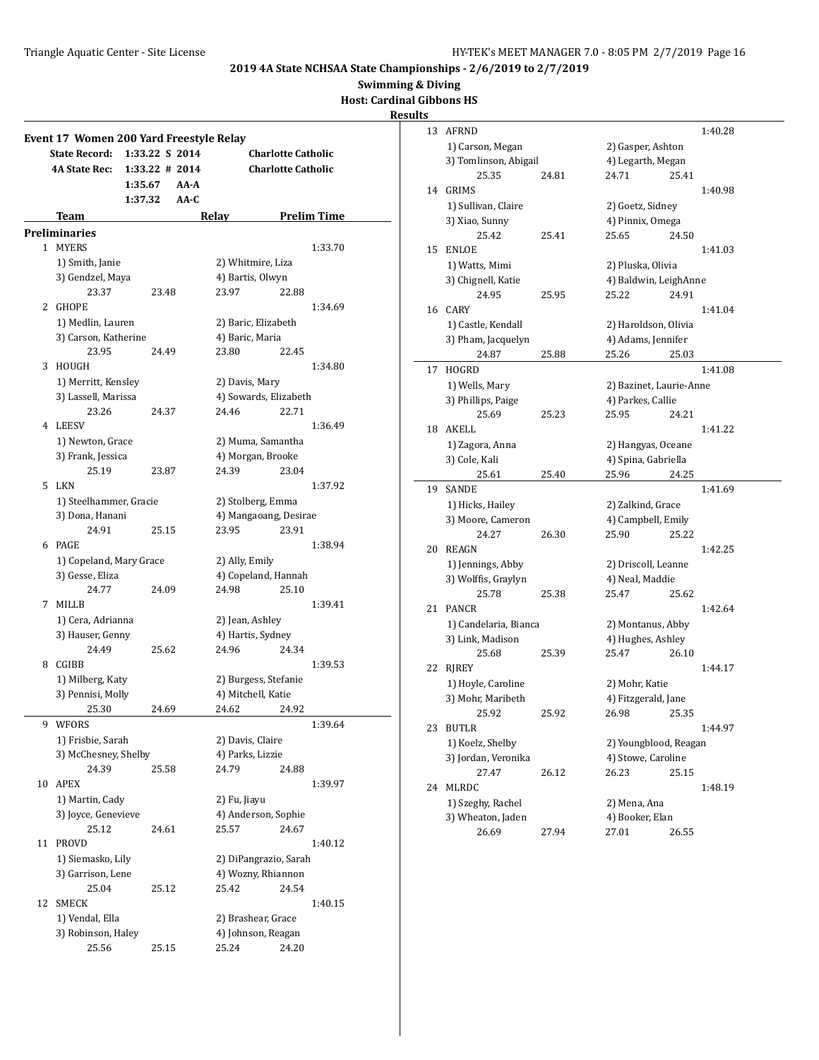**Swimming & Diving**

**Host: Cardinal Gibbons HS**

**Results**

#### **Event 17 Women 200 Yard Freestyle Relay State Record: 1:33.22 S 2014 Charlotte Catholic 4A State Rec: 1:33.22 # 2014 Charlotte Catholic 1:35.67 AA-A 1:37.32 AA-C Team Relay Prelim Time Preliminaries** 1 MYERS 1:33.70 1) Smith, Janie 2) Whitmire, Liza 3) Gendzel, Maya (4) Bartis, Olwyn 23.37 23.48 23.97 22.88 2 GHOPE 1:34.69 1) Medlin, Lauren 2) Baric, Elizabeth 3) Carson, Katherine 4) Baric, Maria 23.95 24.49 23.80 22.45 3 HOUGH 1:34.80 1) Merritt, Kensley 2) Davis, Mary 3) Lassell, Marissa (4) Sowards, Elizabeth 23.26 24.37 24.46 22.71 4 LEESV 1:36.49 1) Newton, Grace 2) Muma, Samantha 3) Frank, Jessica (4) Morgan, Brooke 25.19 23.87 24.39 23.04 5 LKN 1:37.92 1) Steelhammer, Gracie 2) Stolberg, Emma 3) Dona, Hanani 4) Mangaoang, Desirae 24.91 25.15 23.95 23.91 6 PAGE 1:38.94 1) Copeland, Mary Grace 2) Ally, Emily 3) Gesse, Eliza (4) Copeland, Hannah 24.77 24.09 24.98 25.10 7 MILLB 1:39.41 1) Cera, Adrianna 2) Jean, Ashley 3) Hauser, Genny (4) Hartis, Sydney 24.49 25.62 24.96 24.34 8 CGIBB 1:39.53 1) Milberg, Katy 2) Burgess, Stefanie 3) Pennisi, Molly 4) Mitchell, Katie 25.30 24.69 24.62 24.92 9 WFORS 1:39.64 1) Frisbie, Sarah 2) Davis, Claire 3) McChesney, Shelby 4) Parks, Lizzie 24.39 25.58 24.79 24.88 10 APEX 1:39.97 1) Martin, Cady 2) Fu, Jiayu 3) Joyce, Genevieve 4) Anderson, Sophie 25.12 24.61 25.57 24.67 11 PROVD 1:40.12 1) Siemasko, Lily 2) DiPangrazio, Sarah 3) Garrison, Lene 4) Wozny, Rhiannon 25.04 25.12 25.42 24.54 12 SMECK 1:40.15 1) Vendal, Ella 2) Brashear, Grace 3) Robinson, Haley 4) Johnson, Reagan 25.56 25.15 25.24 24.20

| S  |                                           |       |                                        |       |         |
|----|-------------------------------------------|-------|----------------------------------------|-------|---------|
| 13 | <b>AFRND</b>                              |       |                                        |       | 1:40.28 |
|    | 1) Carson, Megan                          |       | 2) Gasper, Ashton                      |       |         |
|    | 3) Tomlinson, Abigail                     |       | 4) Legarth, Megan                      |       |         |
|    | 25.35                                     | 24.81 | 24.71                                  | 25.41 |         |
| 14 | <b>GRIMS</b>                              |       |                                        |       | 1:40.98 |
|    | 1) Sullivan, Claire                       |       | 2) Goetz, Sidney                       |       |         |
|    | 3) Xiao, Sunny                            |       | 4) Pinnix, Omega                       |       |         |
|    | 25.42                                     | 25.41 | 25.65                                  | 24.50 |         |
| 15 | <b>ENLOE</b>                              |       |                                        |       | 1:41.03 |
|    | 1) Watts, Mimi                            |       | 2) Pluska, Olivia                      |       |         |
|    | 3) Chignell, Katie                        |       | 4) Baldwin, LeighAnne                  |       |         |
|    | 24.95                                     | 25.95 | 25.22                                  | 24.91 |         |
| 16 | <b>CARY</b>                               |       |                                        |       | 1:41.04 |
|    | 1) Castle, Kendall                        |       | 2) Haroldson, Olivia                   |       |         |
|    | 3) Pham, Jacquelyn                        |       | 4) Adams, Jennifer                     |       |         |
|    | 24.87                                     | 25.88 | 25.26                                  | 25.03 |         |
| 17 | HOGRD                                     |       |                                        |       | 1:41.08 |
|    | 1) Wells, Mary                            |       | 2) Bazinet, Laurie-Anne                |       |         |
|    | 3) Phillips, Paige                        |       | 4) Parkes, Callie                      |       |         |
|    | 25.69                                     | 25.23 | 25.95                                  | 24.21 |         |
| 18 | AKELL                                     |       |                                        |       | 1:41.22 |
|    | 1) Zagora, Anna                           |       | 2) Hangyas, Oceane                     |       |         |
|    | 3) Cole, Kali                             |       | 4) Spina, Gabriella                    |       |         |
|    | 25.61                                     | 25.40 | 25.96                                  | 24.25 |         |
| 19 | <b>SANDE</b>                              |       |                                        |       | 1:41.69 |
|    | 1) Hicks, Hailey                          |       | 2) Zalkind, Grace                      |       |         |
|    | 3) Moore, Cameron                         |       | 4) Campbell, Emily                     |       |         |
|    | 24.27                                     | 26.30 | 25.90                                  | 25.22 |         |
| 20 | <b>REAGN</b>                              |       |                                        |       | 1:42.25 |
|    | 1) Jennings, Abby                         |       | 2) Driscoll, Leanne                    |       |         |
|    | 3) Wolffis, Graylyn<br>25.78              |       | 4) Neal, Maddie                        |       |         |
| 21 | <b>PANCR</b>                              | 25.38 | 25.47                                  | 25.62 | 1:42.64 |
|    |                                           |       |                                        |       |         |
|    | 1) Candelaria, Bianca<br>3) Link, Madison |       | 2) Montanus, Abby<br>4) Hughes, Ashley |       |         |
|    | 25.68                                     | 25.39 | 25.47                                  | 26.10 |         |
| 22 | RJREY                                     |       |                                        |       | 1:44.17 |
|    | 1) Hoyle, Caroline                        |       | 2) Mohr, Katie                         |       |         |
|    | 3) Mohr, Maribeth                         |       | 4) Fitzgerald, Jane                    |       |         |
|    | 25.92                                     | 25.92 | 26.98                                  | 25.35 |         |
| 23 | <b>BUTLR</b>                              |       |                                        |       | 1:44.97 |
|    | 1) Koelz, Shelby                          |       | 2) Youngblood, Reagan                  |       |         |
|    | 3) Jordan, Veronika                       |       | 4) Stowe, Caroline                     |       |         |
|    | 27.47                                     | 26.12 | 26.23                                  | 25.15 |         |
| 24 | MLRDC                                     |       |                                        |       | 1:48.19 |
|    | 1) Szeghy, Rachel                         |       | 2) Mena, Ana                           |       |         |
|    | 3) Wheaton, Jaden                         |       | 4) Booker, Elan                        |       |         |
|    | 26.69                                     | 27.94 | 27.01                                  | 26.55 |         |
|    |                                           |       |                                        |       |         |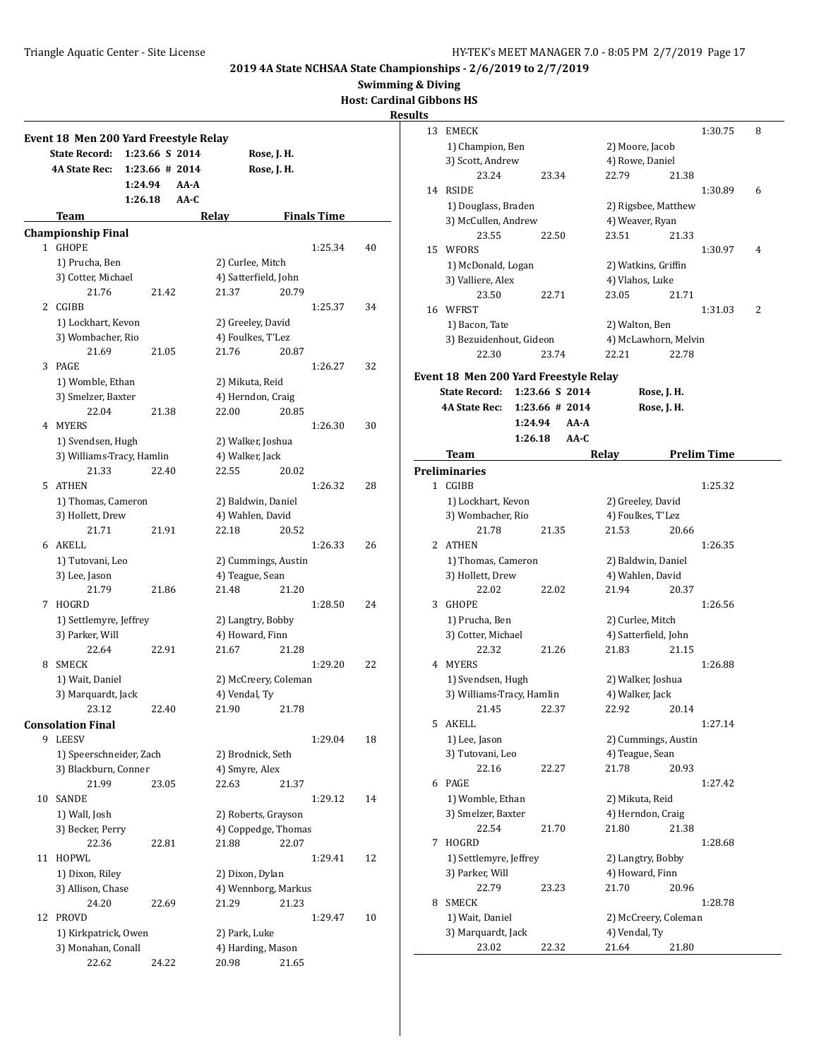**Swimming & Diving**

**Cardinal Gibbons HS** 

**Results**

|    | Event 18 Men 200 Yard Freestyle Relay |                   |                          |                              |    |
|----|---------------------------------------|-------------------|--------------------------|------------------------------|----|
|    | <b>State Record:</b>                  | 1:23.66 S 2014    |                          | Rose, J. H.                  |    |
|    | <b>4A State Rec:</b>                  | $1:23.66$ # 2014  |                          | Rose, J. H.                  |    |
|    |                                       | 1:24.94<br>AA-A   |                          |                              |    |
|    |                                       | $AA-C$<br>1:26.18 |                          |                              |    |
|    | Team                                  |                   | Relay                    | <b>Finals Time</b>           |    |
|    | <b>Championship Final</b>             |                   |                          |                              |    |
|    | 1 GHOPE                               |                   |                          | 1:25.34                      | 40 |
|    | 1) Prucha, Ben                        |                   | 2) Curlee, Mitch         |                              |    |
|    | 3) Cotter, Michael                    |                   |                          | 4) Satterfield, John         |    |
|    | 21.76                                 | 21.42             | 21.37                    | 20.79                        |    |
| 2  | CGIBB                                 |                   |                          | 1:25.37                      | 34 |
|    | 1) Lockhart, Kevon                    |                   | 2) Greeley, David        |                              |    |
|    | 3) Wombacher, Rio                     |                   | 4) Foulkes, T'Lez        |                              |    |
|    | 21.69                                 | 21.05             | 21.76                    | 20.87                        |    |
| 3  | PAGE                                  |                   |                          | 1:26.27                      | 32 |
|    | 1) Womble, Ethan                      |                   | 2) Mikuta, Reid          |                              |    |
|    | 3) Smelzer, Baxter                    |                   | 4) Herndon, Craig        |                              |    |
|    | 22.04                                 | 21.38             | 22.00                    | 20.85                        |    |
| 4  | MYERS                                 |                   |                          | 1:26.30                      | 30 |
|    | 1) Svendsen, Hugh                     |                   | 2) Walker, Joshua        |                              |    |
|    | 3) Williams-Tracy, Hamlin<br>21.33    | 22.40             | 4) Walker, Jack<br>22.55 | 20.02                        |    |
|    | 5 ATHEN                               |                   |                          | 1:26.32                      | 28 |
|    | 1) Thomas, Cameron                    |                   |                          | 2) Baldwin, Daniel           |    |
|    | 3) Hollett, Drew                      |                   | 4) Wahlen, David         |                              |    |
|    | 21.71                                 | 21.91             | 22.18                    | 20.52                        |    |
|    | 6 AKELL                               |                   |                          | 1:26.33                      | 26 |
|    | 1) Tutovani, Leo                      |                   |                          | 2) Cummings, Austin          |    |
|    | 3) Lee, Jason                         |                   | 4) Teague, Sean          |                              |    |
|    | 21.79                                 | 21.86             | 21.48                    | 21.20                        |    |
| 7  | HOGRD                                 |                   |                          | 1:28.50                      | 24 |
|    | 1) Settlemyre, Jeffrey                |                   | 2) Langtry, Bobby        |                              |    |
|    | 3) Parker, Will                       |                   | 4) Howard, Finn          |                              |    |
|    | 22.64                                 | 22.91             | 21.67                    | 21.28                        |    |
| 8  | <b>SMECK</b>                          |                   |                          | 1:29.20                      | 22 |
|    | 1) Wait, Daniel                       |                   |                          | 2) McCreery, Coleman         |    |
|    | 3) Marquardt, Jack                    |                   | 4) Vendal, Ty            |                              |    |
|    | 23.12                                 | 22.40             | 21.90                    | 21.78                        |    |
|    | <b>Consolation Final</b>              |                   |                          |                              |    |
|    | 9 LEESV                               |                   |                          | 1:29.04                      | 18 |
|    | 1) Speerschneider, Zach               |                   | 2) Brodnick, Seth        |                              |    |
|    | 3) Blackburn, Conner                  |                   | 4) Smyre, Alex           |                              |    |
|    | 21.99                                 | 23.05             | 22.63                    | 21.37                        |    |
| 10 | SANDE                                 |                   |                          | 1:29.12                      | 14 |
|    | 1) Wall, Josh                         |                   |                          | 2) Roberts, Grayson          |    |
|    | 3) Becker, Perry<br>22.36             |                   | 21.88                    | 4) Coppedge, Thomas<br>22.07 |    |
| 11 | HOPWL                                 | 22.81             |                          | 1:29.41                      | 12 |
|    | 1) Dixon, Riley                       |                   | 2) Dixon, Dylan          |                              |    |
|    | 3) Allison, Chase                     |                   |                          | 4) Wennborg, Markus          |    |
|    | 24.20                                 | 22.69             | 21.29                    | 21.23                        |    |
| 12 | PROVD                                 |                   |                          | 1:29.47                      | 10 |
|    | 1) Kirkpatrick, Owen                  |                   | 2) Park, Luke            |                              |    |
|    | 3) Monahan, Conall                    |                   |                          | 4) Harding, Mason            |    |
|    | 22.62                                 | 24.22             | 20.98                    | 21.65                        |    |
|    |                                       |                   |                          |                              |    |

| 13 | EMECK                                                                 |       |                   |                      |       | 1:30.75            | 8 |
|----|-----------------------------------------------------------------------|-------|-------------------|----------------------|-------|--------------------|---|
|    | 1) Champion, Ben                                                      |       |                   | 2) Moore, Jacob      |       |                    |   |
|    | 3) Scott, Andrew                                                      |       |                   | 4) Rowe, Daniel      |       |                    |   |
|    | 23.24                                                                 | 23.34 |                   | 22.79                | 21.38 |                    |   |
|    | 14 RSIDE                                                              |       |                   |                      |       |                    |   |
|    |                                                                       |       |                   |                      |       | 1:30.89            | 6 |
|    | 1) Douglass, Braden                                                   |       |                   | 2) Rigsbee, Matthew  |       |                    |   |
|    | 3) McCullen, Andrew                                                   |       |                   | 4) Weaver, Ryan      |       |                    |   |
|    | 23.55                                                                 | 22.50 |                   | 23.51                | 21.33 |                    |   |
|    | 15 WFORS                                                              |       |                   |                      |       | 1:30.97            | 4 |
|    | 1) McDonald, Logan                                                    |       |                   | 2) Watkins, Griffin  |       |                    |   |
|    | 3) Valliere, Alex                                                     |       |                   | 4) Vlahos, Luke      |       |                    |   |
|    | 23.50                                                                 | 22.71 |                   | 23.05                | 21.71 |                    |   |
|    | 16 WFRST                                                              |       |                   |                      |       | 1:31.03            | 2 |
|    | 1) Bacon, Tate                                                        |       |                   | 2) Walton, Ben       |       |                    |   |
|    | 3) Bezuidenhout, Gideon                                               |       |                   | 4) McLawhorn, Melvin |       |                    |   |
|    | 22.30                                                                 | 23.74 |                   | 22.21                | 22.78 |                    |   |
|    |                                                                       |       |                   |                      |       |                    |   |
|    | Event 18 Men 200 Yard Freestyle Relay<br>State Record: 1:23.66 S 2014 |       |                   |                      |       |                    |   |
|    |                                                                       |       |                   | Rose, J. H.          |       |                    |   |
|    | <b>4A State Rec:</b>                                                  |       | $1:23.66 \# 2014$ | Rose, J. H.          |       |                    |   |
|    | 1:24.94                                                               |       | AA-A              |                      |       |                    |   |
|    | 1:26.18                                                               |       | $AA-C$            |                      |       |                    |   |
|    | Team                                                                  |       |                   | Relay                |       | <b>Prelim Time</b> |   |
|    | <b>Preliminaries</b><br>1 CGIBB                                       |       |                   |                      |       |                    |   |
|    | 1) Lockhart, Kevon                                                    |       |                   | 2) Greeley, David    |       | 1:25.32            |   |
|    |                                                                       |       |                   |                      |       |                    |   |
|    | 3) Wombacher, Rio                                                     |       |                   | 4) Foulkes, T'Lez    |       |                    |   |
|    | 21.78<br>2 ATHEN                                                      | 21.35 |                   | 21.53                | 20.66 | 1:26.35            |   |
|    |                                                                       |       |                   |                      |       |                    |   |
|    | 1) Thomas, Cameron                                                    |       |                   | 2) Baldwin, Daniel   |       |                    |   |
|    | 3) Hollett, Drew                                                      |       |                   | 4) Wahlen, David     |       |                    |   |
|    | 22.02                                                                 | 22.02 |                   | 21.94                | 20.37 |                    |   |
| 3  | <b>GHOPE</b>                                                          |       |                   |                      |       | 1:26.56            |   |
|    | 1) Prucha, Ben                                                        |       |                   | 2) Curlee, Mitch     |       |                    |   |
|    | 3) Cotter, Michael                                                    |       |                   | 4) Satterfield, John |       |                    |   |
|    | 22.32                                                                 | 21.26 |                   | 21.83                | 21.15 |                    |   |
| 4  | MYERS                                                                 |       |                   |                      |       | 1:26.88            |   |
|    | 1) Svendsen, Hugh                                                     |       |                   | 2) Walker, Joshua    |       |                    |   |
|    | 3) Williams-Tracy, Hamlin                                             |       |                   | 4) Walker, Jack      |       |                    |   |
|    | 21.45                                                                 | 22.37 |                   | 22.92                | 20.14 |                    |   |
| 5  | AKELL                                                                 |       |                   |                      |       | 1:27.14            |   |
|    | 1) Lee, Jason                                                         |       |                   | 2) Cummings, Austin  |       |                    |   |
|    | 3) Tutovani, Leo                                                      |       |                   | 4) Teague, Sean      |       |                    |   |
|    | 22.16                                                                 | 22.27 |                   | 21.78                | 20.93 |                    |   |
|    | 6 PAGE                                                                |       |                   |                      |       | 1:27.42            |   |
|    | 1) Womble, Ethan                                                      |       |                   | 2) Mikuta, Reid      |       |                    |   |
|    | 3) Smelzer, Baxter                                                    |       |                   | 4) Herndon, Craig    |       |                    |   |
|    | 22.54                                                                 | 21.70 |                   | 21.80                | 21.38 |                    |   |
| 7  | HOGRD                                                                 |       |                   |                      |       | 1:28.68            |   |
|    | 1) Settlemyre, Jeffrey                                                |       |                   | 2) Langtry, Bobby    |       |                    |   |
|    | 3) Parker, Will                                                       |       |                   | 4) Howard, Finn      |       |                    |   |
|    | 22.79                                                                 | 23.23 |                   | 21.70                | 20.96 |                    |   |
|    | 8 SMECK                                                               |       |                   |                      |       | 1:28.78            |   |
|    | 1) Wait, Daniel                                                       |       |                   | 2) McCreery, Coleman |       |                    |   |
|    | 3) Marquardt, Jack                                                    |       |                   | 4) Vendal, Ty        |       |                    |   |
|    | 23.02                                                                 | 22.32 |                   | 21.64                | 21.80 |                    |   |
|    |                                                                       |       |                   |                      |       |                    |   |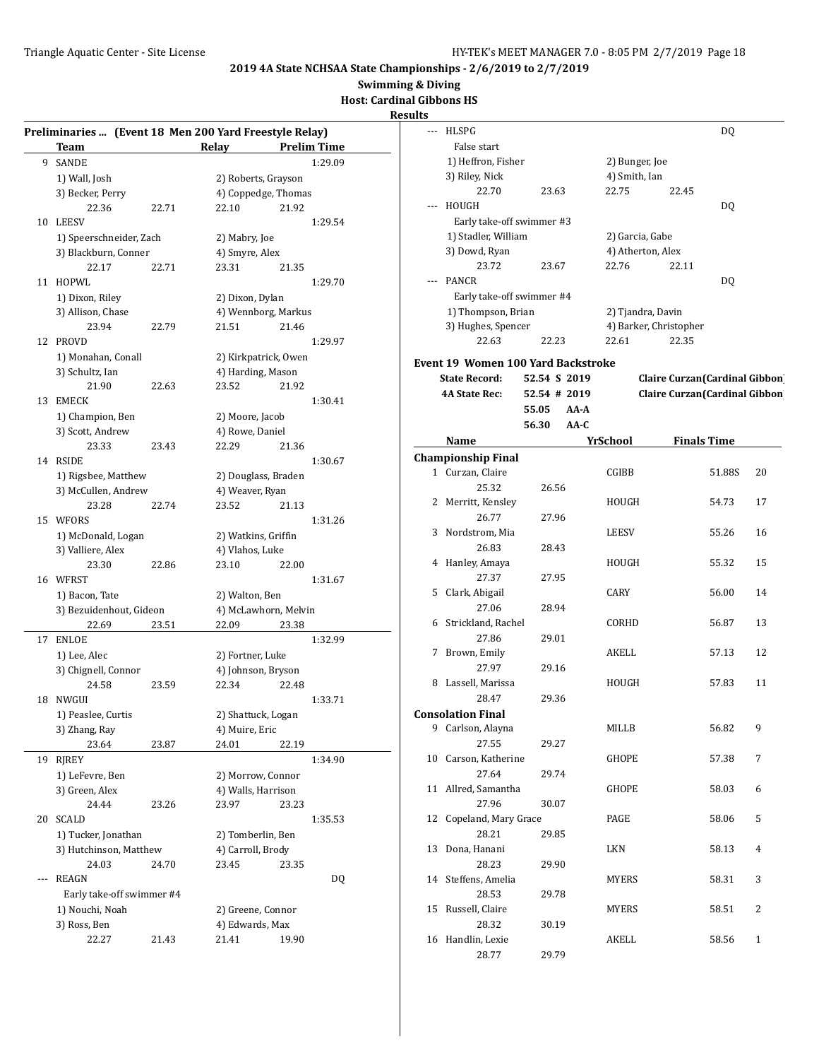**Swimming & Diving**

**Host: Cardinal Gibbons HS**

|     | Preliminaries  (Event 18 Men 200 Yard Freestyle Relay) |       |                      |       |                    |
|-----|--------------------------------------------------------|-------|----------------------|-------|--------------------|
|     | Team                                                   |       | Relay                |       | <b>Prelim Time</b> |
| 9   | SANDE                                                  |       |                      |       | 1:29.09            |
|     | 1) Wall, Josh                                          |       | 2) Roberts, Grayson  |       |                    |
|     | 3) Becker, Perry                                       |       | 4) Coppedge, Thomas  |       |                    |
|     | 22.36                                                  | 22.71 | 22.10                | 21.92 |                    |
| 10  | LEESV                                                  |       |                      |       | 1:29.54            |
|     | 1) Speerschneider, Zach                                |       | 2) Mabry, Joe        |       |                    |
|     | 3) Blackburn, Conner                                   |       | 4) Smyre, Alex       |       |                    |
|     | 22.17                                                  | 22.71 | 23.31                | 21.35 |                    |
| 11  | HOPWL                                                  |       |                      |       | 1:29.70            |
|     | 1) Dixon, Riley                                        |       | 2) Dixon, Dylan      |       |                    |
|     | 3) Allison, Chase                                      |       | 4) Wennborg, Markus  |       |                    |
|     | 23.94                                                  | 22.79 | 21.51                | 21.46 |                    |
| 12  | <b>PROVD</b>                                           |       |                      |       | 1:29.97            |
|     | 1) Monahan, Conall                                     |       | 2) Kirkpatrick, Owen |       |                    |
|     | 3) Schultz, Ian                                        |       | 4) Harding, Mason    |       |                    |
|     | 21.90                                                  | 22.63 | 23.52                | 21.92 |                    |
| 13  | <b>EMECK</b>                                           |       |                      |       | 1:30.41            |
|     | 1) Champion, Ben                                       |       | 2) Moore, Jacob      |       |                    |
|     | 3) Scott, Andrew                                       |       | 4) Rowe, Daniel      |       |                    |
|     | 23.33                                                  | 23.43 | 22.29                | 21.36 |                    |
| 14  | RSIDE                                                  |       |                      |       | 1:30.67            |
|     | 1) Rigsbee, Matthew                                    |       | 2) Douglass, Braden  |       |                    |
|     | 3) McCullen, Andrew                                    |       | 4) Weaver, Ryan      |       |                    |
|     | 23.28                                                  | 22.74 | 23.52                | 21.13 |                    |
| 15  | WFORS                                                  |       |                      |       | 1:31.26            |
|     | 1) McDonald, Logan                                     |       | 2) Watkins, Griffin  |       |                    |
|     | 3) Valliere, Alex<br>23.30                             |       | 4) Vlahos, Luke      |       |                    |
|     |                                                        | 22.86 | 23.10                | 22.00 |                    |
|     | 16 WFRST                                               |       | 2) Walton, Ben       |       | 1:31.67            |
|     | 1) Bacon, Tate<br>3) Bezuidenhout, Gideon              |       | 4) McLawhorn, Melvin |       |                    |
|     | 22.69                                                  | 23.51 | 22.09                | 23.38 |                    |
| 17  | <b>ENLOE</b>                                           |       |                      |       | 1:32.99            |
|     | 1) Lee, Alec                                           |       | 2) Fortner, Luke     |       |                    |
|     | 3) Chignell, Connor                                    |       | 4) Johnson, Bryson   |       |                    |
|     | 24.58                                                  | 23.59 | 22.34                | 22.48 |                    |
| 18  | NWGUI                                                  |       |                      |       | 1:33.71            |
|     | 1) Peaslee, Curtis                                     |       | 2) Shattuck, Logan   |       |                    |
|     | 3) Zhang, Ray                                          |       | 4) Muire, Eric       |       |                    |
|     | 23.64                                                  | 23.87 | 24.01                | 22.19 |                    |
| 19  | RJREY                                                  |       |                      |       | 1:34.90            |
|     | 1) LeFevre, Ben                                        |       | 2) Morrow, Connor    |       |                    |
|     | 3) Green, Alex                                         |       | 4) Walls, Harrison   |       |                    |
|     | 24.44                                                  | 23.26 | 23.97                | 23.23 |                    |
| 20  | <b>SCALD</b>                                           |       |                      |       | 1:35.53            |
|     | 1) Tucker, Jonathan                                    |       | 2) Tomberlin, Ben    |       |                    |
|     | 3) Hutchinson, Matthew                                 |       | 4) Carroll, Brody    |       |                    |
|     | 24.03                                                  | 24.70 | 23.45                | 23.35 |                    |
| --- | <b>REAGN</b>                                           |       |                      |       | DQ                 |
|     | Early take-off swimmer #4                              |       |                      |       |                    |
|     | 1) Nouchi, Noah                                        |       | 2) Greene, Connor    |       |                    |
|     | 3) Ross, Ben                                           |       | 4) Edwards, Max      |       |                    |
|     | 22.27                                                  | 21.43 | 21.41                | 19.90 |                    |
|     |                                                        |       |                      |       |                    |

| --- | HLSPG                               |              |        |                   |                                       | DQ                 |              |
|-----|-------------------------------------|--------------|--------|-------------------|---------------------------------------|--------------------|--------------|
|     | False start                         |              |        |                   |                                       |                    |              |
|     | 1) Heffron, Fisher                  |              |        | 2) Bunger, Joe    |                                       |                    |              |
|     | 3) Riley, Nick                      |              |        | 4) Smith, Ian     |                                       |                    |              |
|     | 22.70                               | 23.63        |        | 22.75             | 22.45                                 |                    |              |
| --- | <b>HOUGH</b>                        |              |        |                   |                                       | DQ                 |              |
|     | Early take-off swimmer #3           |              |        |                   |                                       |                    |              |
|     | 1) Stadler, William                 |              |        | 2) Garcia, Gabe   |                                       |                    |              |
|     | 3) Dowd, Ryan                       |              |        | 4) Atherton, Alex |                                       |                    |              |
|     | 23.72                               | 23.67        |        | 22.76             | 22.11                                 |                    |              |
|     | PANCR                               |              |        |                   |                                       | DQ                 |              |
|     | Early take-off swimmer #4           |              |        |                   |                                       |                    |              |
|     |                                     |              |        |                   |                                       |                    |              |
|     | 1) Thompson, Brian                  |              |        | 2) Tjandra, Davin |                                       |                    |              |
|     | 3) Hughes, Spencer                  |              |        |                   | 4) Barker, Christopher                |                    |              |
|     | 22.63                               | 22.23        |        | 22.61             | 22.35                                 |                    |              |
|     | Event 19  Women 100 Yard Backstroke |              |        |                   |                                       |                    |              |
|     | <b>State Record:</b>                | 52.54 S 2019 |        |                   | Claire Curzan(Cardinal Gibbon)        |                    |              |
|     | <b>4A State Rec:</b>                | 52.54 # 2019 |        |                   | <b>Claire Curzan</b> (Cardinal Gibbon |                    |              |
|     |                                     | 55.05        | AA-A   |                   |                                       |                    |              |
|     |                                     | 56.30        | $AA-C$ |                   |                                       |                    |              |
|     | Name                                |              |        | YrSchool          |                                       | <b>Finals Time</b> |              |
|     | <b>Championship Final</b>           |              |        |                   |                                       |                    |              |
|     | 1 Curzan, Claire                    |              |        | CGIBB             |                                       | 51.88S             | 20           |
|     | 25.32                               | 26.56        |        |                   |                                       |                    |              |
| 2   | Merritt, Kensley                    |              |        | HOUGH             |                                       | 54.73              | 17           |
|     | 26.77                               | 27.96        |        |                   |                                       |                    |              |
|     |                                     |              |        |                   |                                       |                    |              |
| 3   | Nordstrom, Mia                      |              |        | LEESV             |                                       | 55.26              | 16           |
|     | 26.83                               | 28.43        |        |                   |                                       |                    |              |
| 4   | Hanley, Amaya                       |              |        | HOUGH             |                                       | 55.32              | 15           |
|     | 27.37                               | 27.95        |        |                   |                                       |                    |              |
| 5   | Clark, Abigail                      |              |        | <b>CARY</b>       |                                       | 56.00              | 14           |
|     | 27.06                               | 28.94        |        |                   |                                       |                    |              |
| 6   | Strickland, Rachel                  |              |        | CORHD             |                                       | 56.87              | 13           |
|     | 27.86                               | 29.01        |        |                   |                                       |                    |              |
| 7   | Brown, Emily                        |              |        | AKELL             |                                       | 57.13              | 12           |
|     | 27.97                               | 29.16        |        |                   |                                       |                    |              |
| 8   | Lassell, Marissa                    |              |        | HOUGH             |                                       | 57.83              | 11           |
|     | 28.47                               | 29.36        |        |                   |                                       |                    |              |
|     | <b>Consolation Final</b>            |              |        |                   |                                       |                    |              |
| 9   | Carlson, Alayna                     |              |        | MILLB             |                                       | 56.82              | 9            |
|     | 27.55                               | 29.27        |        |                   |                                       |                    |              |
| 10  | Carson, Katherine                   |              |        | <b>GHOPE</b>      |                                       | 57.38              | 7            |
|     | 27.64                               | 29.74        |        |                   |                                       |                    |              |
| 11  | Allred, Samantha                    |              |        | GHOPE             |                                       | 58.03              | 6            |
|     | 27.96                               | 30.07        |        |                   |                                       |                    |              |
| 12  | Copeland, Mary Grace                |              |        | PAGE              |                                       | 58.06              | 5            |
|     | 28.21                               | 29.85        |        |                   |                                       |                    |              |
| 13  | Dona, Hanani                        |              |        | LKN               |                                       | 58.13              | 4            |
|     | 28.23                               | 29.90        |        |                   |                                       |                    |              |
|     |                                     |              |        |                   |                                       |                    |              |
| 14  | Steffens, Amelia                    |              |        | MYERS             |                                       | 58.31              | 3            |
|     | 28.53                               | 29.78        |        |                   |                                       |                    |              |
| 15  | Russell, Claire                     |              |        | MYERS             |                                       | 58.51              | 2            |
|     | 28.32                               | 30.19        |        |                   |                                       |                    |              |
| 16  | Handlin, Lexie                      |              |        | AKELL             |                                       | 58.56              | $\mathbf{1}$ |
|     | 28.77                               | 29.79        |        |                   |                                       |                    |              |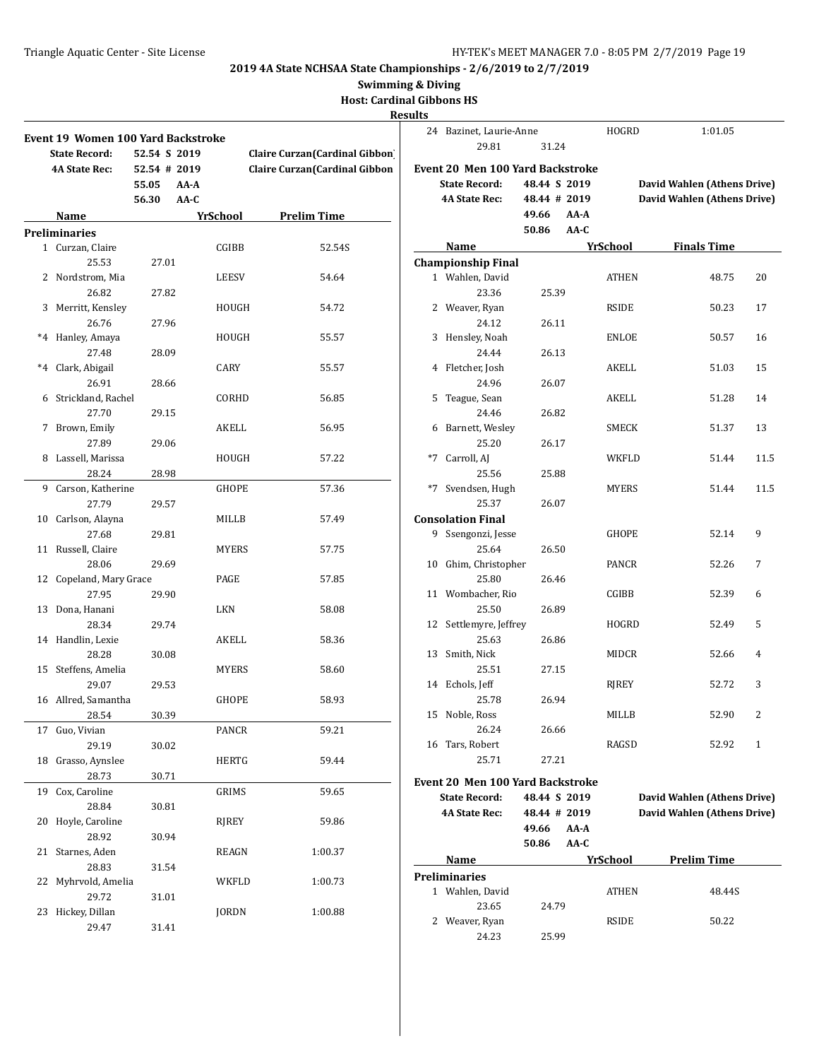**Swimming & Diving**

**Host: Cardinal Gibbons HS**

| <b>Results</b> |
|----------------|
|----------------|

|    | Event 19 Women 100 Yard Backstroke<br><b>State Record:</b><br><b>4A State Rec:</b> | 52.54 S 2019<br>52.54 # 2019<br>55.05<br>56.30 | AA-A<br>AA-C |              | Claire Curzan (Cardinal Gibbon<br>Claire Curzan (Cardinal Gibbon |
|----|------------------------------------------------------------------------------------|------------------------------------------------|--------------|--------------|------------------------------------------------------------------|
|    | <b>Name</b>                                                                        |                                                | YrSchool     |              | <b>Prelim Time</b>                                               |
|    | Preliminaries                                                                      |                                                |              |              |                                                                  |
|    | 1 Curzan, Claire                                                                   |                                                |              | CGIBB        | 52.54S                                                           |
|    | 25.53                                                                              | 27.01                                          |              |              |                                                                  |
|    | 2 Nordstrom, Mia                                                                   |                                                |              | <b>LEESV</b> | 54.64                                                            |
|    | 26.82                                                                              | 27.82                                          |              |              |                                                                  |
|    | 3 Merritt, Kensley                                                                 |                                                |              | HOUGH        | 54.72                                                            |
|    | 26.76                                                                              | 27.96                                          |              |              |                                                                  |
|    | *4 Hanley, Amaya                                                                   |                                                |              | HOUGH        | 55.57                                                            |
|    | 27.48                                                                              | 28.09                                          |              |              |                                                                  |
|    | *4 Clark, Abigail                                                                  |                                                | CARY         |              | 55.57                                                            |
|    | 26.91                                                                              | 28.66                                          |              |              |                                                                  |
|    | 6 Strickland, Rachel                                                               |                                                |              | CORHD        | 56.85                                                            |
|    | 27.70                                                                              | 29.15                                          |              |              |                                                                  |
| 7  | Brown, Emily                                                                       |                                                |              | AKELL        | 56.95                                                            |
|    | 27.89                                                                              | 29.06                                          |              |              |                                                                  |
|    | 8 Lassell, Marissa                                                                 |                                                |              | HOUGH        | 57.22                                                            |
|    | 28.24                                                                              | 28.98                                          |              |              |                                                                  |
|    | 9 Carson, Katherine                                                                |                                                |              | GHOPE        | 57.36                                                            |
|    | 27.79                                                                              | 29.57                                          |              |              |                                                                  |
|    | 10 Carlson, Alayna                                                                 |                                                |              | MILLB        | 57.49                                                            |
|    | 27.68                                                                              | 29.81                                          |              |              |                                                                  |
|    | 11 Russell, Claire                                                                 |                                                |              | <b>MYERS</b> | 57.75                                                            |
|    | 28.06                                                                              | 29.69                                          |              |              |                                                                  |
|    | 12 Copeland, Mary Grace                                                            |                                                | PAGE         |              | 57.85                                                            |
|    | 27.95                                                                              | 29.90                                          |              |              |                                                                  |
|    | 13 Dona, Hanani                                                                    |                                                | LKN          |              | 58.08                                                            |
|    | 28.34                                                                              | 29.74                                          |              |              |                                                                  |
|    | 14 Handlin, Lexie                                                                  |                                                |              | AKELL        | 58.36                                                            |
|    | 28.28                                                                              | 30.08                                          |              |              |                                                                  |
|    | 15 Steffens, Amelia                                                                |                                                |              | <b>MYERS</b> | 58.60                                                            |
|    | 29.07                                                                              | 29.53                                          |              |              |                                                                  |
|    | 16 Allred, Samantha                                                                |                                                |              | <b>GHOPE</b> | 58.93                                                            |
|    | 28.54                                                                              | 30.39                                          |              |              |                                                                  |
| 17 | Guo, Vivian                                                                        |                                                |              | PANCR        | 59.21                                                            |
|    | 29.19                                                                              | 30.02                                          |              |              |                                                                  |
| 18 | Grasso, Aynslee                                                                    |                                                |              | <b>HERTG</b> | 59.44                                                            |
|    | 28.73                                                                              | 30.71                                          |              |              |                                                                  |
| 19 | Cox, Caroline                                                                      |                                                |              | GRIMS        | 59.65                                                            |
|    | 28.84                                                                              | 30.81                                          |              |              |                                                                  |
| 20 | Hoyle, Caroline                                                                    |                                                |              | <b>RJREY</b> | 59.86                                                            |
|    | 28.92                                                                              | 30.94                                          |              |              |                                                                  |
| 21 | Starnes, Aden                                                                      |                                                |              | REAGN        | 1:00.37                                                          |
|    | 28.83                                                                              | 31.54                                          |              |              |                                                                  |
| 22 | Myhrvold, Amelia                                                                   |                                                |              | WKFLD        | 1:00.73                                                          |
|    | 29.72                                                                              | 31.01                                          |              |              |                                                                  |
| 23 | Hickey, Dillan                                                                     |                                                |              | <b>JORDN</b> | 1:00.88                                                          |
|    | 29.47                                                                              | 31.41                                          |              |              |                                                                  |

| 24   | Bazinet, Laurie-Anne                    |              |      | <b>HOGRD</b> | 1:01.05                     |      |  |
|------|-----------------------------------------|--------------|------|--------------|-----------------------------|------|--|
|      | 29.81                                   | 31.24        |      |              |                             |      |  |
|      | <b>Event 20 Men 100 Yard Backstroke</b> |              |      |              |                             |      |  |
|      | <b>State Record:</b>                    | 48.44 S 2019 |      |              | David Wahlen (Athens Drive) |      |  |
|      | <b>4A State Rec:</b>                    | 48.44 # 2019 |      |              | David Wahlen (Athens Drive) |      |  |
|      |                                         | 49.66        | AA-A |              |                             |      |  |
|      |                                         | 50.86        | AA-C |              |                             |      |  |
|      | Name                                    |              |      | YrSchool     | <b>Finals Time</b>          |      |  |
|      | <b>Championship Final</b>               |              |      |              |                             |      |  |
|      | 1 Wahlen, David                         |              |      | <b>ATHEN</b> | 48.75                       | 20   |  |
|      | 23.36                                   | 25.39        |      |              |                             |      |  |
|      | 2 Weaver, Ryan                          |              |      | RSIDE        | 50.23                       | 17   |  |
|      | 24.12                                   | 26.11        |      |              |                             |      |  |
|      | 3 Hensley, Noah                         |              |      | ENLOE        | 50.57                       | 16   |  |
|      | 24.44                                   | 26.13        |      |              |                             |      |  |
| 4    | Fletcher, Josh                          |              |      | AKELL        | 51.03                       | 15   |  |
|      | 24.96                                   | 26.07        |      |              |                             |      |  |
| 5    | Teague, Sean                            |              |      | AKELL        | 51.28                       | 14   |  |
|      | 24.46                                   | 26.82        |      |              |                             |      |  |
| 6    | Barnett, Wesley                         |              |      | SMECK        | 51.37                       | 13   |  |
|      | 25.20                                   | 26.17        |      |              |                             |      |  |
| $*7$ | Carroll, AJ                             |              |      | WKFLD        | 51.44                       | 11.5 |  |
|      | 25.56                                   | 25.88        |      |              |                             |      |  |
|      | *7 Svendsen, Hugh                       |              |      | MYERS        | 51.44                       | 11.5 |  |
|      | 25.37                                   | 26.07        |      |              |                             |      |  |
|      | <b>Consolation Final</b>                |              |      |              |                             |      |  |
|      | 9 Ssengonzi, Jesse                      |              |      | GHOPE        | 52.14                       | 9    |  |
|      | 25.64                                   | 26.50        |      |              |                             |      |  |
| 10   | Ghim, Christopher                       |              |      | PANCR        | 52.26                       | 7    |  |
|      | 25.80                                   | 26.46        |      |              |                             |      |  |
|      | 11 Wombacher, Rio                       |              |      | CGIBB        | 52.39                       | 6    |  |
|      | 25.50                                   | 26.89        |      |              |                             |      |  |
|      | 12 Settlemyre, Jeffrey                  |              |      | HOGRD        | 52.49                       | 5    |  |
|      | 25.63                                   | 26.86        |      |              |                             |      |  |
| 13   | Smith, Nick                             |              |      | MIDCR        | 52.66                       | 4    |  |
|      | 25.51                                   | 27.15        |      |              |                             |      |  |
|      | 14 Echols, Jeff                         |              |      | RJREY        | 52.72                       | 3    |  |
|      | 25.78                                   | 26.94        |      |              |                             |      |  |
|      | 15 Noble, Ross                          |              |      | MILLB        | 52.90                       | 2    |  |
|      | 26.24                                   | 26.66        |      |              |                             |      |  |
|      | 16 Tars, Robert                         |              |      | RAGSD        | 52.92                       | 1    |  |
|      | 25.71                                   | 27.21        |      |              |                             |      |  |
|      | <b>Event 20 Men 100 Yard Backstroke</b> |              |      |              |                             |      |  |
|      | <b>State Record:</b>                    | 48.44 S 2019 |      |              | David Wahlen (Athens Drive) |      |  |
|      | <b>4A State Rec:</b>                    | 48.44 # 2019 |      |              | David Wahlen (Athens Drive) |      |  |
|      |                                         | 49.66        | AA-A |              |                             |      |  |
|      |                                         | 50.86        | AA-C |              |                             |      |  |
|      | Name                                    |              |      | YrSchool     | <b>Prelim Time</b>          |      |  |
|      |                                         |              |      |              |                             |      |  |

| Preliminaries   |       |              |        |
|-----------------|-------|--------------|--------|
| 1 Wahlen, David |       | <b>ATHEN</b> | 48.44S |
| 23.65           | 24.79 |              |        |
| 2 Weaver, Ryan  |       | <b>RSIDE</b> | 50.22  |
| 24.23           | 25.99 |              |        |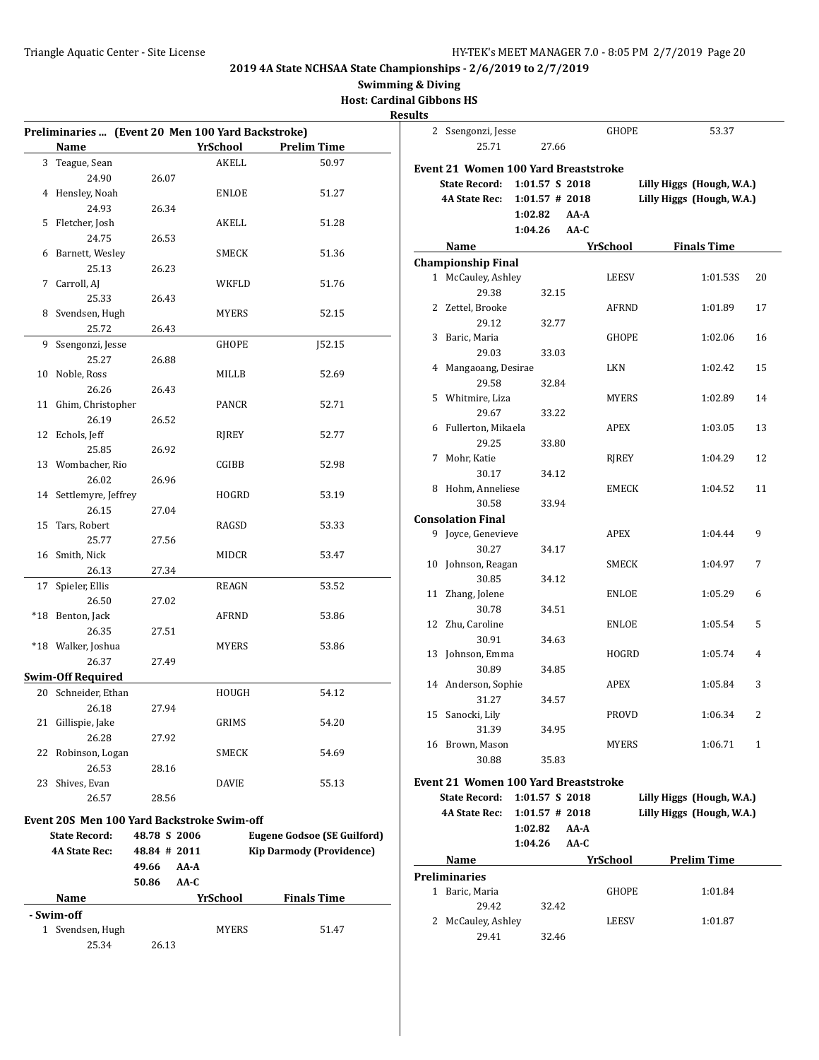**Swimming & Diving**

**Host: Cardinal Gibbons HS**

|    | Preliminaries  (Event 20 Men 100 Yard Backstroke) |              |                 |                                    |
|----|---------------------------------------------------|--------------|-----------------|------------------------------------|
|    | Name                                              |              | <b>YrSchool</b> | <b>Prelim Time</b>                 |
|    | 3 Teague, Sean                                    |              | AKELL           | 50.97                              |
|    | 24.90                                             | 26.07        |                 |                                    |
|    | 4 Hensley, Noah                                   |              | ENLOE           | 51.27                              |
|    | 24.93                                             | 26.34        |                 |                                    |
|    | 5 Fletcher, Josh                                  |              | AKELL           | 51.28                              |
|    | 24.75                                             | 26.53        |                 |                                    |
|    | 6 Barnett, Wesley                                 |              | SMECK           | 51.36                              |
|    | 25.13                                             | 26.23        |                 |                                    |
| 7  | Carroll, AJ                                       |              | WKFLD           | 51.76                              |
|    | 25.33                                             | 26.43        |                 |                                    |
|    | 8 Svendsen, Hugh                                  |              | MYERS           | 52.15                              |
|    | 25.72                                             | 26.43        |                 |                                    |
| 9  | Ssengonzi, Jesse                                  |              | GHOPE           | <b>J52.15</b>                      |
|    | 25.27                                             | 26.88        |                 |                                    |
|    | 10 Noble, Ross                                    |              | MILLB           | 52.69                              |
|    | 26.26                                             | 26.43        |                 |                                    |
|    | 11 Ghim, Christopher                              |              | PANCR           | 52.71                              |
|    | 26.19                                             | 26.52        |                 |                                    |
|    | 12 Echols, Jeff                                   |              | RIREY           | 52.77                              |
|    | 25.85                                             | 26.92        |                 |                                    |
|    | 13 Wombacher, Rio                                 |              | CGIBB           | 52.98                              |
|    | 26.02                                             | 26.96        |                 |                                    |
|    | 14 Settlemyre, Jeffrey                            |              | HOGRD           | 53.19                              |
|    | 26.15                                             | 27.04        |                 |                                    |
|    | 15 Tars, Robert                                   |              | RAGSD           | 53.33                              |
|    | 25.77                                             | 27.56        |                 |                                    |
|    | 16 Smith, Nick                                    |              | MIDCR           | 53.47                              |
|    | 26.13                                             | 27.34        |                 |                                    |
| 17 | Spieler, Ellis                                    |              | REAGN           | 53.52                              |
|    | 26.50                                             | 27.02        |                 |                                    |
|    | *18 Benton, Jack                                  |              | AFRND           | 53.86                              |
|    | 26.35                                             | 27.51        |                 |                                    |
|    | *18 Walker, Joshua                                |              | <b>MYERS</b>    | 53.86                              |
|    | 26.37                                             | 27.49        |                 |                                    |
|    | <b>Swim-Off Required</b>                          |              |                 |                                    |
|    | 20 Schneider, Ethan                               |              | HOUGH           | 54.12                              |
|    | 26.18                                             | 27.94        |                 |                                    |
|    | 21 Gillispie, Jake                                |              | GRIMS           | 54.20                              |
|    | 26.28                                             | 27.92        |                 |                                    |
| 22 | Robinson, Logan                                   |              | SMECK           | 54.69                              |
|    | 26.53                                             | 28.16        |                 |                                    |
| 23 | Shives, Evan                                      |              | DAVIE           | 55.13                              |
|    | 26.57                                             | 28.56        |                 |                                    |
|    |                                                   |              |                 |                                    |
|    | <b>Event 20S Men 100 Yard Backstroke Swim-off</b> |              |                 |                                    |
|    | <b>State Record:</b>                              | 48.78 S 2006 |                 | <b>Eugene Godsoe (SE Guilford)</b> |
|    | <b>4A State Rec:</b>                              | 48.84 # 2011 |                 | <b>Kip Darmody (Providence)</b>    |
|    |                                                   | 49.66        | AA-A            |                                    |
|    |                                                   | 50.86        | AA-C            |                                    |
|    | Name                                              |              | YrSchool        | <b>Finals Time</b>                 |
|    | - Swim-off                                        |              |                 |                                    |
|    | 1 Svendsen, Hugh                                  |              | MYERS           | 51.47                              |
|    |                                                   |              |                 |                                    |

|    | 2 Ssengonzi, Jesse                          |                   | GHOPE        | 53.37                     |
|----|---------------------------------------------|-------------------|--------------|---------------------------|
|    | 25.71                                       | 27.66             |              |                           |
|    |                                             |                   |              |                           |
|    | <b>Event 21 Women 100 Yard Breaststroke</b> |                   |              |                           |
|    | <b>State Record:</b>                        | 1:01.57 S 2018    |              | Lilly Higgs (Hough, W.A.) |
|    | 4A State Rec:                               | $1:01.57$ # 2018  |              | Lilly Higgs (Hough, W.A.) |
|    |                                             | 1:02.82<br>AA-A   |              |                           |
|    |                                             | 1:04.26<br>AA-C   |              |                           |
|    | Name                                        |                   | YrSchool     | <b>Finals Time</b>        |
|    | <b>Championship Final</b>                   |                   |              |                           |
|    | 1 McCauley, Ashley                          |                   | LEESV        | 1:01.53S<br>20            |
|    | 29.38                                       | 32.15             |              |                           |
|    | 2 Zettel, Brooke                            |                   | AFRND        | 1:01.89<br>17             |
|    | 29.12                                       | 32.77             |              |                           |
| 3  | Baric, Maria                                |                   | GHOPE        | 1:02.06<br>16             |
|    | 29.03                                       | 33.03             |              |                           |
|    | 4 Mangaoang, Desirae                        |                   | LKN          | 1:02.42<br>15             |
|    | 29.58                                       | 32.84             |              |                           |
|    | 5 Whitmire, Liza                            |                   | MYERS        | 1:02.89<br>14             |
|    | 29.67                                       | 33.22             |              |                           |
|    | 6 Fullerton, Mikaela                        |                   | APEX         | 1:03.05<br>13             |
|    | 29.25                                       | 33.80             |              |                           |
| 7  | Mohr, Katie                                 |                   | RJREY        | 12<br>1:04.29             |
|    | 30.17                                       | 34.12             |              |                           |
|    | 8 Hohm, Anneliese                           |                   | EMECK        | 1:04.52<br>11             |
|    | 30.58                                       | 33.94             |              |                           |
|    | <b>Consolation Final</b>                    |                   |              |                           |
|    | 9 Joyce, Genevieve                          |                   | <b>APEX</b>  | 9<br>1:04.44              |
|    | 30.27                                       | 34.17             |              |                           |
|    | 10 Johnson, Reagan                          |                   | SMECK        | 1:04.97<br>7              |
|    | 30.85                                       | 34.12             |              |                           |
|    | 11 Zhang, Jolene                            |                   | ENLOE        | 1:05.29<br>6              |
|    | 30.78                                       | 34.51             |              |                           |
|    | 12 Zhu, Caroline                            |                   | ENLOE        | 1:05.54<br>5              |
|    | 30.91                                       | 34.63             |              |                           |
|    | 13 Johnson, Emma                            |                   | HOGRD        | 1:05.74<br>4              |
|    | 30.89                                       | 34.85             |              |                           |
|    | 14 Anderson, Sophie                         |                   | APEX         | 3<br>1:05.84              |
|    | 31.27                                       | 34.57             |              |                           |
| 15 | Sanocki, Lily                               |                   | <b>PROVD</b> | 2<br>1:06.34              |
|    | 31.39                                       | 34.95             |              |                           |
|    | 16 Brown, Mason                             |                   | MYERS        | 1:06.71<br>1              |
|    | 30.88                                       | 35.83             |              |                           |
|    |                                             |                   |              |                           |
|    | <b>Event 21 Women 100 Yard Breaststroke</b> |                   |              |                           |
|    | <b>State Record:</b>                        | 1:01.57 S 2018    |              | Lilly Higgs (Hough, W.A.) |
|    | <b>4A State Rec:</b>                        | $1:01.57$ # 2018  |              | Lilly Higgs (Hough, W.A.) |
|    |                                             | 1:02.82<br>AA-A   |              |                           |
|    |                                             | 1:04.26<br>$AA-C$ |              |                           |
|    | Name                                        |                   | YrSchool     | <b>Prelim Time</b>        |
|    | <b>Preliminaries</b>                        |                   |              |                           |
|    | 1 Baric, Maria                              |                   | GHOPE        | 1:01.84                   |
|    | 29.42                                       | 32.42             |              |                           |
|    | 2 McCauley, Ashley                          |                   | LEESV        | 1:01.87                   |
|    | 29.41                                       | 32.46             |              |                           |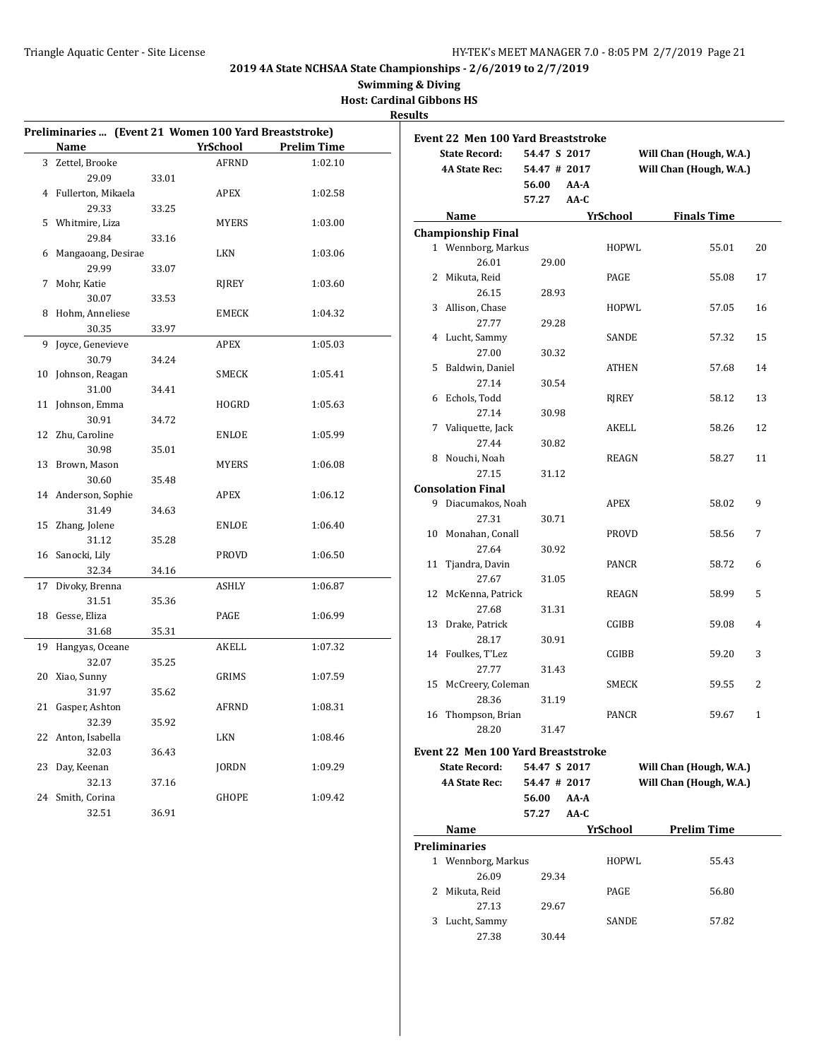**Swimming & Diving**

**Host: Cardinal Gibbons HS**

| Preliminaries  (Event 21 Women 100 Yard Breaststroke) |                      |       |              |                    |  |  |
|-------------------------------------------------------|----------------------|-------|--------------|--------------------|--|--|
|                                                       | <b>Name</b>          |       | YrSchool     | <b>Prelim Time</b> |  |  |
|                                                       | 3 Zettel, Brooke     |       | <b>AFRND</b> | 1:02.10            |  |  |
|                                                       | 29.09                | 33.01 |              |                    |  |  |
|                                                       | 4 Fullerton, Mikaela |       | APEX         | 1:02.58            |  |  |
|                                                       | 29.33                | 33.25 |              |                    |  |  |
|                                                       | 5 Whitmire, Liza     |       | <b>MYERS</b> | 1:03.00            |  |  |
|                                                       | 29.84                | 33.16 |              |                    |  |  |
| 6                                                     | Mangaoang, Desirae   |       | LKN          | 1:03.06            |  |  |
|                                                       | 29.99                | 33.07 |              |                    |  |  |
| 7                                                     | Mohr, Katie          |       | RJREY        | 1:03.60            |  |  |
|                                                       | 30.07                | 33.53 |              |                    |  |  |
| 8                                                     | Hohm, Anneliese      |       | <b>EMECK</b> | 1:04.32            |  |  |
|                                                       | 30.35                | 33.97 |              |                    |  |  |
| 9                                                     | Joyce, Genevieve     |       | APEX         | 1:05.03            |  |  |
|                                                       | 30.79                | 34.24 |              |                    |  |  |
| 10                                                    | Johnson, Reagan      |       | SMECK        | 1:05.41            |  |  |
|                                                       | 31.00                | 34.41 |              |                    |  |  |
| 11                                                    | Johnson, Emma        |       | HOGRD        | 1:05.63            |  |  |
|                                                       | 30.91                | 34.72 |              |                    |  |  |
| 12                                                    | Zhu, Caroline        |       | ENLOE        | 1:05.99            |  |  |
|                                                       | 30.98                | 35.01 |              |                    |  |  |
| 13                                                    | Brown, Mason         |       | <b>MYERS</b> | 1:06.08            |  |  |
|                                                       | 30.60                | 35.48 |              |                    |  |  |
| 14                                                    | Anderson, Sophie     |       | APEX         | 1:06.12            |  |  |
|                                                       | 31.49                | 34.63 |              |                    |  |  |
| 15                                                    | Zhang, Jolene        |       | ENLOE        | 1:06.40            |  |  |
|                                                       | 31.12                | 35.28 |              |                    |  |  |
|                                                       | 16 Sanocki, Lily     |       | PROVD        | 1:06.50            |  |  |
|                                                       | 32.34                | 34.16 |              |                    |  |  |
| 17                                                    | Divoky, Brenna       |       | ASHLY        | 1:06.87            |  |  |
|                                                       | 31.51                | 35.36 |              |                    |  |  |
| 18                                                    | Gesse, Eliza         |       | PAGE         | 1:06.99            |  |  |
|                                                       | 31.68                | 35.31 |              |                    |  |  |
| 19                                                    | Hangyas, Oceane      |       | <b>AKELL</b> | 1:07.32            |  |  |
|                                                       | 32.07                | 35.25 |              |                    |  |  |
|                                                       | 20 Xiao, Sunny       |       | GRIMS        | 1:07.59            |  |  |
|                                                       | 31.97                | 35.62 |              |                    |  |  |
| 21                                                    | Gasper, Ashton       |       | AFRND        | 1:08.31            |  |  |
|                                                       | 32.39                | 35.92 |              |                    |  |  |
| 22                                                    | Anton, Isabella      |       | <b>LKN</b>   | 1:08.46            |  |  |
|                                                       | 32.03                | 36.43 |              |                    |  |  |
| 23                                                    | Day, Keenan          |       | <b>JORDN</b> | 1:09.29            |  |  |
|                                                       | 32.13                | 37.16 |              |                    |  |  |
| 24                                                    | Smith, Corina        |       | GHOPE        | 1:09.42            |  |  |
|                                                       | 32.51                | 36.91 |              |                    |  |  |

|              | <b>Event 22 Men 100 Yard Breaststroke</b> |              |      |              |                         |              |
|--------------|-------------------------------------------|--------------|------|--------------|-------------------------|--------------|
|              | <b>State Record:</b>                      | 54.47 S 2017 |      |              | Will Chan (Hough, W.A.) |              |
|              | <b>4A State Rec:</b>                      | 54.47 # 2017 |      |              | Will Chan (Hough, W.A.) |              |
|              |                                           | 56.00        | AA-A |              |                         |              |
|              |                                           | 57.27        | AA-C |              |                         |              |
|              | Name                                      |              |      | YrSchool     | <b>Finals Time</b>      |              |
|              | <b>Championship Final</b>                 |              |      |              |                         |              |
|              | 1 Wennborg, Markus                        |              |      | HOPWL        | 55.01                   | 20           |
|              | 26.01                                     | 29.00        |      |              |                         |              |
|              | 2 Mikuta, Reid                            |              |      | PAGE         | 55.08                   | 17           |
|              | 26.15                                     | 28.93        |      |              |                         |              |
| 3            | Allison, Chase                            |              |      | HOPWL        | 57.05                   | 16           |
|              | 27.77                                     | 29.28        |      |              |                         |              |
| 4            | Lucht, Sammy                              |              |      | SANDE        | 57.32                   | 15           |
|              | 27.00                                     | 30.32        |      |              |                         |              |
| 5            | Baldwin, Daniel                           |              |      | ATHEN        | 57.68                   | 14           |
|              | 27.14                                     | 30.54        |      |              |                         |              |
| 6            | Echols, Todd                              |              |      | RIREY        | 58.12                   | 13           |
|              | 27.14                                     | 30.98        |      |              |                         |              |
| 7            | Valiquette, Jack                          |              |      | AKELL        | 58.26                   | 12           |
|              | 27.44                                     | 30.82        |      |              |                         |              |
|              | 8 Nouchi, Noah                            |              |      | REAGN        | 58.27                   | 11           |
|              | 27.15                                     | 31.12        |      |              |                         |              |
|              | <b>Consolation Final</b>                  |              |      |              |                         |              |
| 9            | Diacumakos, Noah                          |              |      | <b>APEX</b>  | 58.02                   | 9            |
|              | 27.31                                     |              |      |              |                         |              |
| 10           | Monahan, Conall                           | 30.71        |      |              |                         | 7            |
|              |                                           |              |      | <b>PROVD</b> | 58.56                   |              |
|              | 27.64                                     | 30.92        |      |              |                         |              |
| 11           | Tjandra, Davin                            |              |      | PANCR        | 58.72                   | 6            |
|              | 27.67                                     | 31.05        |      |              |                         |              |
| 12           | McKenna, Patrick                          |              |      | REAGN        | 58.99                   | 5            |
|              | 27.68                                     | 31.31        |      |              |                         |              |
| 13           | Drake, Patrick                            |              |      | CGIBB        | 59.08                   | 4            |
|              | 28.17                                     | 30.91        |      |              |                         |              |
|              | 14 Foulkes, T'Lez                         |              |      | CGIBB        | 59.20                   | 3            |
|              | 27.77                                     | 31.43        |      |              |                         |              |
| 15           | McCreery, Coleman                         |              |      | SMECK        | 59.55                   | 2            |
|              | 28.36                                     | 31.19        |      |              |                         |              |
| 16           | Thompson, Brian                           |              |      | <b>PANCR</b> | 59.67                   | $\mathbf{1}$ |
|              | 28.20                                     | 31.47        |      |              |                         |              |
|              | <b>Event 22 Men 100 Yard Breaststroke</b> |              |      |              |                         |              |
|              | <b>State Record:</b>                      | 54.47 S 2017 |      |              | Will Chan (Hough, W.A.) |              |
|              | <b>4A State Rec:</b>                      | 54.47 # 2017 |      |              | Will Chan (Hough, W.A.) |              |
|              |                                           | 56.00        | AA-A |              |                         |              |
|              |                                           | 57.27        | AA-C |              |                         |              |
|              | Name                                      |              |      | YrSchool     | <b>Prelim Time</b>      |              |
|              | Preliminaries                             |              |      |              |                         |              |
|              | 1 Wennborg, Markus                        |              |      | HOPWL        | 55.43                   |              |
|              | 26.09                                     | 29.34        |      |              |                         |              |
| $\mathbf{2}$ | Mikuta, Reid                              |              |      | PAGE         | 56.80                   |              |
|              | 27.13                                     | 29.67        |      |              |                         |              |
| 3            | Lucht, Sammy                              |              |      | SANDE        | 57.82                   |              |
|              | 27.38                                     | 30.44        |      |              |                         |              |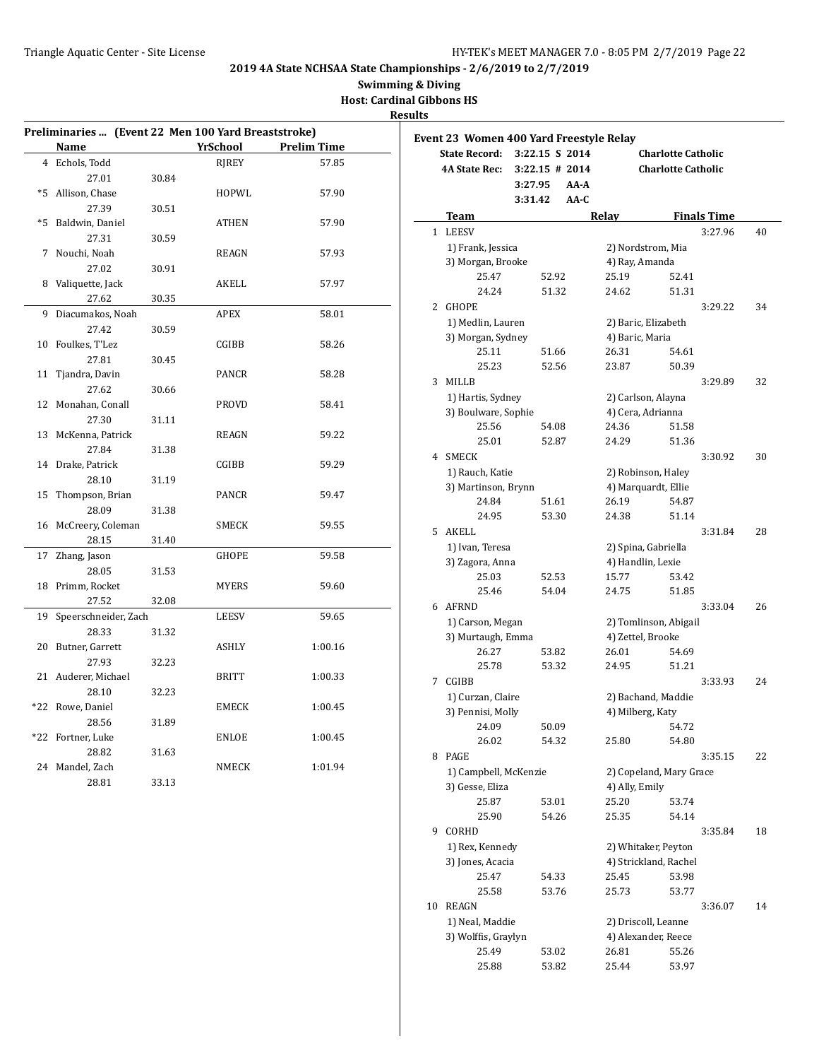**Swimming & Diving**

**Host: Cardinal Gibbons HS**

| Preliminaries  (Event 22 Men 100 Yard Breaststroke) |                      |       |                 |                    |  |  |
|-----------------------------------------------------|----------------------|-------|-----------------|--------------------|--|--|
|                                                     | <u>Name</u>          |       | <b>YrSchool</b> | <b>Prelim Time</b> |  |  |
|                                                     | 4 Echols, Todd       |       | RJREY           | 57.85              |  |  |
|                                                     | 27.01                | 30.84 |                 |                    |  |  |
| $*5$                                                | Allison, Chase       |       | HOPWL           | 57.90              |  |  |
|                                                     | 27.39                | 30.51 |                 |                    |  |  |
| $*5$                                                | Baldwin, Daniel      |       | ATHEN           | 57.90              |  |  |
|                                                     | 27.31                | 30.59 |                 |                    |  |  |
|                                                     | 7 Nouchi, Noah       |       | REAGN           | 57.93              |  |  |
|                                                     | 27.02                | 30.91 |                 |                    |  |  |
| 8                                                   | Valiquette, Jack     |       | AKELL           | 57.97              |  |  |
|                                                     | 27.62                | 30.35 |                 |                    |  |  |
| 9                                                   | Diacumakos, Noah     |       | APEX            | 58.01              |  |  |
|                                                     | 27.42                | 30.59 |                 |                    |  |  |
|                                                     | 10 Foulkes, T'Lez    |       | CGIBB           | 58.26              |  |  |
|                                                     | 27.81                | 30.45 |                 |                    |  |  |
| 11                                                  | Tjandra, Davin       |       | PANCR           | 58.28              |  |  |
|                                                     | 27.62                | 30.66 |                 |                    |  |  |
| 12                                                  | Monahan, Conall      |       | PROVD           | 58.41              |  |  |
|                                                     | 27.30                |       |                 |                    |  |  |
| 13                                                  | McKenna, Patrick     | 31.11 | REAGN           | 59.22              |  |  |
|                                                     | 27.84                | 31.38 |                 |                    |  |  |
| 14                                                  | Drake, Patrick       |       | CGIBB           | 59.29              |  |  |
|                                                     | 28.10                |       |                 |                    |  |  |
| 15                                                  | Thompson, Brian      | 31.19 | PANCR           | 59.47              |  |  |
|                                                     | 28.09                |       |                 |                    |  |  |
| 16                                                  |                      | 31.38 |                 |                    |  |  |
|                                                     | McCreery, Coleman    |       | SMECK           | 59.55              |  |  |
|                                                     | 28.15                | 31.40 |                 |                    |  |  |
| 17                                                  | Zhang, Jason         |       | GHOPE           | 59.58              |  |  |
|                                                     | 28.05                | 31.53 |                 |                    |  |  |
|                                                     | 18 Primm, Rocket     |       | <b>MYERS</b>    | 59.60              |  |  |
|                                                     | 27.52                | 32.08 |                 |                    |  |  |
| 19                                                  | Speerschneider, Zach |       | LEESV           | 59.65              |  |  |
|                                                     | 28.33                | 31.32 |                 |                    |  |  |
| 20                                                  | Butner, Garrett      |       | ASHLY           | 1:00.16            |  |  |
|                                                     | 27.93                | 32.23 |                 |                    |  |  |
| 21                                                  | Auderer, Michael     |       | BRITT           | 1:00.33            |  |  |
|                                                     | 28.10                | 32.23 |                 |                    |  |  |
| $*22$                                               | Rowe, Daniel         |       | EMECK           | 1:00.45            |  |  |
|                                                     | 28.56                | 31.89 |                 |                    |  |  |
| *22                                                 | Fortner, Luke        |       | ENLOE           | 1:00.45            |  |  |
|                                                     | 28.82                | 31.63 |                 |                    |  |  |
| 24                                                  | Mandel, Zach         |       | NMECK           | 1:01.94            |  |  |
|                                                     | 28.81                | 33.13 |                 |                    |  |  |

|    | Event 23 Women 400 Yard Freestyle Relay |                   |        |                                           |                           |                    |    |
|----|-----------------------------------------|-------------------|--------|-------------------------------------------|---------------------------|--------------------|----|
|    | <b>State Record:</b>                    | 3:22.15 S 2014    |        |                                           | <b>Charlotte Catholic</b> |                    |    |
|    | <b>4A State Rec:</b>                    | $3:22.15 \# 2014$ |        |                                           | <b>Charlotte Catholic</b> |                    |    |
|    |                                         | 3:27.95           | AA-A   |                                           |                           |                    |    |
|    |                                         | 3:31.42           | $AA-C$ |                                           |                           |                    |    |
|    | <b>Team</b>                             |                   | Relay  |                                           |                           | <b>Finals Time</b> |    |
| 1  | <b>LEESV</b>                            |                   |        |                                           |                           | 3:27.96            | 40 |
|    | 1) Frank, Jessica                       |                   |        | 2) Nordstrom, Mia                         |                           |                    |    |
|    | 3) Morgan, Brooke                       |                   |        | 4) Ray, Amanda                            |                           |                    |    |
|    | 25.47                                   | 52.92             |        | 25.19                                     | 52.41                     |                    |    |
|    | 24.24                                   | 51.32             |        | 24.62                                     | 51.31                     |                    |    |
| 2  | GHOPE                                   |                   |        |                                           |                           | 3:29.22            | 34 |
|    | 1) Medlin, Lauren                       |                   |        | 2) Baric, Elizabeth                       |                           |                    |    |
|    | 3) Morgan, Sydney                       |                   |        | 4) Baric, Maria                           |                           |                    |    |
|    | 25.11                                   | 51.66             |        | 26.31                                     | 54.61                     |                    |    |
|    | 25.23                                   | 52.56             |        | 23.87                                     | 50.39                     |                    |    |
| 3  | MILLB                                   |                   |        |                                           |                           | 3:29.89            | 32 |
|    | 1) Hartis, Sydney                       |                   |        | 2) Carlson, Alayna                        |                           |                    |    |
|    | 3) Boulware, Sophie                     |                   |        | 4) Cera, Adrianna                         |                           |                    |    |
|    | 25.56                                   | 54.08             |        | 24.36                                     | 51.58                     |                    |    |
|    | 25.01                                   | 52.87             |        | 24.29                                     | 51.36                     |                    |    |
| 4  | <b>SMECK</b>                            |                   |        |                                           |                           | 3:30.92            | 30 |
|    | 1) Rauch, Katie                         |                   |        |                                           |                           |                    |    |
|    | 3) Martinson, Brynn                     |                   |        | 2) Robinson, Haley<br>4) Marquardt, Ellie |                           |                    |    |
|    | 24.84                                   | 51.61             |        | 26.19                                     | 54.87                     |                    |    |
|    | 24.95                                   | 53.30             |        | 24.38                                     | 51.14                     |                    |    |
| 5  | AKELL                                   |                   |        |                                           |                           | 3:31.84            | 28 |
|    | 1) Ivan, Teresa                         |                   |        | 2) Spina, Gabriella                       |                           |                    |    |
|    | 3) Zagora, Anna                         |                   |        | 4) Handlin, Lexie                         |                           |                    |    |
|    | 25.03                                   | 52.53             |        | 15.77                                     | 53.42                     |                    |    |
|    | 25.46                                   | 54.04             |        | 24.75                                     | 51.85                     |                    |    |
|    | 6 AFRND                                 |                   |        |                                           |                           | 3:33.04            | 26 |
|    | 1) Carson, Megan                        |                   |        | 2) Tomlinson, Abigail                     |                           |                    |    |
|    | 3) Murtaugh, Emma                       |                   |        | 4) Zettel, Brooke                         |                           |                    |    |
|    | 26.27                                   | 53.82             |        | 26.01                                     | 54.69                     |                    |    |
|    | 25.78                                   | 53.32             |        | 24.95                                     | 51.21                     |                    |    |
| 7  | <b>CGIBB</b>                            |                   |        |                                           |                           | 3:33.93            | 24 |
|    | 1) Curzan, Claire                       |                   |        | 2) Bachand, Maddie                        |                           |                    |    |
|    | 3) Pennisi, Molly                       |                   |        | 4) Milberg, Katy                          |                           |                    |    |
|    | 24.09                                   | 50.09             |        |                                           | 54.72                     |                    |    |
|    | 26.02                                   | 54.32             |        | 25.80                                     | 54.80                     |                    |    |
| 8  | PAGE                                    |                   |        |                                           |                           | 3:35.15            | 22 |
|    | 1) Campbell, McKenzie                   |                   |        | 2) Copeland, Mary Grace                   |                           |                    |    |
|    | 3) Gesse, Eliza                         |                   |        | 4) Ally, Emily                            |                           |                    |    |
|    | 25.87                                   | 53.01             |        | 25.20                                     | 53.74                     |                    |    |
|    | 25.90                                   | 54.26             |        | 25.35                                     | 54.14                     |                    |    |
| 9. | CORHD                                   |                   |        |                                           |                           | 3:35.84            | 18 |
|    | 1) Rex, Kennedy                         |                   |        | 2) Whitaker, Peyton                       |                           |                    |    |
|    | 3) Jones, Acacia                        |                   |        | 4) Strickland, Rachel                     |                           |                    |    |
|    | 25.47                                   | 54.33             |        | 25.45                                     | 53.98                     |                    |    |
|    | 25.58                                   | 53.76             |        | 25.73                                     | 53.77                     |                    |    |
| 10 | REAGN                                   |                   |        |                                           |                           | 3:36.07            | 14 |
|    | 1) Neal, Maddie                         |                   |        | 2) Driscoll, Leanne                       |                           |                    |    |
|    | 3) Wolffis, Graylyn                     |                   |        | 4) Alexander, Reece                       |                           |                    |    |
|    | 25.49                                   | 53.02             |        | 26.81                                     | 55.26                     |                    |    |
|    | 25.88                                   | 53.82             |        | 25.44                                     | 53.97                     |                    |    |
|    |                                         |                   |        |                                           |                           |                    |    |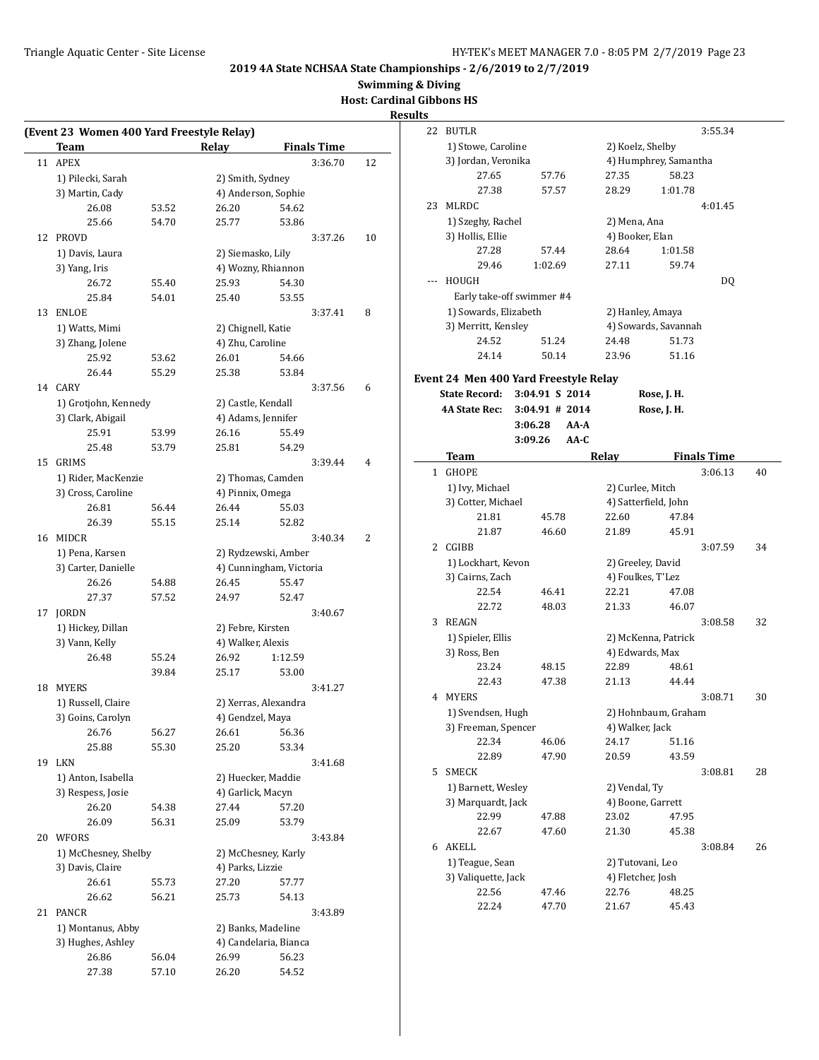**Swimming & Diving**

**Host: Cardinal Gibbons HS**

|    | Team                 |       | Relay              | <b>Finals Time</b>      |  |
|----|----------------------|-------|--------------------|-------------------------|--|
| 11 | <b>APEX</b>          |       |                    | 3:36.70                 |  |
|    | 1) Pilecki, Sarah    |       | 2) Smith, Sydney   |                         |  |
|    | 3) Martin, Cady      |       |                    | 4) Anderson, Sophie     |  |
|    | 26.08                | 53.52 | 26.20              | 54.62                   |  |
|    | 25.66                | 54.70 | 25.77              | 53.86                   |  |
| 12 | <b>PROVD</b>         |       |                    | 3:37.26                 |  |
|    |                      |       |                    |                         |  |
|    | 1) Davis, Laura      |       | 2) Siemasko, Lily  |                         |  |
|    | 3) Yang, Iris        |       |                    | 4) Wozny, Rhiannon      |  |
|    | 26.72                | 55.40 | 25.93              | 54.30                   |  |
|    | 25.84                | 54.01 | 25.40              | 53.55                   |  |
| 13 | <b>ENLOE</b>         |       |                    | 3:37.41                 |  |
|    | 1) Watts, Mimi       |       | 2) Chignell, Katie |                         |  |
|    | 3) Zhang, Jolene     |       | 4) Zhu, Caroline   |                         |  |
|    | 25.92                | 53.62 | 26.01              | 54.66                   |  |
|    | 26.44                | 55.29 | 25.38              | 53.84                   |  |
| 14 | <b>CARY</b>          |       |                    | 3:37.56                 |  |
|    | 1) Grotjohn, Kennedy |       | 2) Castle, Kendall |                         |  |
|    | 3) Clark, Abigail    |       | 4) Adams, Jennifer |                         |  |
|    | 25.91                | 53.99 | 26.16              | 55.49                   |  |
|    | 25.48                | 53.79 | 25.81              | 54.29                   |  |
| 15 | <b>GRIMS</b>         |       |                    | 3:39.44                 |  |
|    | 1) Rider, MacKenzie  |       |                    | 2) Thomas, Camden       |  |
|    | 3) Cross, Caroline   |       | 4) Pinnix, Omega   |                         |  |
|    | 26.81                | 56.44 | 26.44              | 55.03                   |  |
|    | 26.39                | 55.15 | 25.14              | 52.82                   |  |
| 16 | MIDCR                |       |                    | 3:40.34                 |  |
|    | 1) Pena, Karsen      |       |                    | 2) Rydzewski, Amber     |  |
|    |                      |       |                    |                         |  |
|    | 3) Carter, Danielle  |       |                    | 4) Cunningham, Victoria |  |
|    | 26.26                | 54.88 | 26.45              | 55.47                   |  |
|    | 27.37                | 57.52 | 24.97              | 52.47                   |  |
| 17 | JORDN                |       |                    | 3:40.67                 |  |
|    | 1) Hickey, Dillan    |       | 2) Febre, Kirsten  |                         |  |
|    | 3) Vann, Kelly       |       | 4) Walker, Alexis  |                         |  |
|    | 26.48                | 55.24 | 26.92              | 1:12.59                 |  |
|    |                      | 39.84 | 25.17              | 53.00                   |  |
| 18 | <b>MYERS</b>         |       |                    | 3:41.27                 |  |
|    | 1) Russell, Claire   |       |                    | 2) Xerras, Alexandra    |  |
|    | 3) Goins, Carolyn    |       | 4) Gendzel, Maya   |                         |  |
|    | 26.76                | 56.27 | 26.61              | 56.36                   |  |
|    | 25.88                | 55.30 | 25.20              | 53.34                   |  |
| 19 | <b>LKN</b>           |       |                    | 3:41.68                 |  |
|    | 1) Anton, Isabella   |       |                    | 2) Huecker, Maddie      |  |
|    | 3) Respess, Josie    |       | 4) Garlick, Macyn  |                         |  |
|    | 26.20                | 54.38 | 27.44              | 57.20                   |  |
|    | 26.09                | 56.31 | 25.09              | 53.79                   |  |
| 20 | <b>WFORS</b>         |       |                    | 3:43.84                 |  |
|    | 1) McChesney, Shelby |       |                    | 2) McChesney, Karly     |  |
|    | 3) Davis, Claire     |       | 4) Parks, Lizzie   |                         |  |
|    | 26.61                | 55.73 | 27.20              | 57.77                   |  |
|    | 26.62                | 56.21 | 25.73              | 54.13                   |  |
| 21 | <b>PANCR</b>         |       |                    | 3:43.89                 |  |
|    |                      |       |                    |                         |  |
|    | 1) Montanus, Abby    |       |                    | 2) Banks, Madeline      |  |
|    | 3) Hughes, Ashley    |       |                    | 4) Candelaria, Bianca   |  |
|    | 26.86                | 56.04 | 26.99              | 56.23                   |  |
|    | 27.38                | 57.10 | 26.20              | 54.52                   |  |

| 22           | <b>BUTLR</b>                          |                          |                       |         | 3:55.34            |    |
|--------------|---------------------------------------|--------------------------|-----------------------|---------|--------------------|----|
|              | 1) Stowe, Caroline                    |                          | 2) Koelz, Shelby      |         |                    |    |
|              | 3) Jordan, Veronika                   |                          | 4) Humphrey, Samantha |         |                    |    |
|              | 27.65                                 | 57.76                    | 27.35                 | 58.23   |                    |    |
|              | 27.38                                 | 57.57                    | 28.29                 | 1:01.78 |                    |    |
| 23           | MLRDC                                 |                          |                       |         | 4:01.45            |    |
|              | 1) Szeghy, Rachel                     |                          | 2) Mena, Ana          |         |                    |    |
|              | 3) Hollis, Ellie                      |                          | 4) Booker, Elan       |         |                    |    |
|              | 27.28                                 | 57.44                    | 28.64                 | 1:01.58 |                    |    |
|              | 29.46                                 | 1:02.69                  | 27.11                 | 59.74   |                    |    |
|              | HOUGH                                 |                          |                       |         | DQ                 |    |
|              | Early take-off swimmer #4             |                          |                       |         |                    |    |
|              | 1) Sowards, Elizabeth                 |                          | 2) Hanley, Amaya      |         |                    |    |
|              | 3) Merritt, Kensley                   |                          | 4) Sowards, Savannah  |         |                    |    |
|              | 24.52                                 | 51.24                    | 24.48                 | 51.73   |                    |    |
|              | 24.14                                 | 50.14                    | 23.96                 | 51.16   |                    |    |
|              |                                       |                          |                       |         |                    |    |
|              | Event 24 Men 400 Yard Freestyle Relay |                          |                       |         |                    |    |
|              | <b>State Record:</b>                  | 3:04.91 S 2014           | Rose, J. H.           |         |                    |    |
|              | 4A State Rec:                         | $3:04.91$ # 2014<br>AA-A | Rose, J. H.           |         |                    |    |
|              | 3:06.28<br>3:09.26                    | $AA-C$                   |                       |         |                    |    |
|              |                                       |                          |                       |         | <b>Finals Time</b> |    |
| $\mathbf{1}$ | Team<br><b>GHOPE</b>                  |                          | Relay                 |         | 3:06.13            | 40 |
|              | 1) Ivy, Michael                       |                          | 2) Curlee, Mitch      |         |                    |    |
|              | 3) Cotter, Michael                    |                          | 4) Satterfield, John  |         |                    |    |
|              | 21.81                                 | 45.78                    | 22.60                 | 47.84   |                    |    |
|              | 21.87                                 | 46.60                    | 21.89                 | 45.91   |                    |    |
| 2            | CGIBB                                 |                          |                       |         | 3:07.59            | 34 |
|              | 1) Lockhart, Kevon                    |                          | 2) Greeley, David     |         |                    |    |
|              | 3) Cairns, Zach                       |                          | 4) Foulkes, T'Lez     |         |                    |    |
|              | 22.54                                 | 46.41                    | 22.21                 | 47.08   |                    |    |
|              | 22.72                                 | 48.03                    | 21.33                 | 46.07   |                    |    |
| 3            | REAGN                                 |                          |                       |         | 3:08.58            | 32 |
|              | 1) Spieler, Ellis                     |                          | 2) McKenna, Patrick   |         |                    |    |
|              | 3) Ross, Ben                          |                          | 4) Edwards, Max       |         |                    |    |
|              | 23.24                                 | 48.15                    | 22.89                 | 48.61   |                    |    |
|              | 22.43                                 | 47.38                    | 21.13                 | 44.44   |                    |    |
| 4            | <b>MYERS</b>                          |                          |                       |         | 3:08.71            | 30 |
|              | 1) Svendsen, Hugh                     |                          | 2) Hohnbaum, Graham   |         |                    |    |
|              | 3) Freeman, Spencer                   |                          | 4) Walker, Jack       |         |                    |    |
|              | 22.34                                 | 46.06                    | 24.17                 | 51.16   |                    |    |
|              | 22.89                                 | 47.90                    | 20.59                 | 43.59   |                    |    |
| 5            | <b>SMECK</b>                          |                          |                       |         | 3:08.81            | 28 |
|              | 1) Barnett, Wesley                    |                          | 2) Vendal, Ty         |         |                    |    |
|              | 3) Marquardt, Jack                    |                          | 4) Boone, Garrett     |         |                    |    |
|              | 22.99                                 | 47.88                    | 23.02                 | 47.95   |                    |    |
|              | 22.67                                 | 47.60                    | 21.30                 | 45.38   |                    |    |
|              | 6 AKELL                               |                          |                       |         | 3:08.84            | 26 |
|              | 1) Teague, Sean                       |                          | 2) Tutovani, Leo      |         |                    |    |
|              | 3) Valiquette, Jack                   |                          | 4) Fletcher, Josh     |         |                    |    |
|              | 22.56                                 | 47.46                    | 22.76                 | 48.25   |                    |    |
|              | 22.24                                 | 47.70                    | 21.67                 | 45.43   |                    |    |
|              |                                       |                          |                       |         |                    |    |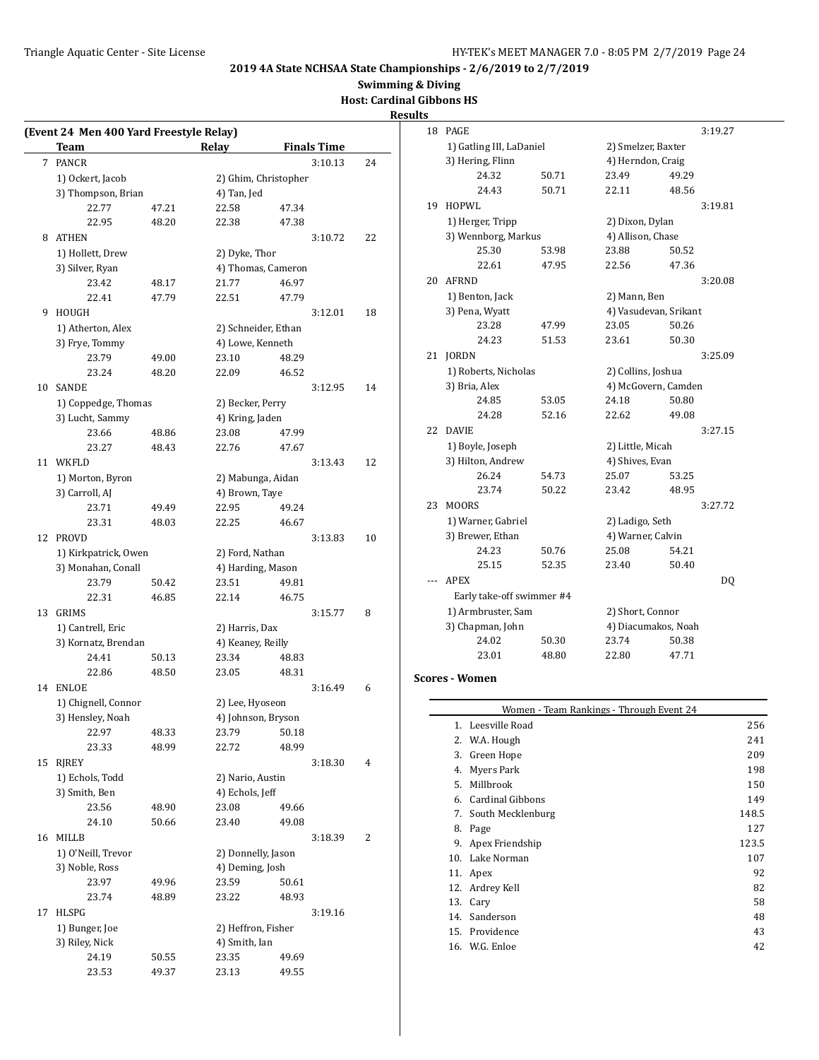**Swimming & Diving**

**Host: Cardinal Gibbons HS**

# **Results**

|    | (Event 24 Men 400 Yard Freestyle Relay)<br>Team |       | Relay                | <b>Finals Time</b> |    |
|----|-------------------------------------------------|-------|----------------------|--------------------|----|
| 7  | PANCR                                           |       |                      | 3:10.13            | 24 |
|    | 1) Ockert, Jacob                                |       | 2) Ghim, Christopher |                    |    |
|    | 3) Thompson, Brian                              |       | 4) Tan, Jed          |                    |    |
|    | 22.77                                           | 47.21 | 22.58                | 47.34              |    |
|    | 22.95                                           | 48.20 | 22.38                | 47.38              |    |
| 8  | <b>ATHEN</b>                                    |       |                      | 3:10.72            | 22 |
|    | 1) Hollett, Drew                                |       | 2) Dyke, Thor        |                    |    |
|    | 3) Silver, Ryan                                 |       | 4) Thomas, Cameron   |                    |    |
|    | 23.42                                           | 48.17 | 21.77                | 46.97              |    |
|    | 22.41                                           | 47.79 | 22.51                | 47.79              |    |
| 9. | HOUGH                                           |       |                      | 3:12.01            | 18 |
|    | 1) Atherton, Alex                               |       | 2) Schneider, Ethan  |                    |    |
|    | 3) Frye, Tommy                                  |       | 4) Lowe, Kenneth     |                    |    |
|    | 23.79                                           | 49.00 | 23.10                | 48.29              |    |
|    | 23.24                                           | 48.20 | 22.09                | 46.52              |    |
|    | 10 SANDE                                        |       |                      | 3:12.95            | 14 |
|    | 1) Coppedge, Thomas                             |       | 2) Becker, Perry     |                    |    |
|    | 3) Lucht, Sammy                                 |       | 4) Kring, Jaden      |                    |    |
|    | 23.66                                           | 48.86 | 23.08                | 47.99              |    |
|    | 23.27                                           | 48.43 | 22.76                | 47.67              |    |
|    | 11 WKFLD                                        |       |                      | 3:13.43            | 12 |
|    | 1) Morton, Byron                                |       | 2) Mabunga, Aidan    |                    |    |
|    | 3) Carroll, AJ                                  |       | 4) Brown, Taye       |                    |    |
|    | 23.71                                           | 49.49 | 22.95                | 49.24              |    |
|    | 23.31                                           | 48.03 | 22.25                | 46.67              |    |
| 12 | PROVD                                           |       |                      | 3:13.83            | 10 |
|    | 1) Kirkpatrick, Owen                            |       | 2) Ford, Nathan      |                    |    |
|    | 3) Monahan, Conall                              |       | 4) Harding, Mason    |                    |    |
|    | 23.79                                           | 50.42 | 23.51                | 49.81              |    |
|    | 22.31                                           | 46.85 | 22.14                | 46.75              |    |
|    | 13 GRIMS                                        |       |                      | 3:15.77            | 8  |
|    | 1) Cantrell, Eric                               |       | 2) Harris, Dax       |                    |    |
|    | 3) Kornatz, Brendan                             |       | 4) Keaney, Reilly    |                    |    |
|    | 24.41                                           | 50.13 | 23.34                | 48.83              |    |
|    | 22.86                                           | 48.50 | 23.05                | 48.31              |    |
| 14 | <b>ENLOE</b>                                    |       |                      | 3:16.49            | 6  |
|    | 1) Chignell, Connor                             |       | 2) Lee, Hyoseon      |                    |    |
|    | 3) Hensley, Noah                                |       | 4) Johnson, Bryson   |                    |    |
|    | 22.97                                           | 48.33 | 23.79                | 50.18              |    |
|    | 23.33                                           | 48.99 | 22.72                | 48.99              |    |
| 15 | <b>RJREY</b>                                    |       |                      | 3:18.30            | 4  |
|    | 1) Echols, Todd                                 |       | 2) Nario, Austin     |                    |    |
|    | 3) Smith, Ben                                   |       | 4) Echols, Jeff      |                    |    |
|    | 23.56                                           | 48.90 | 23.08                | 49.66              |    |
|    | 24.10                                           | 50.66 | 23.40                | 49.08              |    |
| 16 | <b>MILLB</b>                                    |       |                      | 3:18.39            | 2  |
|    | 1) O'Neill, Trevor                              |       | 2) Donnelly, Jason   |                    |    |
|    | 3) Noble, Ross                                  |       | 4) Deming, Josh      |                    |    |
|    | 23.97                                           | 49.96 | 23.59                | 50.61              |    |
|    | 23.74                                           | 48.89 | 23.22                | 48.93              |    |
| 17 | HLSPG                                           |       |                      | 3:19.16            |    |
|    | 1) Bunger, Joe                                  |       | 2) Heffron, Fisher   |                    |    |
|    | 3) Riley, Nick                                  |       | 4) Smith, Ian        |                    |    |
|    | 24.19                                           | 50.55 | 23.35                | 49.69              |    |
|    | 23.53                                           | 49.37 | 23.13                | 49.55              |    |
|    |                                                 |       |                      |                    |    |

| 18 | PAGE                      |       |                       |       | 3:19.27 |
|----|---------------------------|-------|-----------------------|-------|---------|
|    | 1) Gatling III, LaDaniel  |       | 2) Smelzer, Baxter    |       |         |
|    | 3) Hering, Flinn          |       | 4) Herndon, Craig     |       |         |
|    | 24.32                     | 50.71 | 23.49                 | 49.29 |         |
|    | 24.43                     | 50.71 | 22.11                 | 48.56 |         |
| 19 | HOPWL                     |       |                       |       | 3:19.81 |
|    | 1) Herger, Tripp          |       | 2) Dixon, Dylan       |       |         |
|    | 3) Wennborg, Markus       |       | 4) Allison, Chase     |       |         |
|    | 25.30                     | 53.98 | 23.88                 | 50.52 |         |
|    | 22.61                     | 47.95 | 22.56                 | 47.36 |         |
| 20 | <b>AFRND</b>              |       |                       |       | 3:20.08 |
|    | 1) Benton, Jack           |       | 2) Mann, Ben          |       |         |
|    | 3) Pena, Wyatt            |       | 4) Vasudevan, Srikant |       |         |
|    | 23.28                     | 47.99 | 23.05                 | 50.26 |         |
|    | 24.23                     | 51.53 | 23.61                 | 50.30 |         |
| 21 | <b>JORDN</b>              |       |                       |       | 3:25.09 |
|    | 1) Roberts, Nicholas      |       | 2) Collins, Joshua    |       |         |
|    | 3) Bria, Alex             |       | 4) McGovern, Camden   |       |         |
|    | 24.85                     | 53.05 | 24.18                 | 50.80 |         |
|    | 24.28                     | 52.16 | 22.62                 | 49.08 |         |
| 22 | <b>DAVIE</b>              |       |                       |       | 3:27.15 |
|    | 1) Boyle, Joseph          |       | 2) Little, Micah      |       |         |
|    | 3) Hilton, Andrew         |       | 4) Shives, Evan       |       |         |
|    | 26.24                     | 54.73 | 25.07                 | 53.25 |         |
|    | 23.74                     | 50.22 | 23.42                 | 48.95 |         |
| 23 | MOORS                     |       |                       |       | 3:27.72 |
|    | 1) Warner, Gabriel        |       | 2) Ladigo, Seth       |       |         |
|    | 3) Brewer, Ethan          |       | 4) Warner, Calvin     |       |         |
|    | 24.23                     | 50.76 | 25.08                 | 54.21 |         |
|    | 25.15                     | 52.35 | 23.40                 | 50.40 |         |
|    | <b>APEX</b>               |       |                       |       | DQ      |
|    | Early take-off swimmer #4 |       |                       |       |         |
|    | 1) Armbruster, Sam        |       | 2) Short, Connor      |       |         |
|    | 3) Chapman, John          |       | 4) Diacumakos, Noah   |       |         |
|    | 24.02                     | 50.30 | 23.74                 | 50.38 |         |
|    | 23.01                     | 48.80 | 22.80                 | 47.71 |         |

#### **Scores - Women**

 $\overline{\phantom{0}}$ 

| Women - Team Rankings - Through Event 24 |       |  |  |  |
|------------------------------------------|-------|--|--|--|
| 1. Leesville Road                        | 256   |  |  |  |
| 2. W.A. Hough                            | 241   |  |  |  |
| Green Hope                               | 209   |  |  |  |
| Myers Park                               | 198   |  |  |  |
| Millbrook                                | 150   |  |  |  |
| <b>Cardinal Gibbons</b>                  | 149   |  |  |  |
| 7. South Mecklenburg                     | 148.5 |  |  |  |
| Page                                     | 127   |  |  |  |
| Apex Friendship                          | 123.5 |  |  |  |
| Lake Norman<br>10.                       | 107   |  |  |  |
| Apex                                     | 92    |  |  |  |
| Ardrey Kell                              | 82    |  |  |  |
| 13.<br>Cary                              | 58    |  |  |  |
| Sanderson                                | 48    |  |  |  |
| 15. Providence                           | 43    |  |  |  |
| 16. W.G. Enloe                           | 42    |  |  |  |
|                                          |       |  |  |  |